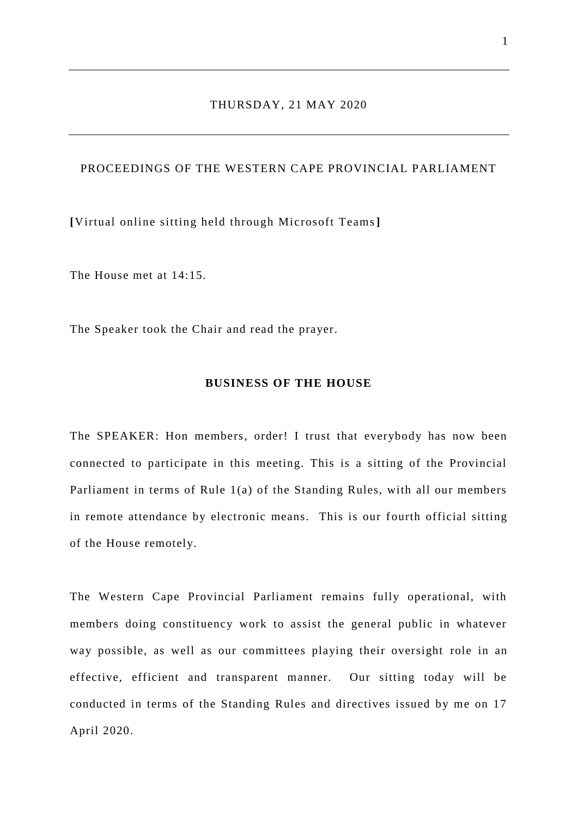#### THURSDAY, 21 MAY 2020

# PROCEEDINGS OF THE WESTERN CAPE PROVINCIAL PARLIAMENT

**[**Virtual online sitting held through Microsoft Teams**]**

The House met at 14:15.

The Speaker took the Chair and read the prayer.

## **BUSINESS OF THE HOUSE**

The SPEAKER: Hon members, order! I trust that everybody has now been connected to participate in this meeting. This is a sitting of the Provincial Parliament in terms of Rule 1(a) of the Standing Rules, with all our members in remote attendance by electronic means. This is our fourth official sitting of the House remotely.

The Western Cape Provincial Parliament remains fully operational, with members doing constituency work to assist the general public in whatever way possible, as well as our committees playing their oversight role in an effective, efficient and transparent manner. Our sitting today will be conducted in terms of the Standing Rules and directives issued by me on 17 April 2020.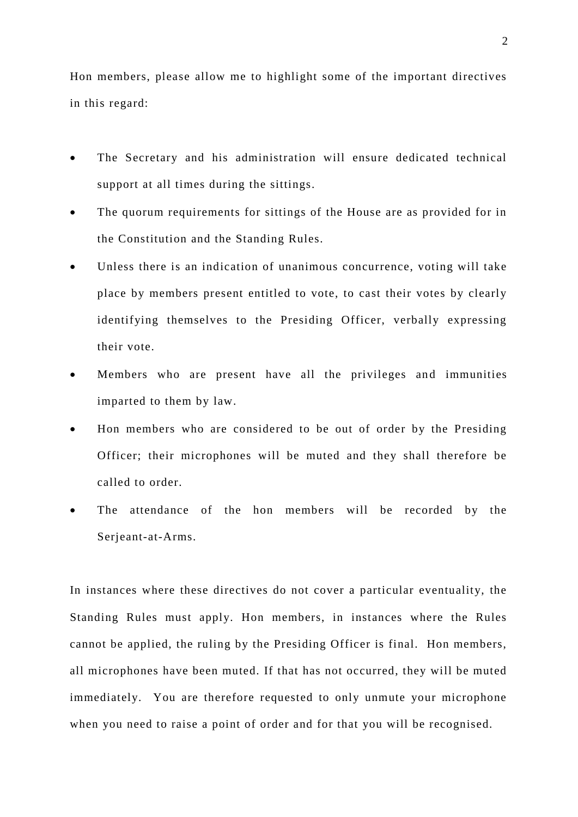Hon members, please allow me to highlight some of the important directives in this regard:

- The Secretary and his administration will ensure dedicated technical support at all times during the sittings.
- The quorum requirements for sittings of the House are as provided for in the Constitution and the Standing Rules.
- Unless there is an indication of unanimous concurrence, voting will take place by members present entitled to vote, to cast their votes by clearly identifying themselves to the Presiding Officer, verbally expressing their vote.
- Members who are present have all the privileges and immunities imparted to them by law.
- Hon members who are considered to be out of order by the Presiding Officer; their microphones will be muted and they shall therefore be called to order.
- The attendance of the hon members will be recorded by the Serjeant-at-Arms.

In instances where these directives do not cover a particular eventuality, the Standing Rules must apply. Hon members, in instances where the Rules cannot be applied, the ruling by the Presiding Officer is final. Hon members, all microphones have been muted. If that has not occurred, they will be muted immediately. You are therefore requested to only unmute your microphone when you need to raise a point of order and for that you will be recognised.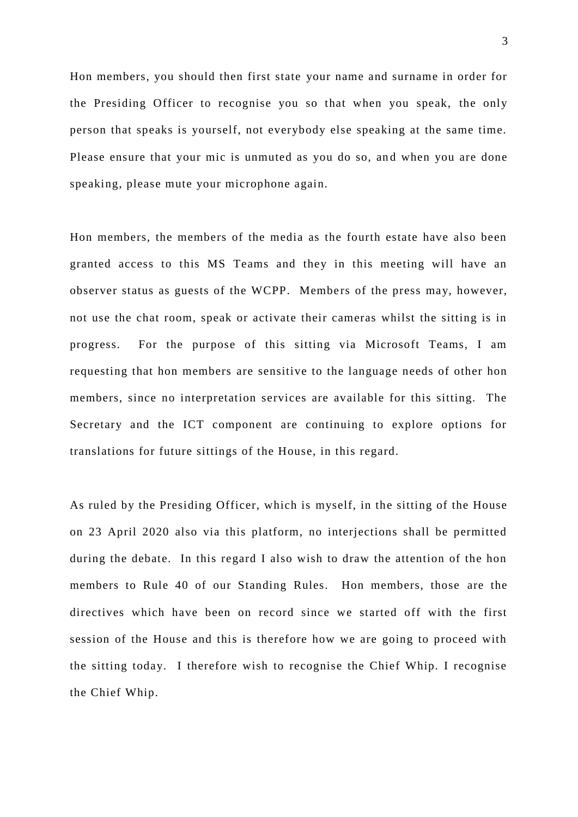Hon members, you should then first state your name and surname in order for the Presiding Officer to recognise you so that when you speak, the only person that speaks is yourself, not everybody else speaking at the same time. Please ensure that your mic is unmuted as you do so, and when you are done speaking, please mute your microphone again.

Hon members, the members of the media as the fourth estate have also been granted access to this MS Teams and they in this meeting will have an observer status as guests of the WCPP. Members of the press may, however, not use the chat room, speak or activate their cameras whilst the sitting is in progress. For the purpose of this sitting via Microsoft Teams, I am requesting that hon members are sensitive to the language needs of other hon members, since no interpretation services are available for this sitting. The Secretary and the ICT component are continuing to explore options for translations for future sittings of the House, in this regard.

As ruled by the Presiding Officer, which is myself, in the sitting of the House on 23 April 2020 also via this platform, no interjections shall be permitted during the debate. In this regard I also wish to draw the attention of the hon members to Rule 40 of our Standing Rules. Hon members, those are the directives which have been on record since we started off with the first session of the House and this is therefore how we are going to proceed with the sitting today. I therefore wish to recognise the Chief Whip. I recognise the Chief Whip.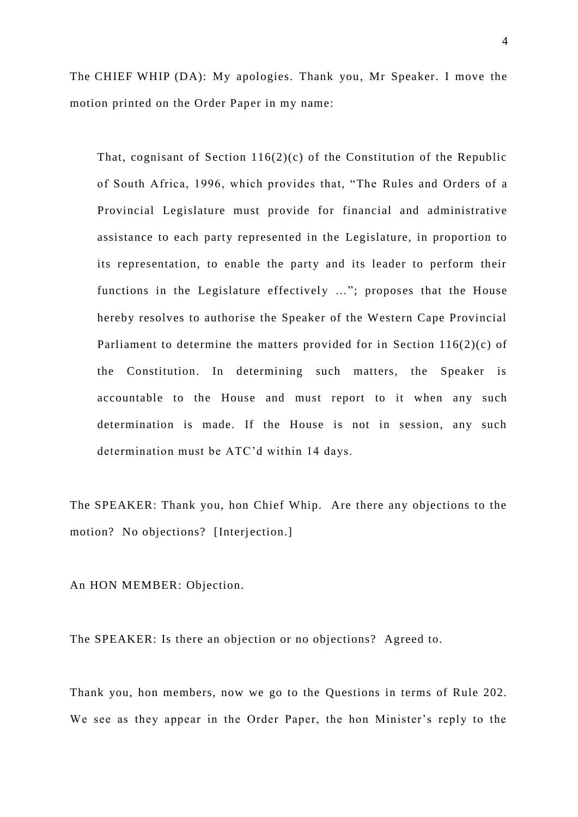The CHIEF WHIP (DA): My apologies. Thank you, Mr Speaker. I move the motion printed on the Order Paper in my name:

That, cognisant of Section  $116(2)(c)$  of the Constitution of the Republic of South Africa, 1996, which provides that, "The Rules and Orders of a Provincial Legislature must provide for financial and administrative assistance to each party represented in the Legislature, in proportion to its representation, to enable the party and its leader to perform their functions in the Legislature effectively …"; proposes that the House hereby resolves to authorise the Speaker of the Western Cape Provincial Parliament to determine the matters provided for in Section 116(2)(c) of the Constitution. In determining such matters, the Speaker is accountable to the House and must report to it when any such determination is made. If the House is not in session, any such determination must be ATC'd within 14 days.

The SPEAKER: Thank you, hon Chief Whip. Are there any objections to the motion? No objections? [Interjection.]

An HON MEMBER: Objection.

The SPEAKER: Is there an objection or no objections? Agreed to.

Thank you, hon members, now we go to the Questions in terms of Rule 202. We see as they appear in the Order Paper, the hon Minister's reply to the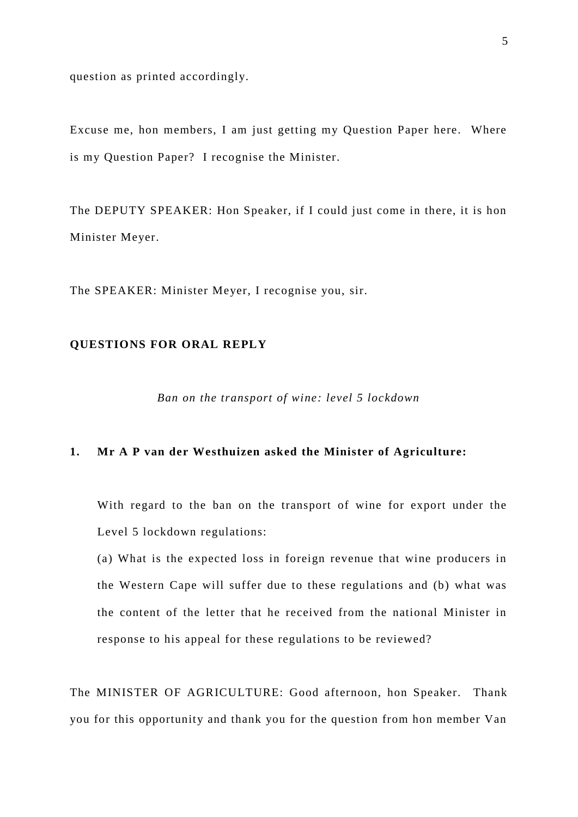question as printed accordingly.

Excuse me, hon members, I am just getting my Question Paper here. Where is my Question Paper? I recognise the Minister.

The DEPUTY SPEAKER: Hon Speaker, if I could just come in there, it is hon Minister Meyer.

The SPEAKER: Minister Meyer, I recognise you, sir.

## **QUESTIONS FOR ORAL REPLY**

*Ban on the transport of wine: level 5 lockdown*

#### **1. Mr A P van der Westhuizen asked the Minister of Agriculture:**

With regard to the ban on the transport of wine for export under the Level 5 lockdown regulations:

(a) What is the expected loss in foreign revenue that wine producers in the Western Cape will suffer due to these regulations and (b) what was the content of the letter that he received from the national Minister in response to his appeal for these regulations to be reviewed?

The MINISTER OF AGRICULTURE: Good afternoon, hon Speaker. Thank you for this opportunity and thank you for the question from hon member Van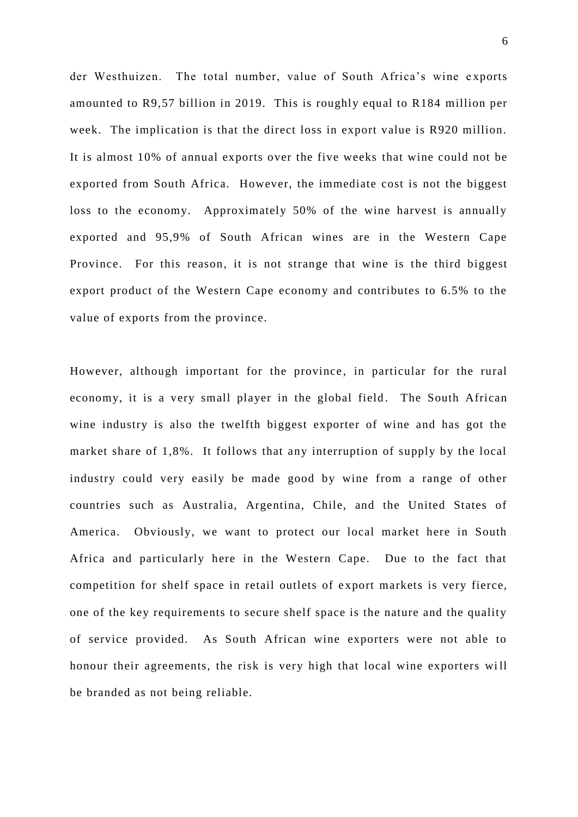der Westhuizen. The total number, value of South Africa's wine e xports amounted to R9,57 billion in 2019. This is roughly equal to R184 million per week. The implication is that the direct loss in export value is R920 million. It is almost 10% of annual exports over the five weeks that wine could not be exported from South Africa. However, the immediate cost is not the biggest loss to the economy. Approximately 50% of the wine harvest is annually exported and 95,9% of South African wines are in the Western Cape Province. For this reason, it is not strange that wine is the third biggest export product of the Western Cape economy and contributes to 6.5% to the value of exports from the province.

However, although important for the province, in particular for the rural economy, it is a very small player in the global field. The South African wine industry is also the twelfth biggest exporter of wine and has got the market share of 1,8%. It follows that any interruption of supply by the local industry could very easily be made good by wine from a range of other countries such as Australia, Argentina, Chile, and the United States of America. Obviously, we want to protect our local market here in South Africa and particularly here in the Western Cape. Due to the fact that competition for shelf space in retail outlets of e xport markets is very fierce, one of the key requirements to secure shelf space is the nature and the quality of service provided. As South African wine exporters were not able to honour their agreements, the risk is very high that local wine exporters will be branded as not being reliable.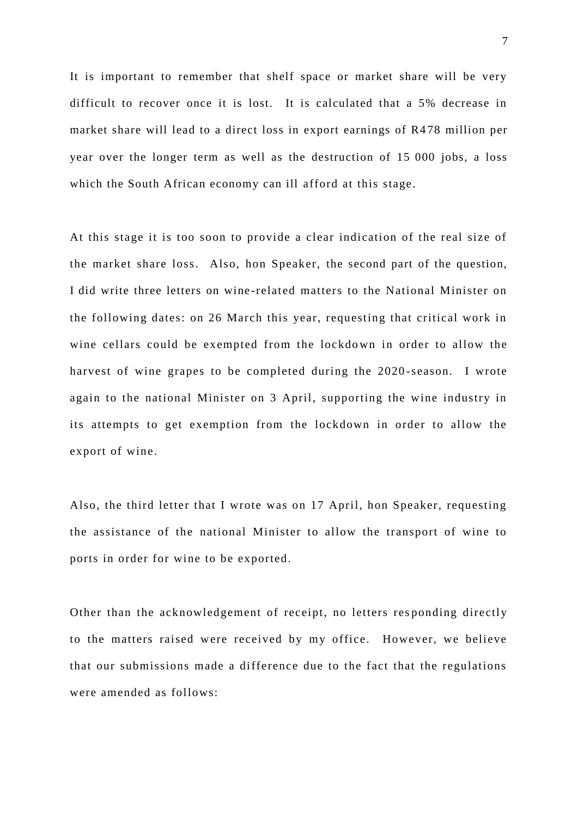It is important to remember that shelf space or market share will be very difficult to recover once it is lost. It is calculated that a 5% decrease in market share will lead to a direct loss in export earnings of R4 78 million per year over the longer term as well as the destruction of 15 000 jobs, a loss which the South African economy can ill afford at this stage.

At this stage it is too soon to provide a clear indication of the real size of the market share loss. Also, hon Speaker, the second part of the question, I did write three letters on wine -related matters to the National Minister on the following dates: on 26 March this year, requesting that critical work in wine cellars could be exempted from the lockdo wn in order to allow the harvest of wine grapes to be completed during the 2020 -season. I wrote again to the national Minister on 3 April, supporting the wine industry in its attempts to get exemption from the lockdown in order to allow the export of wine.

Also, the third letter that I wrote was on 17 April, hon Speaker, requesting the assistance of the national Minister to allow the transport of wine to ports in order for wine to be exported.

Other than the acknowledgement of receipt, no letters res ponding directly to the matters raised were received by my office. However, we believe that our submissions made a difference due to the fact that the regulations were amended as follows: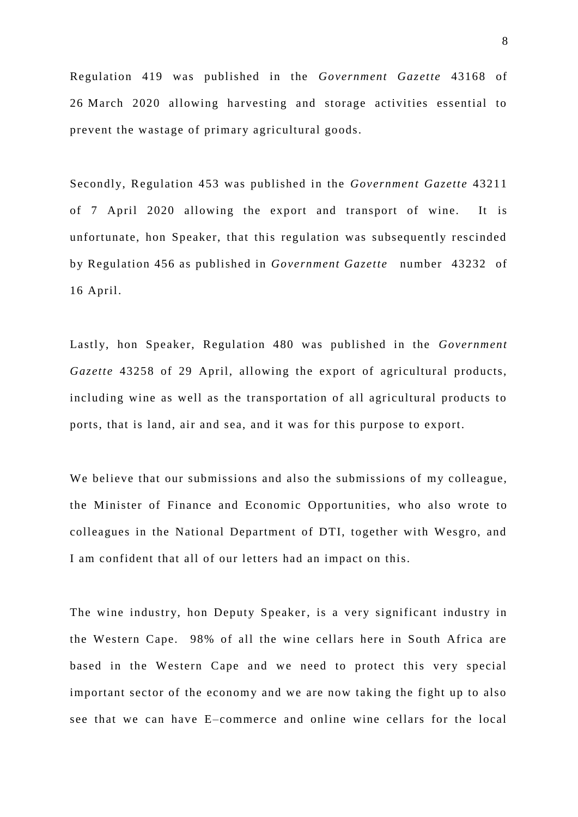Regulation 419 was published in the *Government Gazette* 43168 of 26 March 2020 allowing harvesting and storage activities essential to prevent the wastage of primary agricultural goods.

Secondly, Regulation 453 was published in the *Government Gazette* 43211 of 7 April 2020 allowing the export and transport of wine. It is unfortunate, hon Speaker, that this regulation was subsequently rescinded by Regulation 456 as published in *Government Gazette* number 43232 of 16 April.

Lastly, hon Speaker, Regulation 480 was published in the *Government Gazette* 43258 of 29 April, allowing the export of agricultural products, including wine as well as the transportation of all agricultural products to ports, that is land, air and sea, and it was for this purpose to export.

We believe that our submissions and also the submissions of my colleague, the Minister of Finance and Economic Opportunities, who also wrote to colleagues in the National Department of DTI, together with Wesgro, and I am confident that all of our letters had an impact on this.

The wine industry, hon Deputy Speaker, is a very significant industry in the Western Cape. 98% of all the wine cellars here in South Africa are based in the Western Cape and we need to protect this very special important sector of the economy and we are now taking the fight up to also see that we can have E–commerce and online wine cellars for the local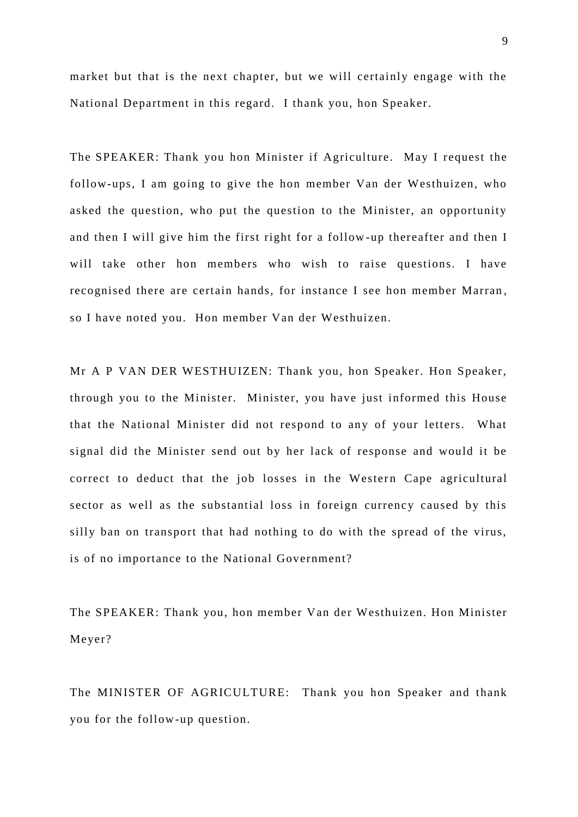market but that is the next chapter, but we will certainly engage with the National Department in this regard. I thank you, hon Speaker.

The SPEAKER: Thank you hon Minister if Agriculture. May I request the follow-ups, I am going to give the hon member Van der Westhuizen, who asked the question, who put the question to the Minister, an opportunity and then I will give him the first right for a follow -up thereafter and then I will take other hon members who wish to raise questions. I have recognised there are certain hands, for instance I see hon member Marran , so I have noted you. Hon member Van der Westhuizen.

Mr A P VAN DER WESTHUIZEN: Thank you, hon Speaker. Hon Speaker, through you to the Minister. Minister, you have just informed this House that the National Minister did not respond to any of your letters. What signal did the Minister send out by her lack of response and would it be correct to deduct that the job losses in the Western Cape agricultural sector as well as the substantial loss in foreign currency caused by this silly ban on transport that had nothing to do with the spread of the virus, is of no importance to the National Government?

The SPEAKER: Thank you, hon member Van der Westhuizen. Hon Minister Meyer?

The MINISTER OF AGRICULTURE: Thank you hon Speaker and thank you for the follow-up question.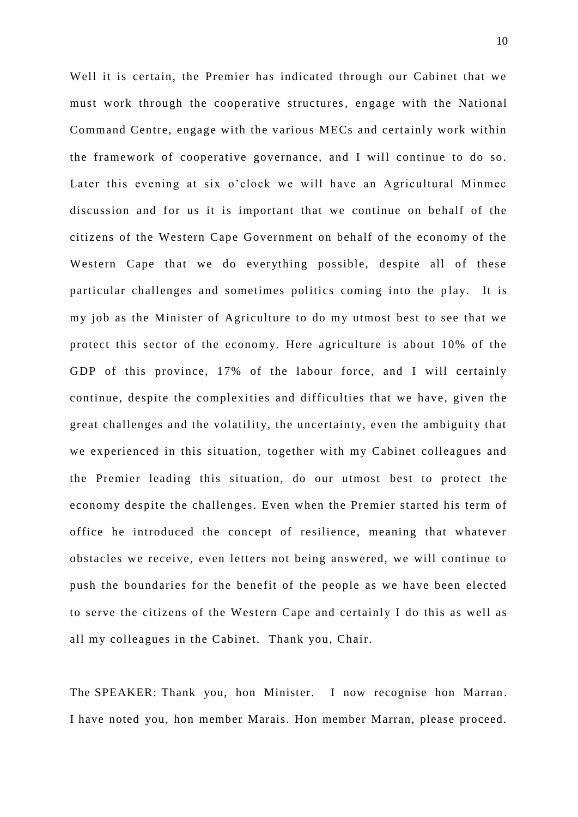Well it is certain, the Premier has indicated through our Cabinet that we must work through the cooperative structures, engage with the National Command Centre, engage with the various MECs and certainly work within the framework of cooperative governance, and I will continue to do so. Later this evening at six o'clock we will have an Agricultural Minmec discussion and for us it is important that we continue on behalf of the citizens of the Western Cape Government on behalf of the economy of the Western Cape that we do everything possible, despite all of these particular challenges and sometimes politics coming into the play. It is my job as the Minister of Agriculture to do my utmost best to see that we protect this sector of the economy. Here agriculture is about 10% of the GDP of this province, 17% of the labour force, and I will certainly continue, despite the complexities and difficulties that we have, given the great challenges and the volatility, the uncertainty, even the ambiguity that we experienced in this situation, together with my Cabinet colleagues and the Premier leading this situation, do our utmost best to protect the economy despite the challenges. Even when the Premier started his term of office he introduced the concept of resilience, meaning that whatever obstacles we receive, even letters not being answered, we will continue to push the boundaries for the benefit of the people as we have been elected to serve the citizens of the Western Cape and certainly I do this as well as all my colleagues in the Cabinet. Thank you, Chair.

The SPEAKER: Thank you, hon Minister. I now recognise hon Marran. I have noted you, hon member Marais. Hon member Marran, please proceed.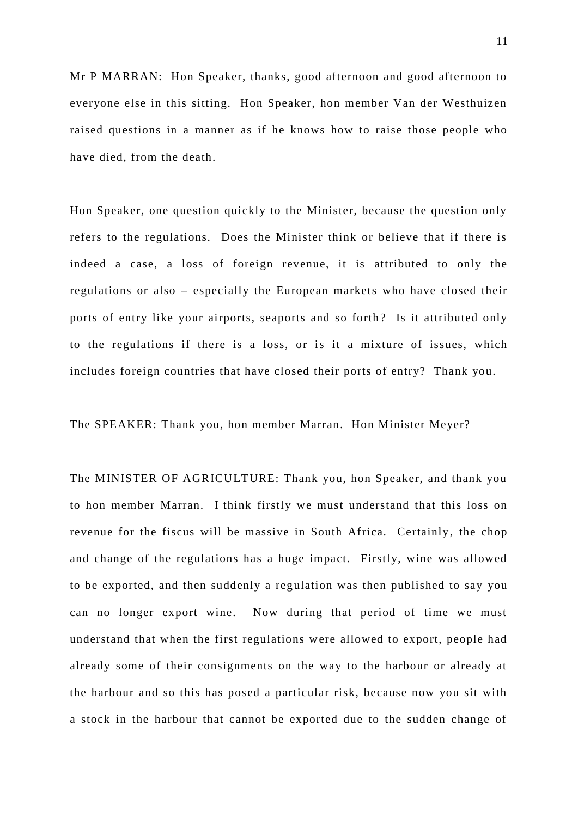Mr P MARRAN: Hon Speaker, thanks, good afternoon and good afternoon to everyone else in this sitting. Hon Speaker, hon member Van der Westhuizen raised questions in a manner as if he knows how to raise those people who have died, from the death.

Hon Speaker, one question quickly to the Minister, because the question only refers to the regulations. Does the Minister think or believe that if there is indeed a case, a loss of foreign revenue, it is attributed to only the regulations or also – especially the European markets who have closed their ports of entry like your airports, seaports and so forth? Is it attributed only to the regulations if there is a loss, or is it a mixture of issues, which includes foreign countries that have closed their ports of entry? Thank you.

The SPEAKER: Thank you, hon member Marran. Hon Minister Meyer?

The MINISTER OF AGRICULTURE: Thank you, hon Speaker, and thank you to hon member Marran. I think firstly we must understand that this loss on revenue for the fiscus will be massive in South Africa. Certainly, the chop and change of the regulations has a huge impact. Firstly, wine was allowed to be exported, and then suddenly a regulation was then published to say you can no longer export wine. Now during that period of time we must understand that when the first regulations were allowed to export, people had already some of their consignments on the way to the harbour or already at the harbour and so this has posed a particular risk, because now you sit with a stock in the harbour that cannot be exported due to the sudden change of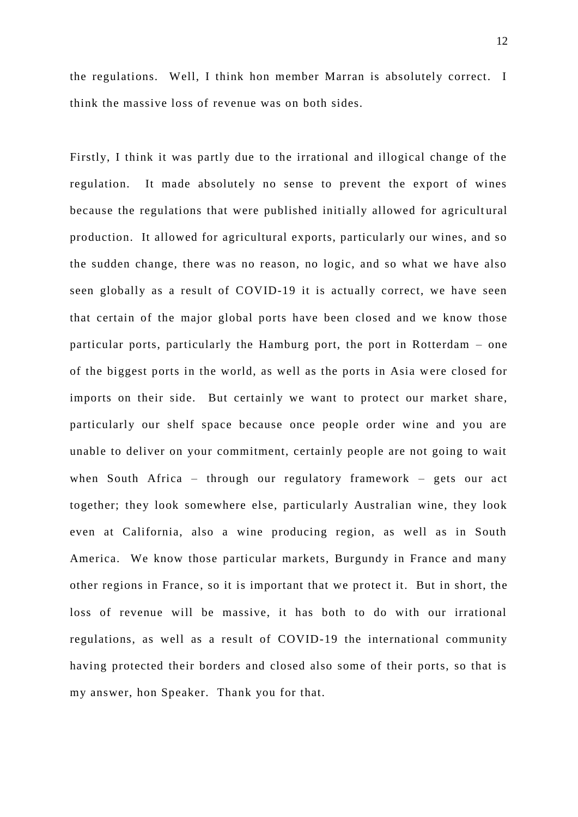the regulations. Well, I think hon member Marran is absolutely correct. I think the massive loss of revenue was on both sides.

Firstly, I think it was partly due to the irrational and illogical change of the regulation. It made absolutely no sense to prevent the export of wines because the regulations that were published initially allowed for agricultural production. It allowed for agricultural exports, particularly our wines, and so the sudden change, there was no reason, no logic, and so what we have also seen globally as a result of COVID-19 it is actually correct, we have seen that certain of the major global ports have been closed and we know those particular ports, particularly the Hamburg port, the port in Rotterdam – one of the biggest ports in the world, as well as the ports in Asia w ere closed for imports on their side. But certainly we want to protect our market share, particularly our shelf space because once people order wine and you are unable to deliver on your commitment, certainly people are not going to wait when South Africa – through our regulatory framework – gets our act together; they look somewhere else, particularly Australian wine, they look even at California, also a wine producing region, as well as in South America. We know those particular markets, Burgundy in France and many other regions in France, so it is important that we protect it. But in short, the loss of revenue will be massive, it has both to do with our irrational regulations, as well as a result of COVID-19 the international community having protected their borders and closed also some of their ports, so that is my answer, hon Speaker. Thank you for that.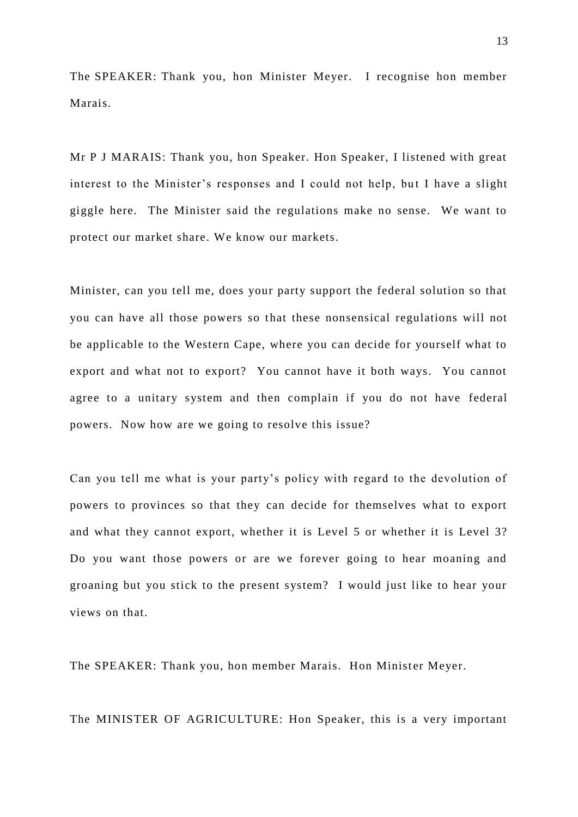The SPEAKER: Thank you, hon Minister Meyer. I recognise hon member Marais.

Mr P J MARAIS: Thank you, hon Speaker. Hon Speaker, I listened with great interest to the Minister's responses and I could not help, but I have a slight giggle here. The Minister said the regulations make no sense. We want to protect our market share. We know our markets.

Minister, can you tell me, does your party support the federal solution so that you can have all those powers so that these nonsensical regulations will not be applicable to the Western Cape, where you can decide for yourself what to export and what not to export? You cannot have it both ways. You cannot agree to a unitary system and then complain if you do not have federal powers. Now how are we going to resolve this issue?

Can you tell me what is your party's policy with regard to the devolution of powers to provinces so that they can decide for themselves what to export and what they cannot export, whether it is Level 5 or whether it is Level 3? Do you want those powers or are we forever going to hear moaning and groaning but you stick to the present system? I would just like to hear your views on that.

The SPEAKER: Thank you, hon member Marais. Hon Minister Meyer.

The MINISTER OF AGRICULTURE: Hon Speaker, this is a very important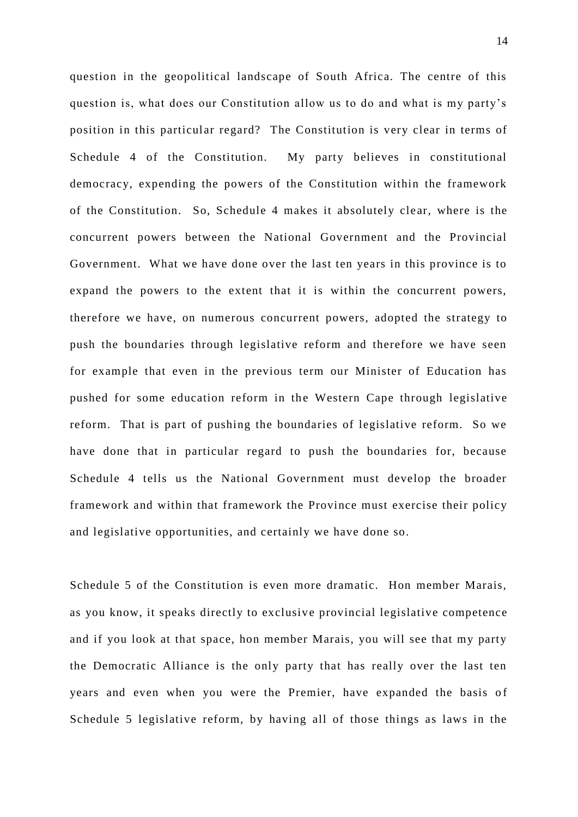question in the geopolitical landscape of South Africa. The centre of this question is, what does our Constitution allow us to do and what is my party's position in this particular regard? The Constitution is very clear in terms of Schedule 4 of the Constitution. My party believes in constitutional democracy, expending the powers of the Constitution within the framework of the Constitution. So, Schedule 4 makes it absolutely cle ar, where is the concurrent powers between the National Government and the Provincial Government. What we have done over the last ten years in this province is to expand the powers to the extent that it is within the concurrent powers, therefore we have, on numerous concurrent powers, adopted the strategy to push the boundaries through legislative reform and therefore we have seen for example that even in the previous term our Minister of Education has pushed for some education reform in the Western Cape through legislative reform. That is part of pushing the boundaries of legislative reform. So we have done that in particular regard to push the boundaries for, because Schedule 4 tells us the National Government must develop the broader framework and within that framework the Province must exercise their policy and legislative opportunities, and certainly we have done so.

Schedule 5 of the Constitution is even more dramatic. Hon member Marais, as you know, it speaks directly to exclusive provincial legislative competence and if you look at that space, hon member Marais, you will see that my party the Democratic Alliance is the only party that has really over the last ten years and even when you were the Premier, have expanded the basis of Schedule 5 legislative reform, by having all of those things as laws in the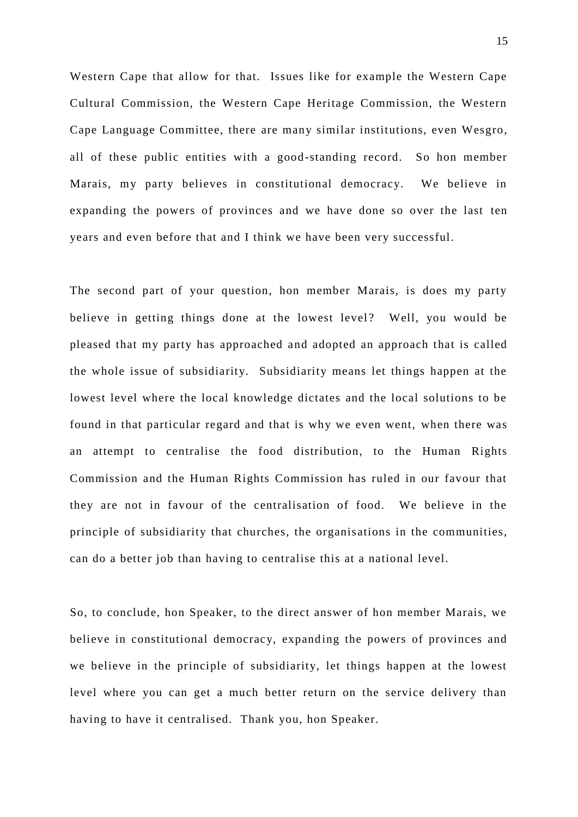Western Cape that allow for that. Issues like for example the Western Cape Cultural Commission, the Western Cape Heritage Commission, the Western Cape Language Committee, there are many similar institutions, even Wesgro, all of these public entities with a good -standing record. So hon member Marais, my party believes in constitutional democracy. We believe in expanding the powers of provinces and we have done so over the last ten years and even before that and I think we have been very successful.

The second part of your question, hon member Marais, is does my party believe in getting things done at the lowest level? Well, you would be pleased that my party has approached and adopted an approach that is called the whole issue of subsidiarity. Subsidiarity means let things happen at the lowest level where the local knowledge dictates and the local solutions to be found in that particular regard and that is why we even went, when there was an attempt to centralise the food distribution, to the Human Rights Commission and the Human Rights Commission has ruled in our favour that they are not in favour of the centralisation of food. We believe in the principle of subsidiarity that churches, the organis ations in the communities, can do a better job than having to centralise this at a national level.

So, to conclude, hon Speaker, to the direct answer of hon member Marais, we believe in constitutional democracy, expanding the powers of provinces and we believe in the principle of subsidiarity, let things happen at the lowest level where you can get a much better return on the service delivery than having to have it centralised. Thank you, hon Speaker.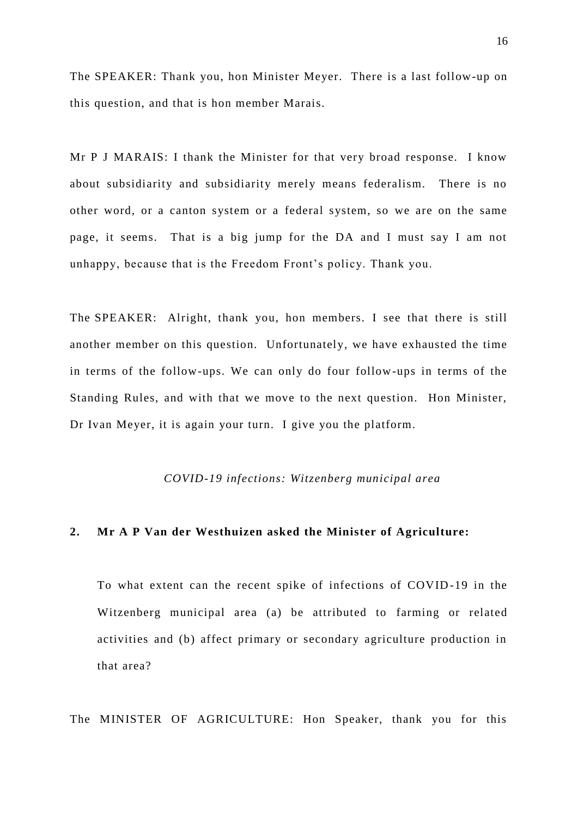The SPEAKER: Thank you, hon Minister Meyer. There is a last follow-up on this question, and that is hon member Marais.

Mr P J MARAIS: I thank the Minister for that very broad response. I know about subsidiarity and subsidiarity merely means federalism. There is no other word, or a canton system or a federal system, so we are on the same page, it seems. That is a big jump for the DA and I must say I am not unhappy, because that is the Freedom Front's policy. Thank you.

The SPEAKER: Alright, thank you, hon members. I see that there is still another member on this question. Unfortunately, we have exhausted the time in terms of the follow-ups. We can only do four follow-ups in terms of the Standing Rules, and with that we move to the next question. Hon Minister, Dr Ivan Meyer, it is again your turn. I give you the platform.

#### *COVID-19 infections: Witzenberg municipal area*

#### **2. Mr A P Van der Westhuizen asked the Minister of Agriculture:**

To what extent can the recent spike of infections of COVID-19 in the Witzenberg municipal area (a) be attributed to farming or related activities and (b) affect primary or secondary agriculture production in that area?

The MINISTER OF AGRICULTURE: Hon Speaker, thank you for this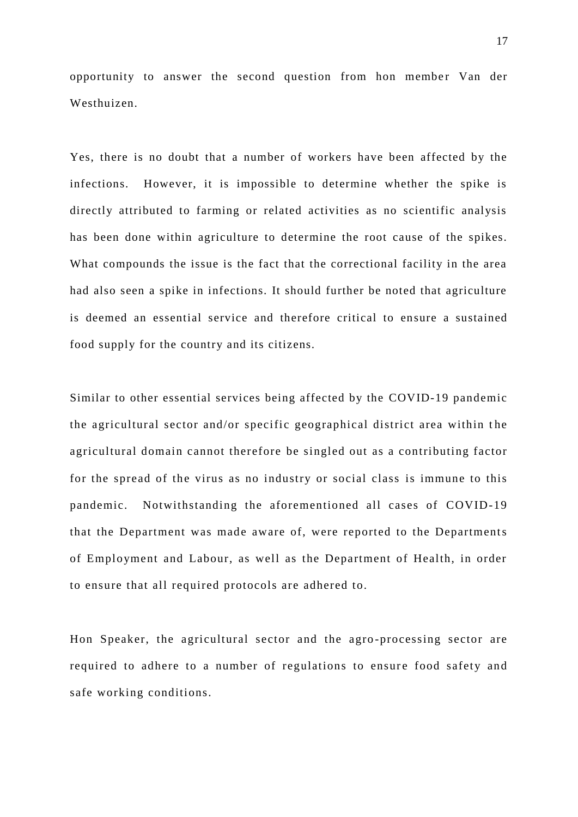opportunity to answer the second question from hon member Van der Westhuizen.

Yes, there is no doubt that a number of workers have been affected by the infections. However, it is impossible to determine whether the spike is directly attributed to farming or related activities as no scientific analysis has been done within agriculture to determine the root cause of the spikes. What compounds the issue is the fact that the correctional facility in the area had also seen a spike in infections. It should further be noted that agriculture is deemed an essential service and therefore critical to ensure a sustained food supply for the country and its citizens.

Similar to other essential services being affected by the COVID-19 pandemic the agricultural sector and/or specific geographical district area within the agricultural domain cannot therefore be singled out as a contributing factor for the spread of the virus as no industry or social class is immune to this pandemic. Notwithstanding the aforementioned all cases of COVID-19 that the Department was made aware of, were reported to the Departments of Employment and Labour, as well as the Department of Health, in order to ensure that all required protocols are adhered to.

Hon Speaker, the agricultural sector and the agro -processing sector are required to adhere to a number of regulations to ensure food safety and safe working conditions.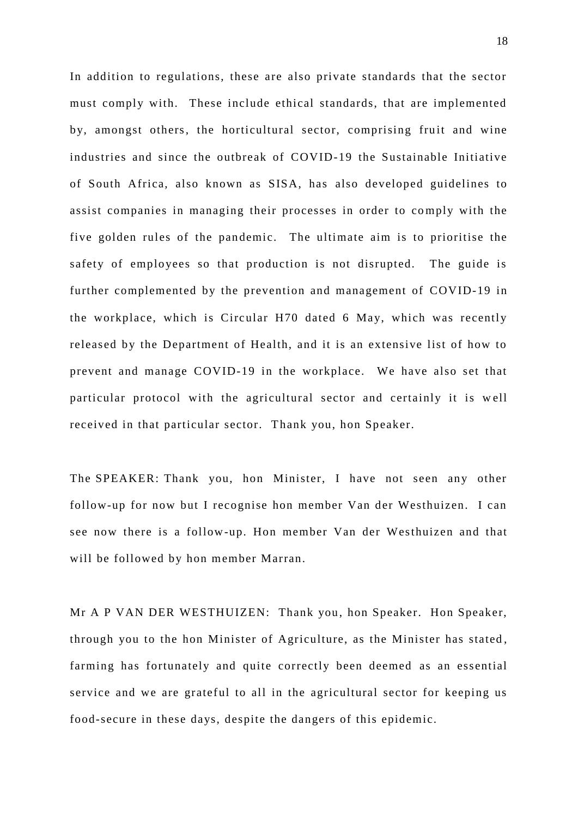In addition to regulations, these are also private standards that the sector must comply with. These include ethical standards, that are implemented by, amongst others, the horticultural sector, comprising fruit and wine industries and since the outbreak of COVID-19 the Sustainable Initiative of South Africa, also known as SISA, has also developed guidelines to assist companies in managing their processes in order to comply with the five golden rules of the pan demic. The ultimate aim is to prioritise the safety of employees so that production is not disrupted. The guide is further complemented by the prevention and management of COVID-19 in the workplace, which is Circ ular H70 dated 6 May, which was recently released by the Department of Health, and it is an extensive list of how to prevent and manage COVID-19 in the workplace. We have also set that particular protocol with the agricultural sector and certainly it is well received in that particular sector. Thank you, hon Speaker.

The SPEAKER: Thank you, hon Minister, I have not seen any other follow-up for now but I recognise hon member Van der Westhuizen. I can see now there is a follow-up. Hon member Van der Westhuizen and that will be followed by hon member Marran.

Mr A P VAN DER WESTHUIZEN: Thank you, hon Speaker. Hon Speaker, through you to the hon Minister of Agriculture, as the Minister has stated , farming has fortunately and quite correctly been deemed as an essential service and we are grateful to all in the agricultural sector for keeping us food-secure in these days, despite the dangers of this epidemic.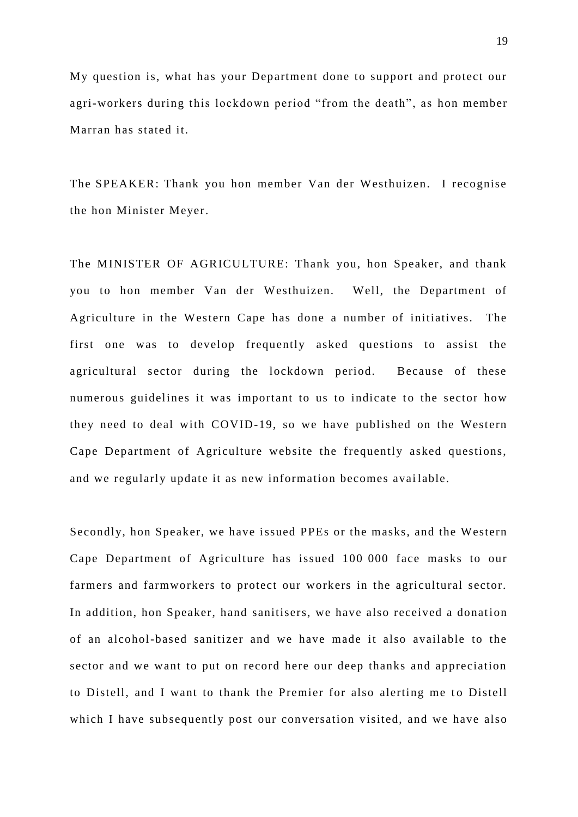My question is, what has your Department done to support and protect our agri-workers during this lockdown period "from the death", as hon member Marran has stated it.

The SPEAKER: Thank you hon member Van der Westhuizen. I recognise the hon Minister Meyer.

The MINISTER OF AGRICULTURE: Thank you, hon Speaker, and thank you to hon member Van der Westhuizen. Well, the Department of Agriculture in the Western Cape has done a number of initiatives. The first one was to develop frequently asked questions to assist the agricultural sector during the lockdown period. Because of these numerous guidelines it was important to us to indicate to the sector how they need to deal with COVID-19, so we have published on the Western Cape Department of Agriculture website the frequently asked questions, and we regularly update it as new information becomes available.

Secondly, hon Speaker, we have issued PPEs or the masks, and the Western Cape Department of Agriculture has issued 100 000 face masks to our farmers and farmworkers to protect our workers in the agricultural sector. In addition, hon Speaker, hand sanitisers, we have also received a donation of an alcohol-based sanitizer and we have made it also available to the sector and we want to put on record here our deep thanks and appreciation to Distell, and I want to thank the Premier for also alerting me to Distell which I have subsequently post our conversation visited, and we have also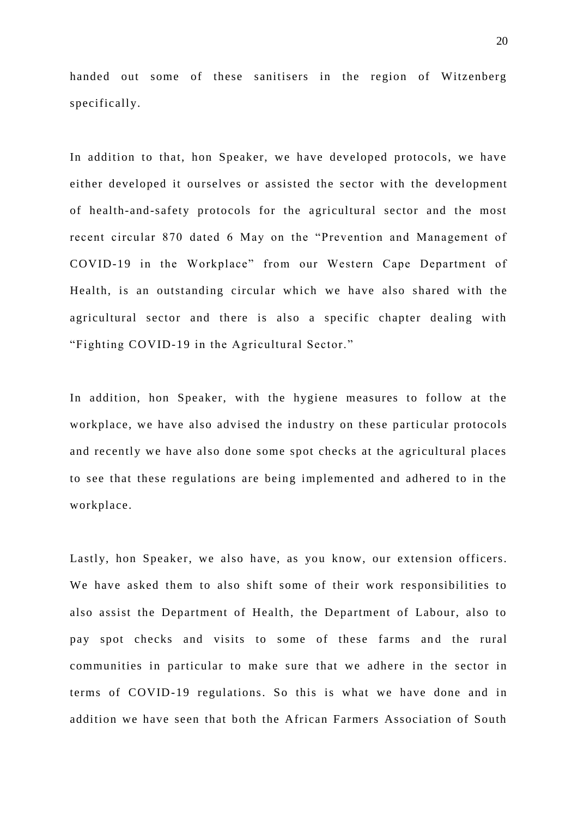handed out some of these sanitisers in the region of Witzenberg specifically.

In addition to that, hon Speaker, we have developed protocols, we have either developed it ourselves or assisted the sector with the development of health-and-safety protocols for the agricultural sector and the most recent circular 870 dated 6 May on the "Prevention and Management of COVID-19 in the Workplace" from our Western Cape Department of Health, is an outstanding circular which we have also shared with the agricultural sector and there is also a specific chapter dealing with "Fighting COVID-19 in the Agricultural Sector."

In addition, hon Speaker, with the hygiene measures to follow at the workplace, we have also advised the industry on these particular protocols and recently we have also done some spot checks at the agricultural places to see that these regulations are being implemented and adhered to in the workplace.

Lastly, hon Speaker, we also have, as you know, our extension officers. We have asked them to also shift some of their work responsibilities to also assist the Department of Health, the Department of Labour, also to pay spot checks and visits to some of these farms and the rural communities in particular to make sure that we adhere in the sector in terms of COVID-19 regulations. So this is what we have done and in addition we have seen that both the African Farmers Association of South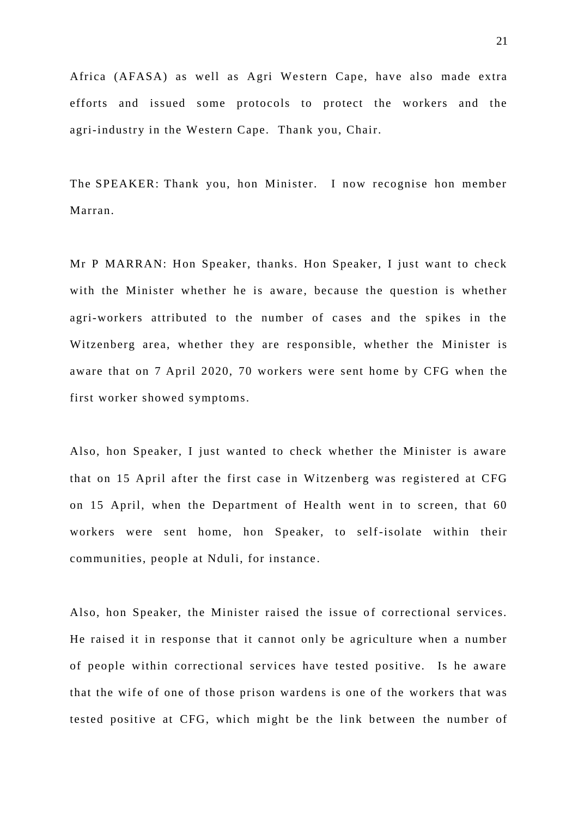Africa (AFASA) as well as Agri Western Cape, have also made extra efforts and issued some protocols to protect the workers and the agri-industry in the Western Cape. Thank you, Chair.

The SPEAKER: Thank you, hon Minister. I now recognise hon member Marran.

Mr P MARRAN: Hon Speaker, thanks. Hon Speaker, I just want to check with the Minister whether he is aware, because the question is whether agri-workers attributed to the number of cases and the spikes in the Witzenberg area, whether they are responsible, whether the Minister is aware that on 7 April 2020, 70 workers were sent home by CFG when the first worker showed symptoms.

Also, hon Speaker, I just wanted to check whether the Minister is aware that on 15 April after the first case in Witzenberg was registered at CFG on 15 April, when the Department of Health went in to screen, that 60 workers were sent home, hon Speaker, to self-isolate within their communities, people at Nduli, for instance .

Also, hon Speaker, the Minister raised the issue of correctional services. He raised it in response that it cannot only be agriculture when a number of people within correctional services have tested positive. Is he aware that the wife of one of those prison wardens is one of the workers that was tested positive at CFG, which might be the link between the number of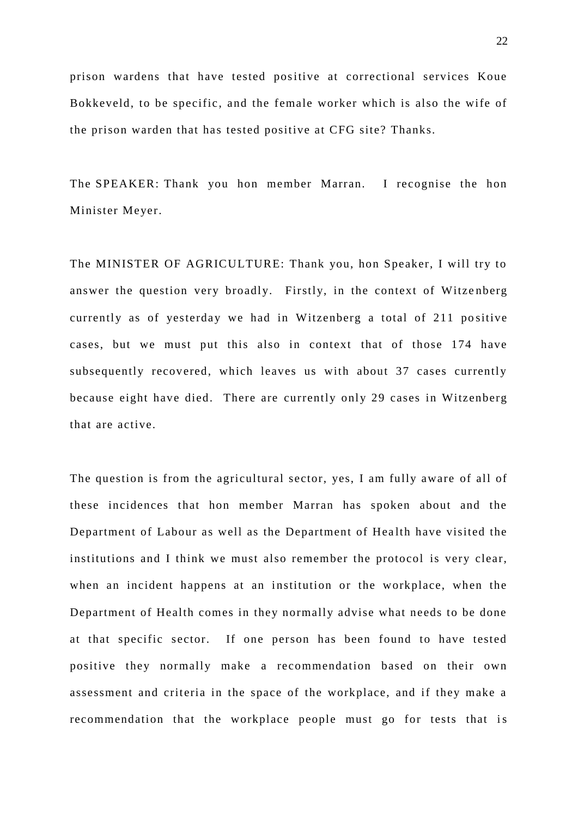prison wardens that have tested positive at correctional services Koue Bokkeveld, to be specific , and the female worker which is also the wife of the prison warden that has tested positive at CFG site? Thanks.

The SPEAKER: Thank you hon member Marran. I recognise the hon Minister Meyer.

The MINISTER OF AGRICULTURE: Thank you, hon Speaker, I will try to answer the question very broadly. Firstly, in the context of Witzenberg currently as of yesterday we had in Witzenberg a total of 211 positive cases, but we must put this also in context that of those 174 have subsequently recovered, which leaves us with about 37 cases currently because eight have died. There are currently only 29 cases in Witzenberg that are active.

The question is from the agricultural sector, yes, I am fully aware of all of these incidences that hon member Marran has spoken about and the Department of Labour as well as the Department of Health have visited the institutions and I think we must also remember the protocol is very clear, when an incident happens at an institution or the workplace, when the Department of Health comes in they normally advise what needs to be done at that specific sector. If one person has been found to have tested positive they normally make a recommendation based on their own assessment and criteria in the space of the workplace, and if they make a recommendation that the workplace people must go for tests that is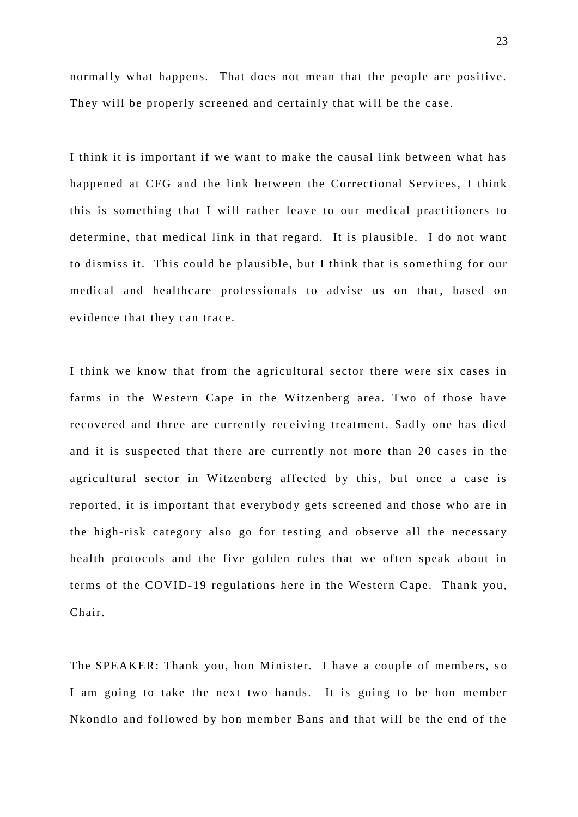normally what happens. That does not mean that the people are positive. They will be properly screened and certainly that will be the case.

I think it is important if we want to make the causal link between what has happened at CFG and the link between the Correctional Services, I think this is something that I will rather leave to our medical practitioners to determine, that medical link in that regard. It is plausible. I do not want to dismiss it. This could be plausible, but I think that is something for our medical and healthcare professionals to advise us on that, based on evidence that they can trace.

I think we know that from the agricultural sector there were six cases in farms in the Western Cape in the Witzenberg area. Two of those have recovered and three are currently receiving treatment. Sadly one has died and it is suspected that there are currently not more than 20 cases in the agricultural sector in Witzenberg affected by this, but once a case is reported, it is important that everybody gets screened and those who are in the high-risk category also go for testing and observe all the necessary health protocols and the five golden rules that we often speak about in terms of the COVID-19 regulations here in the Western Cape. Thank you, Chair.

The SPEAKER: Thank you, hon Minister. I have a couple of members, so I am going to take the next two hands. It is going to be hon member Nkondlo and followed by hon member Bans and that will be the end of the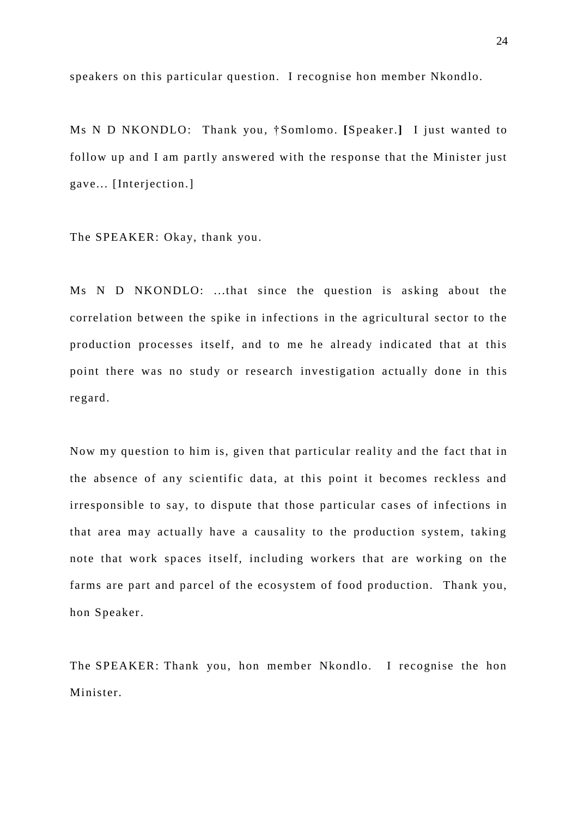speakers on this particular question. I recognise hon member Nkondlo.

Ms N D NKONDLO: Thank you , †Somlomo. **[**Speaker.**]** I just wanted to follow up and I am partly answered with the response that the Minister just gave... [Interjection.]

The SPEAKER: Okay, thank you.

Ms N D NKONDLO: ...that since the question is asking about the correlation between the spike in infections in the agricultural sector to the production processes itself, and to me he already indicated that at this point there was no study or research investigation actually done in this regard.

Now my question to him is, given that particular reality and the fact that in the absence of any scientific data, at this point it becomes reckless and irresponsible to say, to dispute that those particular cases of infections in that area may actually have a causality to the production system, taking note that work spaces itself, including workers that are working on the farms are part and parcel of the ecosystem of food production. Thank you, hon Speaker.

The SPEAKER: Thank you, hon member Nkondlo. I recognise the hon Minister.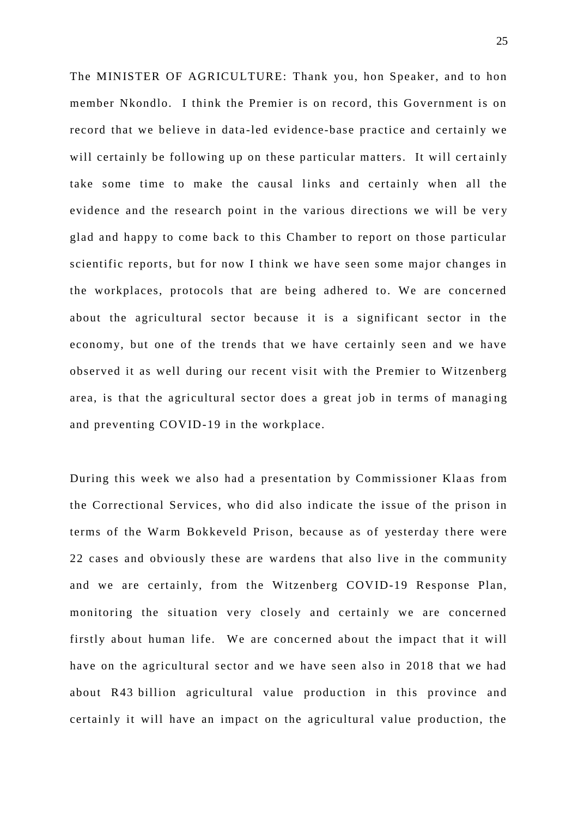The MINISTER OF AGRICULTURE: Thank you, hon Speaker, and to hon member Nkondlo. I think the Premier is on record, this Government is on record that we believe in data -led evidence-base practice and certainly we will certainly be following up on these particular matters. It will certainly take some time to make the causal links and certainly when all the evidence and the research point in the various directions we will be very glad and happy to come back to this Chamber to report on those particular scientific reports, but for now I think we have seen some major changes in the workplaces, protocols that are being adhered to. We are concerned about the agricultural sector because it is a significant sector in the economy, but one of the trends that we have certainly seen and we have observed it as well during our recent visit with the Premier to Witzenberg area, is that the agricultural sector does a great job in terms of managing and preventing COVID-19 in the workplace.

During this week we also had a presentation by Commissioner Kla as from the Correctional Services, who did also indicate the issue of the prison in terms of the Warm Bokkeveld Prison, because as of yesterday there were 22 cases and obviously these are wardens that also live in the community and we are certainly, from the Witzenberg COVID-19 Response Plan, monitoring the situation very closely and certainly we are concerned firstly about human life. We are concerned about the impact that it will have on the agricultural sector and we have seen also in 2018 that we had about R43 billion agricultural value production in this province and certainly it will have an impact on the agricultural value production, the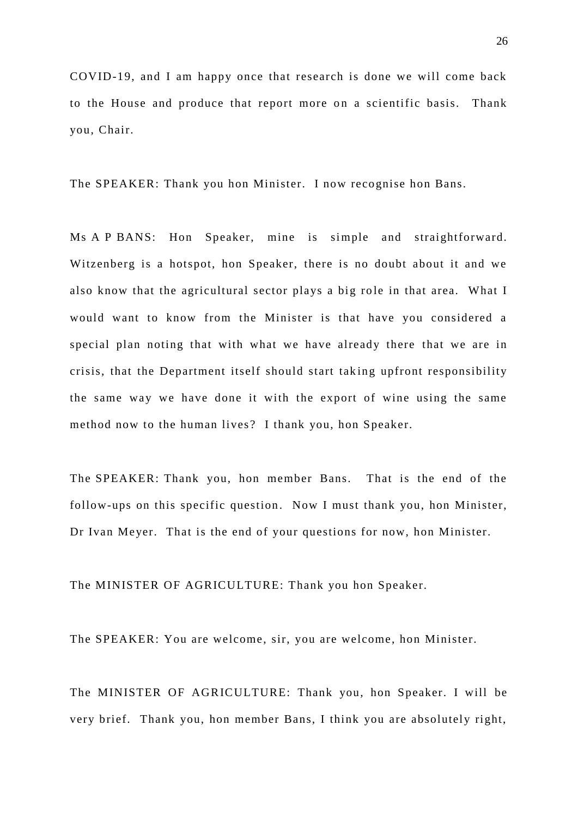COVID-19, and I am happy once that research is done we will come back to the House and produce that report more on a scientific basis. Thank you, Chair.

The SPEAKER: Thank you hon Minister. I now recognise hon Bans.

Ms A P BANS: Hon Speaker, mine is simple and straightforward. Witzenberg is a hotspot, hon Speaker, there is no doubt about it and we also know that the agricultural sector plays a big role in that area. What I would want to know from the Minister is that have you considered a special plan noting that with what we have already there that we are in crisis, that the Department itself should start tak ing upfront responsibility the same way we have done it with the export of wine using the same method now to the human lives? I thank you, hon Speaker.

The SPEAKER: Thank you, hon member Bans. That is the end of the follow-ups on this specific question. Now I must thank you, hon Minister, Dr Ivan Meyer. That is the end of your questions for now, hon Minister.

The MINISTER OF AGRICULTURE: Thank you hon Speaker.

The SPEAKER: You are welcome, sir, you are welcome, hon Minister.

The MINISTER OF AGRICULTURE: Thank you, hon Speaker. I will be very brief. Thank you, hon member Bans, I think you are absolutely right,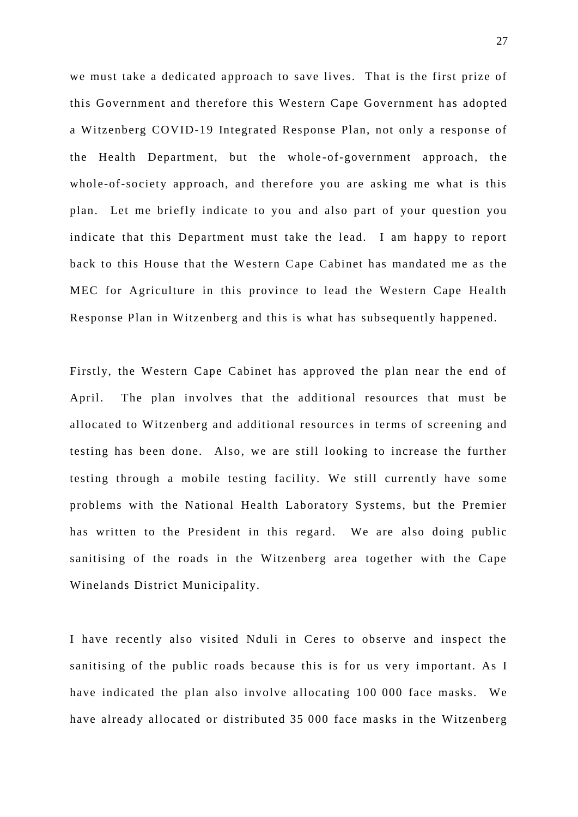we must take a dedicated approach to save lives. That is the first prize of this Government and therefore this Western Cape Government has adopted a Witzenberg COVID-19 Integrated Response Plan, not only a response of the Health Department, but the whole-of-government approach, the whole-of-society approach, and therefore you are asking me what is this plan. Let me briefly indicate to you and also part of your question you indicate that this Department must take the lead. I am happy to report back to this House that the Western Cape Cabinet has mandated me as the MEC for Agriculture in this province to lead the Western Cape Health Response Plan in Witzenberg and this is what has subsequently happened.

Firstly, the Western Cape Cabinet has approved the plan near the end of April. The plan involves that the additional resources that must be allocated to Witzenberg and additional resource s in terms of screening and testing has been done. Also, we are still looking to increase the further testing through a mobile testing facility. We still currently have some problems with the National Health Laboratory Systems, but the Premier has written to the President in this regard. We are also doing public sanitising of the roads in the Witzenberg area together with the Cape Winelands District Municipality.

I have recently also visited Nduli in Ceres to observe and inspect the sanitising of the public roads because this is for us very important. As I have indicated the plan also involve allocating 100 000 face masks. We have already allocated or distributed 35 000 face masks in the Witzenberg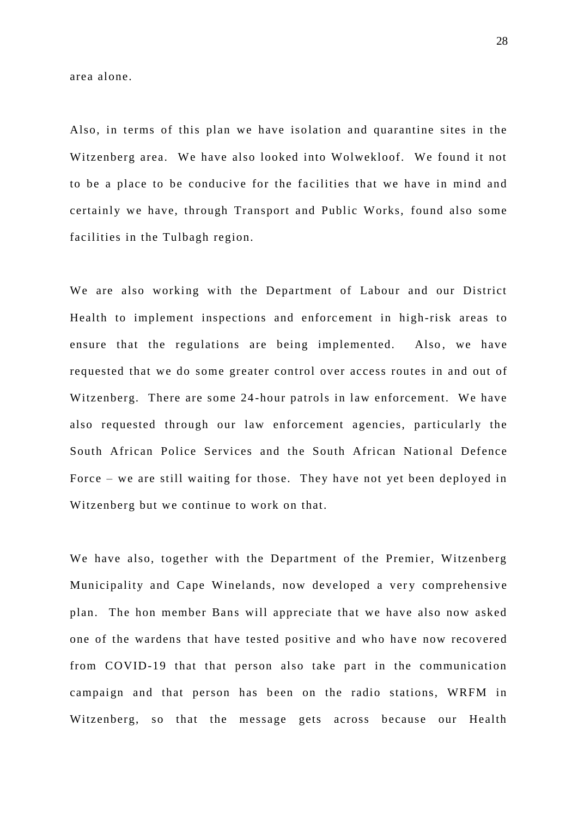area alone.

Also, in terms of this plan we have isolation and quarantine sites in the Witzenberg area. We have also looked into Wolwekloof. We found it not to be a place to be conducive for the facilities that we have in mind and certainly we have, through Transport and Public Works, found also some facilities in the Tulbagh region.

We are also working with the Department of Labour and our District Health to implement inspections and enforc ement in high-risk areas to ensure that the regulations are being implemented. Also, we have requested that we do some greater control over access routes in and out of Witzenberg. There are some 24 -hour patrols in law enforcement. We have also requested through our law enforcement agencies, particularly the South African Police Services and the South African National Defence Force – we are still waiting for those. They have not yet been deployed in Witzenberg but we continue to work on that.

We have also, together with the Department of the Premier, Witzenberg Municipality and Cape Winelands, now developed a very comprehensive plan. The hon member Bans will appreciate that we have also now asked one of the wardens that have tested positive and who have now recovered from COVID-19 that that person also take part in the communication campaign and that person has been on the radio stations, WRFM in Witzenberg, so that the message gets across because our Health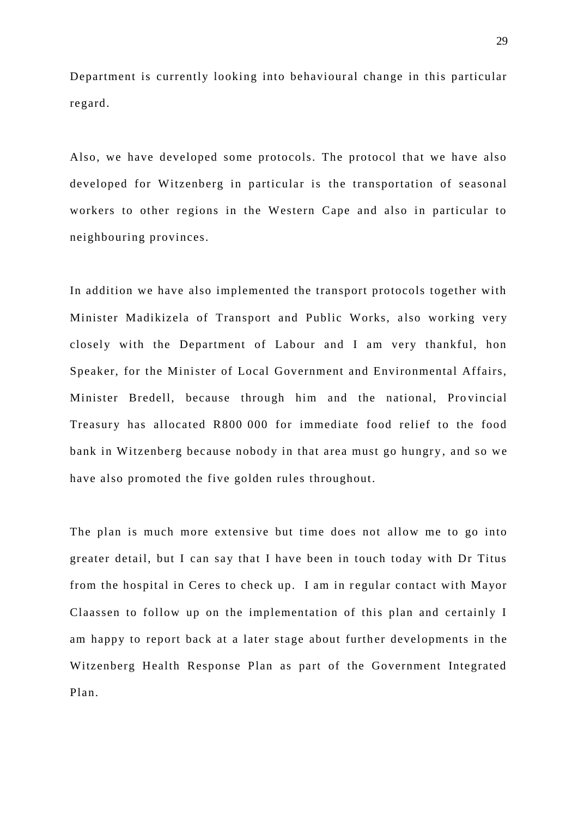Department is currently looking into behavioural change in this particular regard.

Also, we have developed some protocols. The protocol that we have also developed for Witzenberg in particular is the transportation of seasonal workers to other regions in the Western Cape and also in particular to neighbouring provinces.

In addition we have also implemented the transport protocols together with Minister Madikizela of Transport and Public Works, also working very closely with the Department of Labour and I am very thankful, hon Speaker, for the Minister of Local Government and Environmental Affairs, Minister Bredell, because through him and the national, Provincial Treasury has allocated R800 000 for immediate food relief to the food bank in Witzenberg because nobody in that area must go hungry , and so we have also promoted the five golden rules throughout.

The plan is much more extensive but time does not allow me to go into greater detail, but I can say that I have been in touch today with Dr Titus from the hospital in Ceres to check up. I am in regular contact with Mayor Claassen to follow up on the implementation of this plan and certainly I am happy to report back at a later stage about further developments in the Witzenberg Health Response Plan as part of the Government Integrated Plan.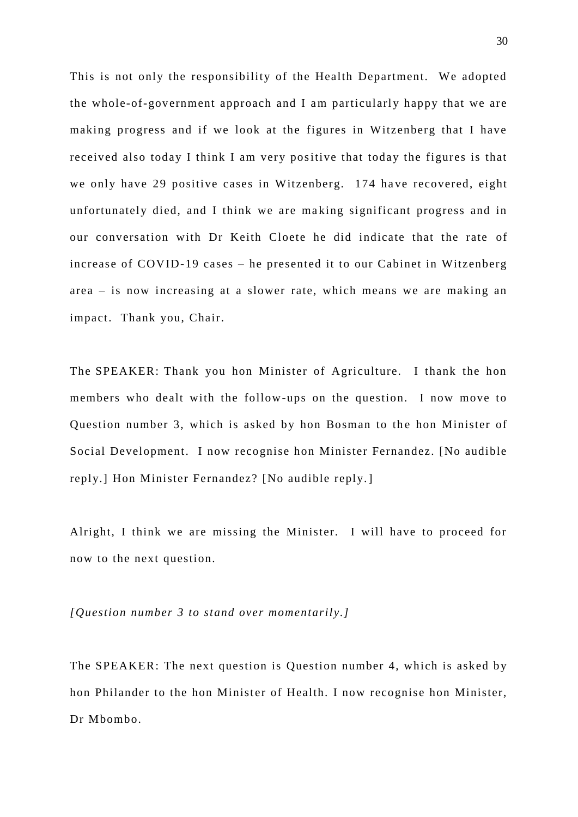This is not only the responsibility of the Health Department. We adopted the whole-of-government approach and I am particularly happy that we are making progress and if we look at the figures in Witzenberg that I have received also today I think I am very positive that today the figures is that we only have 29 positive cases in Witzenberg. 174 have recovered, eight unfortunately died, and I think we are ma king significant progress and in our conversation with Dr Keith Cloete he did indicate that the rate of increase of COVID-19 cases – he presented it to our Cabinet in Witzenberg area – is now increasing at a slower rate, which means we are making an impact. Thank you, Chair.

The SPEAKER: Thank you hon Minister of Agriculture. I thank the hon members who dealt with the follow-ups on the question. I now move to Question number 3, which is asked by hon Bosman to the hon Minister of Social Development. I now recognise hon Minister Fernandez. [No audible reply.] Hon Minister Fernandez? [No audible reply.]

Alright, I think we are missing the Minister. I will have to proceed for now to the next question.

*[Question number 3 to stand over momentarily.]*

The SPEAKER: The next question is Question number 4, which is asked by hon Philander to the hon Minister of Health. I now recognise hon Minister, Dr Mbombo.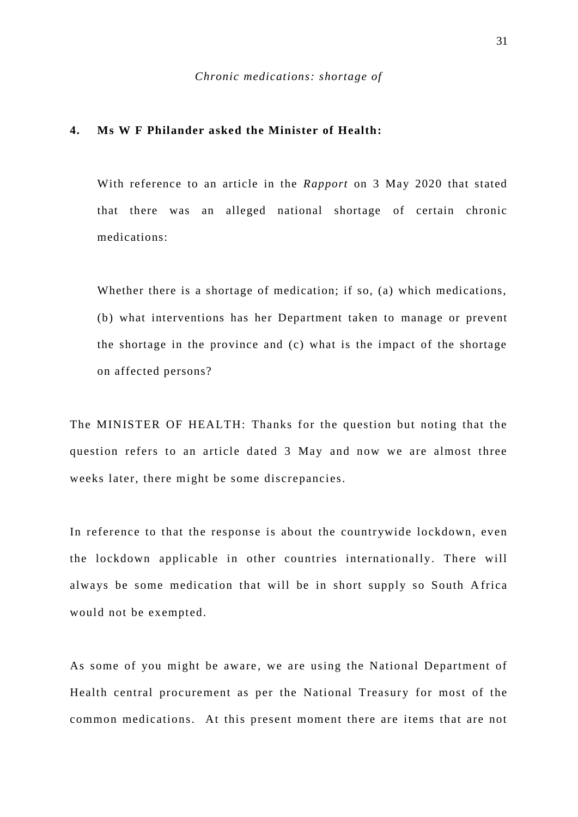## **4. Ms W F Philander asked the Minister of Health:**

With reference to an article in the *Rapport* on 3 May 2020 that stated that there was an alleged national shortage of certain chronic medications:

Whether there is a shortage of medication; if so, (a) which medications, (b) what interventions has her Department taken to manage or prevent the shortage in the province and (c) what is the impact of the shortage on affected persons?

The MINISTER OF HEALTH: Thanks for the question but noting that the question refers to an article dated 3 May and now we are almost three weeks later, there might be some discrepancies.

In reference to that the response is about the countrywide lockdown, even the lockdown applicable in other countries internationally. There will always be some medication that will be in short supply so South A frica would not be exempted.

As some of you might be aware, we are using the National Department of Health central procurement as per the National Treasury for most of the common medications. At this present moment there are items that are not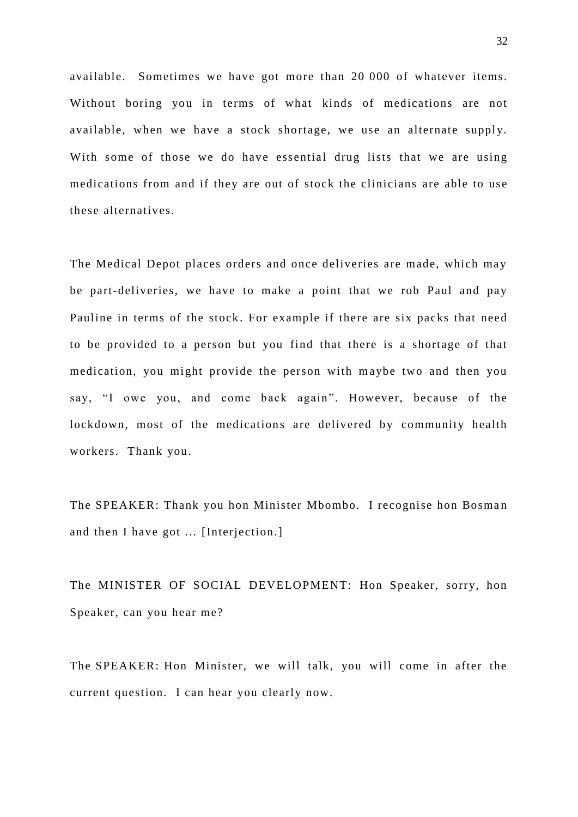available. Sometimes we have got more than 20 000 of whatever items. Without boring you in terms of what kinds of medications are not available, when we have a stock shortage, we use an alternate supply. With some of those we do have essential drug lists that we are using medications from and if they are out of stock the clinicians are able to use these alternatives.

The Medical Depot places orders and once deliveries are made, which may be part-deliveries, we have to make a point that we rob Paul and pay Pauline in terms of the stock . For example if there are six packs that need to be provided to a person but you find that there is a shortage of that medication, you might provide the person with maybe two and then you say, "I owe you, and come back again". However, because of the lockdown, most of the medications are delivered by community health workers. Thank you.

The SPEAKER: Thank you hon Minister Mbombo. I recognise hon Bosman and then I have got ... [Interjection.]

The MINISTER OF SOCIAL DEVELOPMENT: Hon Speaker, sorry, hon Speaker, can you hear me?

The SPEAKER: Hon Minister, we will talk, you will come in after the current question. I can hear you clearly now.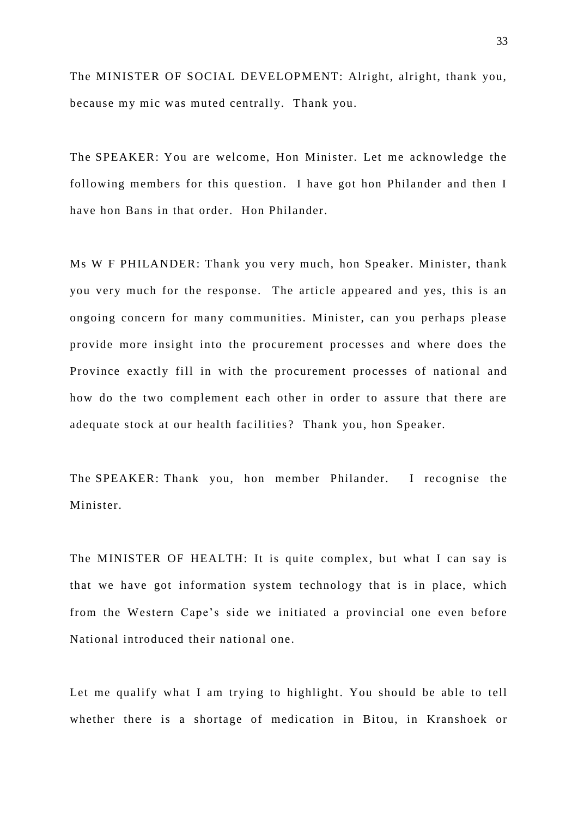The MINISTER OF SOCIAL DEVELOPMENT: Alright, alright, thank you, because my mic was muted centrally. Thank you.

The SPEAKER: You are welcome, Hon Minister. Let me acknowledge the following members for this question. I have got hon Philander and then I have hon Bans in that order. Hon Philander.

Ms W F PHILANDER: Thank you very much, hon Speaker. Minister, thank you very much for the response. The article appeared and yes, this is an ongoing concern for many communities. Minister, can you perhaps please provide more insight into the procurement processes and where does the Province exactly fill in with the procurement processes of national and how do the two complement each other in order to assure that there are adequate stock at our health facilities ? Thank you, hon Speaker.

The SPEAKER: Thank you, hon member Philander. I recognise the Minister.

The MINISTER OF HEALTH: It is quite complex, but what I can say is that we have got information system technology that is in place, which from the Western Cape's side we initiated a provincial one even before National introduced their national one.

Let me qualify what I am trying to highlight. You should be able to tell whether there is a shortage of medication in Bitou, in Kranshoek or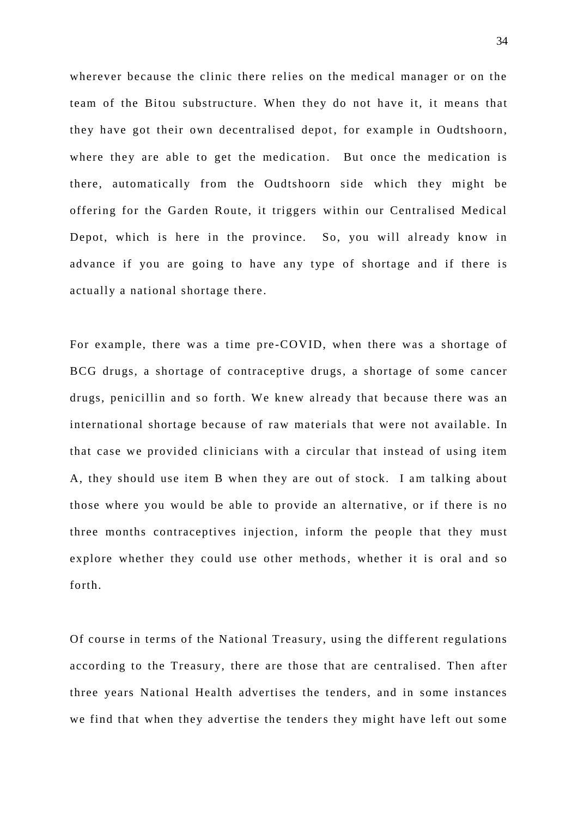wherever because the clinic there relies on the medical manager or on the team of the Bitou substructure. When they do not have it, it means that they have got their own decentralised depot, for example in Oudtshoorn, where they are able to get the medication. But once the medication is there, automatically from the Oudtshoorn side which they might be offering for the Garden Route, it triggers within our Centralised Medical Depot, which is here in the province. So, you will already know in advance if you are going to have any type of shortage and if there is actually a national shortage there .

For example, there was a time pre -COVID, when there was a shortage of BCG drugs, a shortage of contraceptive drugs, a shortage of some cancer drugs, penicillin and so forth. We knew already that because there was an international shortage because of raw materials that were not available. In that case we provided clinicians with a circular that instead of using item A, they should use item B when they are out of stock. I am talking about those where you would be able to provide an alternative, or if there is no three months contraceptives injection, inform the people that they must explore whether they could use other methods, whether it is oral and so forth.

Of course in terms of the National Treasury, using the different regulations according to the Treasury, there are those that are centralised. Then after three years National Health advertises the tenders, and in some instances we find that when they advertise the tenders they might have left out some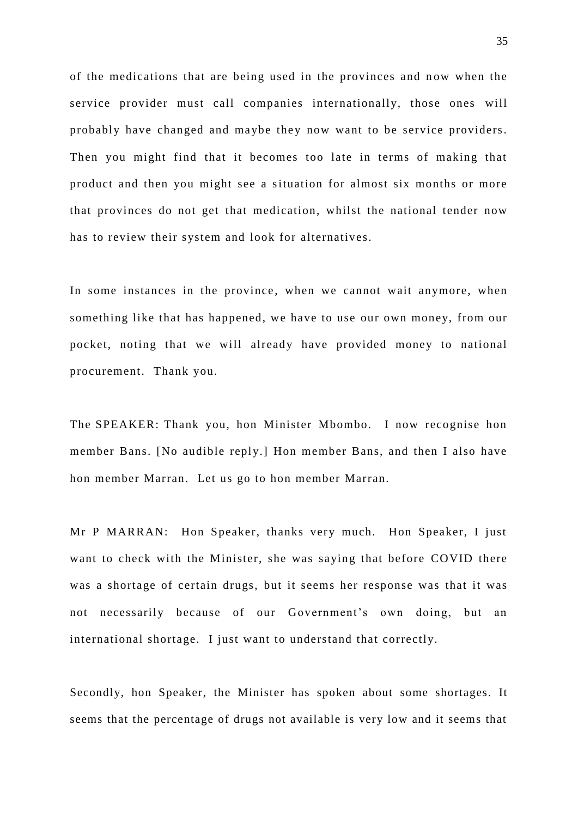of the medications that are being used in the provinces and now when the service provider must call companies internationally, those ones will probably have changed and maybe they now want to be service providers. Then you might find that it becomes too late in terms of making that product and then you might see a situation for almost six months or more that provinces do not get that medication, whilst the national tender now has to review their system and look for alternatives.

In some instances in the province, when we cannot wait anymore, when something like that has happened, we have to use our own money, from our pocket, noting that we will already have provided money to national procurement. Thank you.

The SPEAKER: Thank you, hon Minister Mbombo. I now recognise hon member Bans. [No audible reply.] Hon member Bans, and then I also have hon member Marran. Let us go to hon member Marran.

Mr P MARRAN: Hon Speaker, thanks very much. Hon Speaker, I just want to check with the Minister, she was saying that before COVID there was a shortage of certain drugs, but it seems her response was that it was not necessarily because of our Government's own doing, but an international shortage. I just want to understand that correctly.

Secondly, hon Speaker, the Minister has spoken about some shortages. It seems that the percentage of drugs not available is very low and it seems that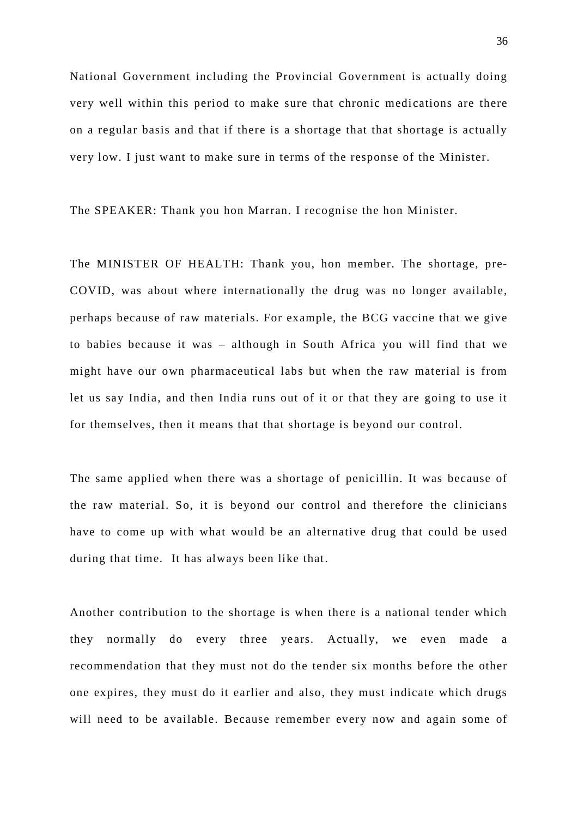National Government including the Provincial Government is actually doing very well within this period to make sure that chronic medications are there on a regular basis and that if there is a shortage that that shortage is actually very low. I just want to make sure in terms of the response of the Minister.

The SPEAKER: Thank you hon Marran. I recognise the hon Minister.

The MINISTER OF HEALTH: Thank you, hon member. The shortage, pre-COVID, was about where internationally the drug was no longer available, perhaps because of raw materials. For example, the BCG vaccine that we give to babies because it was – although in South Africa you will find that we might have our own pharmaceutical labs but when the raw material is from let us say India, and then India runs out of it or that they are going to use it for themselves, then it means that that shortage is beyond our control.

The same applied when there was a shortage of penicillin. It was because of the raw material. So, it is beyond our control and therefore the clinicians have to come up with what would be an alternative drug that could be used during that time. It has always been like that.

Another contribution to the shortage is when there is a national tender which they normally do every three years. Actually, we even made a recommendation that they must not do the tender six months before the other one expires, they must do it earlier and also, they must indicate which drugs will need to be available. Because remember every now and again some of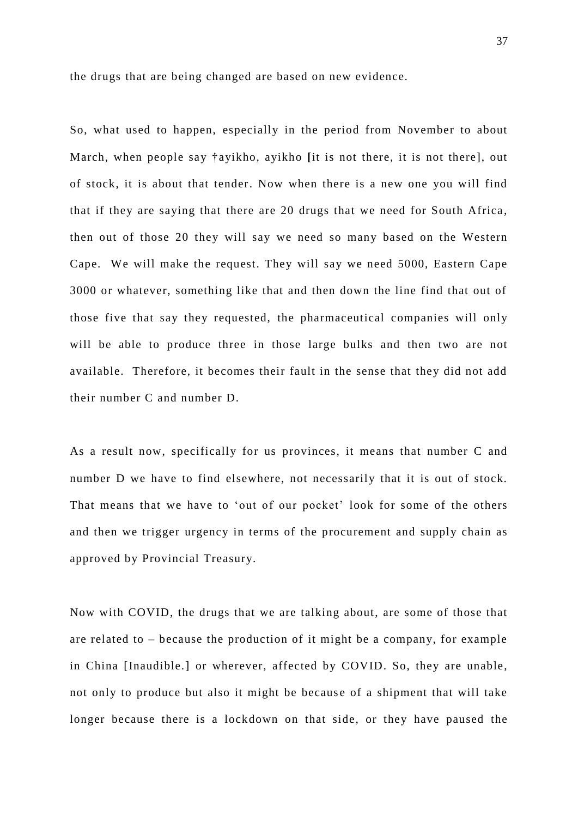the drugs that are being changed are based on new evidence.

So, what used to happen, especially in the period from November to about March, when people say †ayikho, ayikho **[**it is not there, it is not there], out of stock, it is about that tender. Now when there is a new one you will find that if they are saying that there are 20 drugs that we need for South Africa, then out of those 20 they will say we need so many based on the Western Cape. We will make the request. They will say we need 5000, Eastern Cape 3000 or whatever, something like that and then down the line find that out of those five that say they requested, the pharmaceutical companies will only will be able to produce three in those large bulks and then two are not available. Therefore, it becomes their fault in the sense that they did not add their number C and number D.

As a result now, specifically for us provinces, it means that number C and number D we have to find elsewhere, not necessarily that it is out of stock. That means that we have to 'out of our pocket' look for some of the others and then we trigger urgency in terms of the procurement and supply chain as approved by Provincial Treasury.

Now with COVID, the drugs that we are talking about, are some of those that are related to – because the production of it might be a company, for example in China [Inaudible.] or wherever, affected by COVID. So, they are unable, not only to produce but also it might be because of a shipment that will take longer because there is a lockdown on that side, or they have paused the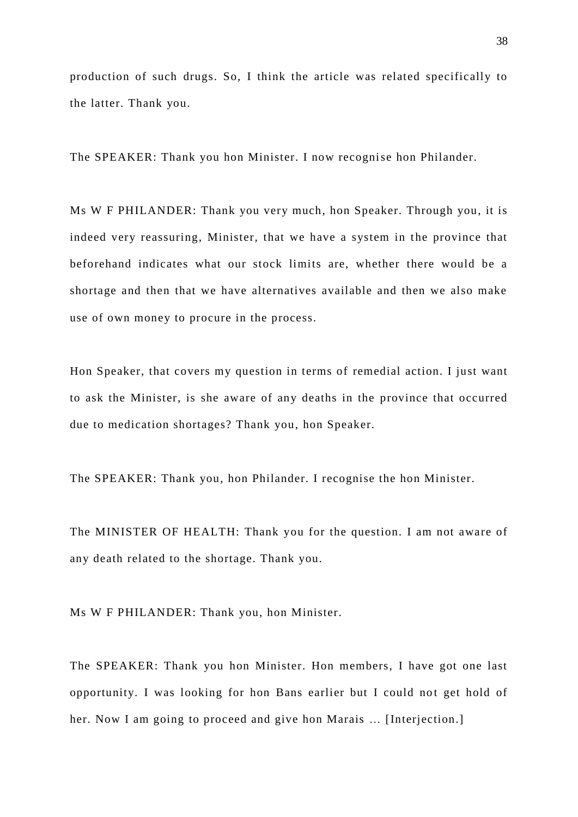production of such drugs. So, I think the article was related specifically to the latter. Thank you.

The SPEAKER: Thank you hon Minister. I now recognise hon Philander.

Ms W F PHILANDER: Thank you very much, hon Speaker. Through you, it is indeed very reassuring, Minister, that we have a system in the province that beforehand indicates what our stock limits are, whether there would be a shortage and then that we have alternatives available and then we also make use of own money to procure in the process.

Hon Speaker, that covers my question in terms of remedial action. I just want to ask the Minister, is she aware of any deaths in the province that occurred due to medication shortages? Thank you, hon Speaker.

The SPEAKER: Thank you, hon Philander. I recognise the hon Minister.

The MINISTER OF HEALTH: Thank you for the question. I am not aware of any death related to the shortage. Thank you.

Ms W F PHILANDER: Thank you, hon Minister.

The SPEAKER: Thank you hon Minister. Hon members, I have got one last opportunity. I was looking for hon Bans earlier but I could not get hold of her. Now I am going to proceed and give hon Marais … [Interjection.]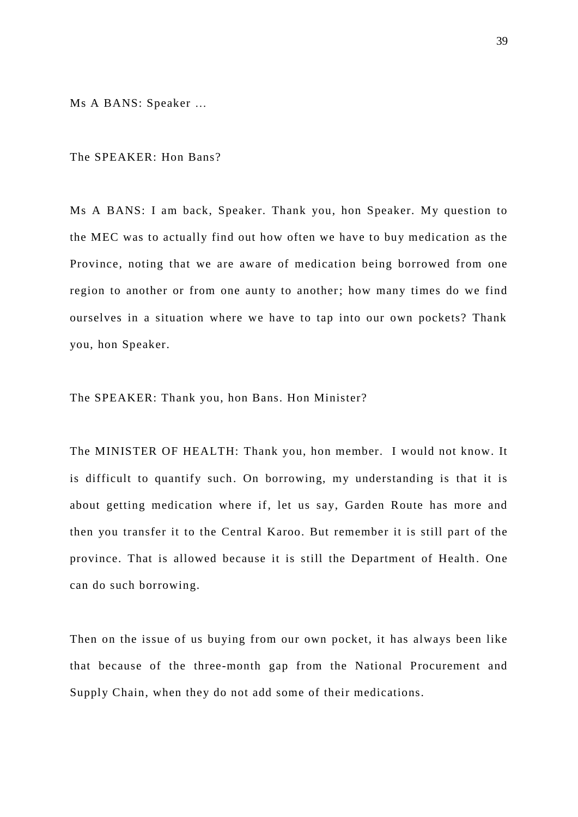Ms A BANS: Speaker …

The SPEAKER: Hon Bans?

Ms A BANS: I am back, Speaker. Thank you, hon Speaker. My question to the MEC was to actually find out how often we have to buy medication as the Province, noting that we are aware of medication being borrowed from one region to another or from one aunty to another; how many times do we find ourselves in a situation where we have to tap into our own pockets? Thank you, hon Speaker.

The SPEAKER: Thank you, hon Bans. Hon Minister?

The MINISTER OF HEALTH: Thank you, hon member. I would not know. It is difficult to quantify such. On borrowing, my understanding is that it is about getting medication where if, let us say, Garden Route has more and then you transfer it to the Central Karoo. But remember it is still part of the province. That is allowed because it is still the Department of Health . One can do such borrowing.

Then on the issue of us buying from our own pocket, it has always been like that because of the three-month gap from the National Procurement and Supply Chain, when they do not add some of their medications.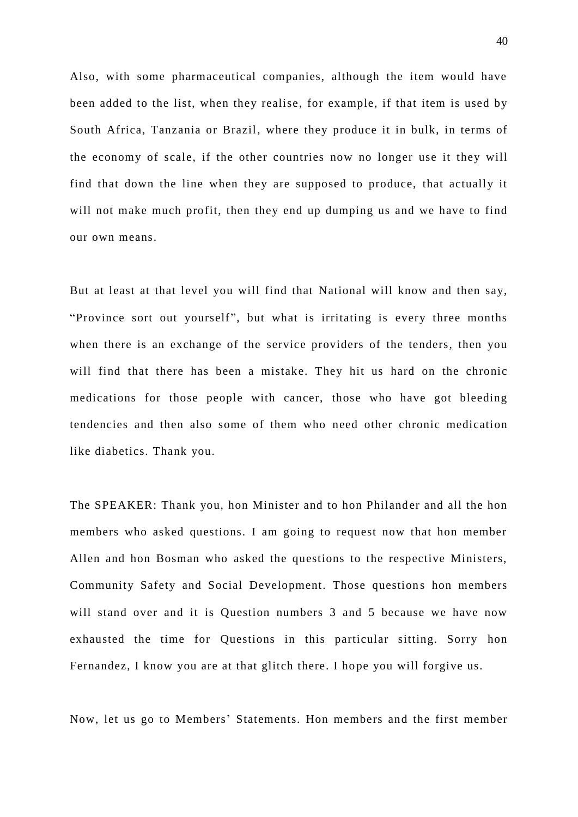Also, with some pharmaceutical companies, although the item would have been added to the list, when they realise, for example, if that item is used by South Africa, Tanzania or Brazil, where they produce it in bulk, in terms of the economy of scale, if the other countries now no longer use it they will find that down the line when they are supposed to produce, that actually it will not make much profit, then they end up dumping us and we have to find our own means.

But at least at that level you will find that National will know and then say, "Province sort out yourself", but what is irritating is every three months when there is an exchange of the service providers of the tenders, then you will find that there has been a mistake. They hit us hard on the chronic medications for those people with cancer, those who have got bleeding tendencies and then also some of them who need other chronic medication like diabetics. Thank you.

The SPEAKER: Thank you, hon Minister and to hon Philander and all the hon members who asked questions. I am going to request now that hon member Allen and hon Bosman who asked the questions to the respective Ministers, Community Safety and Social Development. Those questions hon members will stand over and it is Question numbers 3 and 5 because we have now exhausted the time for Questions in this particular sitting. Sorry hon Fernandez, I know you are at that glitch there. I hope you will forgive us.

Now, let us go to Members' Statements. Hon members and the first member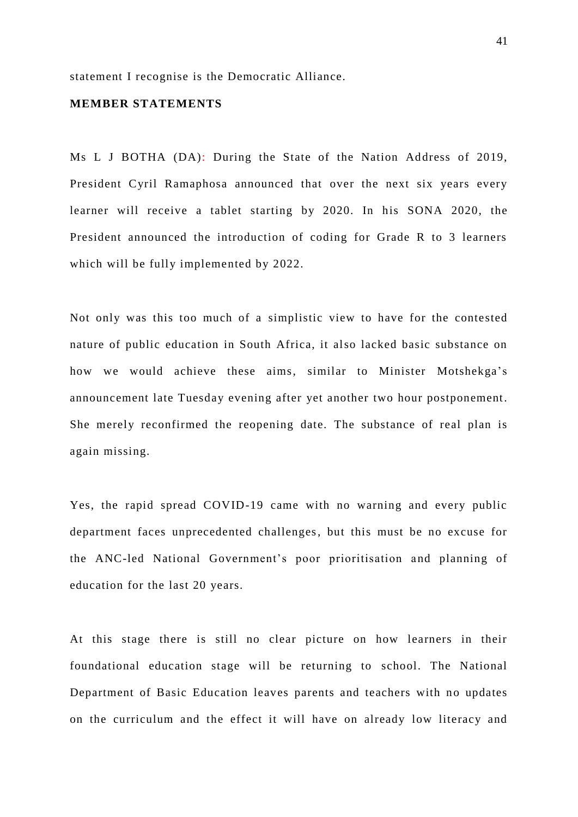statement I recognise is the Democratic Alliance.

### **MEMBER STATEMENTS**

Ms L J BOTHA (DA): During the State of the Nation Address of 2019, President Cyril Ramaphosa announced that over the next six years every learner will receive a tablet starting by 2020. In his SONA 2020, the President announced the introduction of coding for Grade R to 3 learners which will be fully implemented by 2022.

Not only was this too much of a simplistic view to have for the contested nature of public education in South Africa, it also lacked basic substance on how we would achieve these aims, similar to Minister Motshekga's announcement late Tuesday evening after yet another two hour postponement. She merely reconfirmed the reopening date. The substance of real plan is again missing.

Yes, the rapid spread COVID-19 came with no warning and every public department faces unprecedented challenges, but this must be no excuse for the ANC-led National Government's poor prioritisation and planning of education for the last 20 years.

At this stage there is still no clear picture on how learners in their foundational education stage will be returning to school. The National Department of Basic Education leaves parents and teachers with no updates on the curriculum and the effect it will have on already low literacy and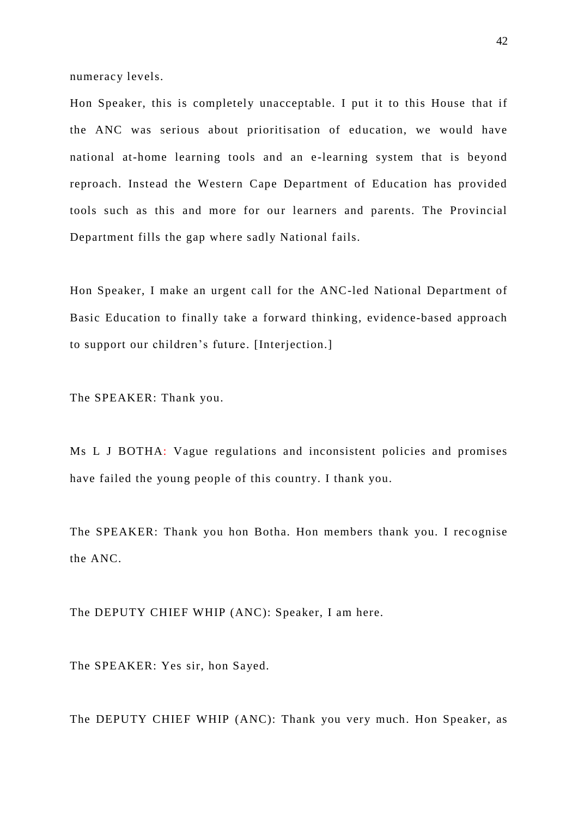numeracy levels.

Hon Speaker, this is completely unacceptable. I put it to this House that if the ANC was serious about prioritisation of education, we would have national at-home learning tools and an e-learning system that is beyond reproach. Instead the Western Cape Department of Education has provided tools such as this and more for our learners and parents. The Provincial Department fills the gap where sadly National fails.

Hon Speaker, I make an urgent call for the ANC-led National Department of Basic Education to finally take a forward thinking, evidence-based approach to support our children's future. [Interjection.]

The SPEAKER: Thank you.

Ms L J BOTHA: Vague regulations and inconsistent policies and promises have failed the young people of this country. I thank you.

The SPEAKER: Thank you hon Botha. Hon members thank you. I recognise the ANC.

The DEPUTY CHIEF WHIP (ANC): Speaker, I am here.

The SPEAKER: Yes sir, hon Sayed.

The DEPUTY CHIEF WHIP (ANC): Thank you very much. Hon Speaker, as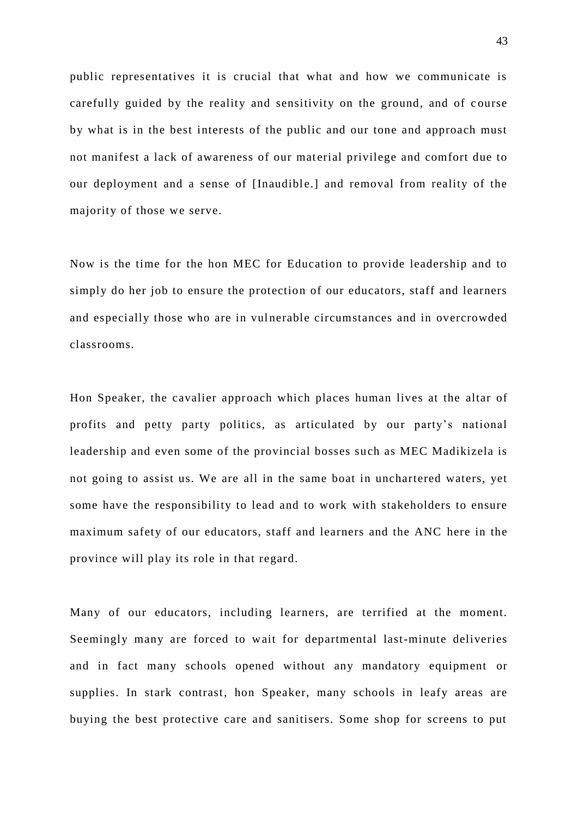public representatives it is crucial that what and how we communicate is carefully guided by the reality and sensitivity on the ground, and of course by what is in the best interests of the public and our tone and approach must not manifest a lack of awareness of our material privilege and comfort due to our deployment and a sense of [Inaudible.] and removal from reality of the majority of those we serve.

Now is the time for the hon MEC for Education to provide leadership and to simply do her job to ensure the protection of our educators, staff and learners and especially those who are in vulnerable circumstances and in overcrowded classrooms.

Hon Speaker, the cavalier approach which places human lives at the altar of profits and petty party politics, as articulated by our party's national leadership and even some of the provincial bosses such as MEC Madikizela is not going to assist us. We are all in the same boat in unchartered waters, yet some have the responsibility to lead and to work with stakeholders to ensure maximum safety of our educators, staff and learners and the ANC here in the province will play its role in that regard.

Many of our educators, including learners, are terrified at the moment. Seemingly many are forced to wait for departmental last-minute deliveries and in fact many schools opened without any mandatory equipment or supplies. In stark contrast, hon Speaker, many schools in leafy areas are buying the best protective care and sanitisers. Some shop for screens to put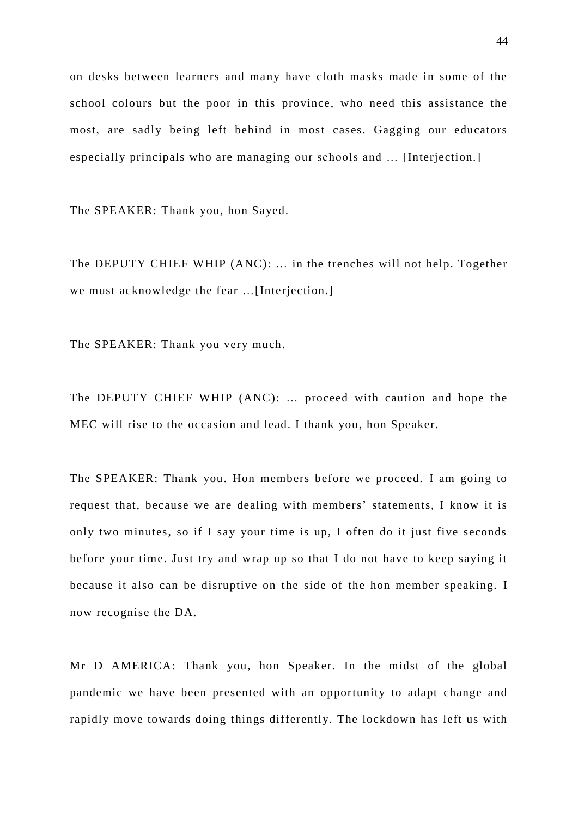on desks between learners and many have cloth masks made in some of the school colours but the poor in this province, who need this assistance the most, are sadly being left behind in most cases. Gagging our educators especially principals who are managing our schools and … [Interjection.]

The SPEAKER: Thank you, hon Sayed.

The DEPUTY CHIEF WHIP (ANC): … in the trenches will not help. Together we must acknowledge the fear ... [Interjection.]

The SPEAKER: Thank you very much.

The DEPUTY CHIEF WHIP (ANC): … proceed with caution and hope the MEC will rise to the occasion and lead. I thank you, hon Speaker.

The SPEAKER: Thank you. Hon members before we proceed. I am going to request that, because we are dealing with members' statements, I know it is only two minutes, so if I say your time is up, I often do it just five seconds before your time. Just try and wrap up so that I do not have to keep saying it because it also can be disruptive on the side of the hon member speaking. I now recognise the DA.

Mr D AMERICA: Thank you, hon Speaker. In the midst of the global pandemic we have been presented with an opportunity to adapt change and rapidly move towards doing things differently. The lockdown has left us with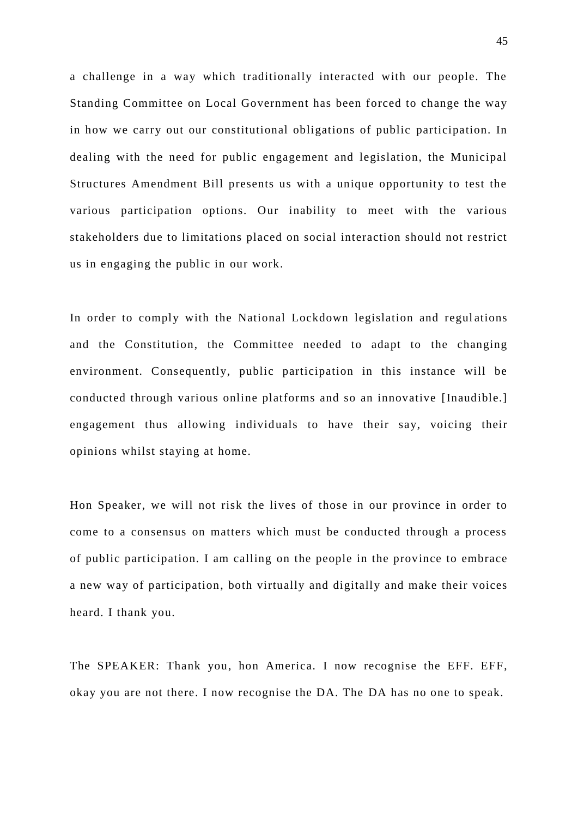a challenge in a way which traditionally interacted with our people. The Standing Committee on Local Government has been forced to change the way in how we carry out our constitutional obligations of public participation. In dealing with the need for public engagement and legislation, the Municipal Structures Amendment Bill presents us with a unique opportunity to test the various participation options. Our inability to meet with the various stakeholders due to limitations placed on social interaction should not restrict us in engaging the public in our work.

In order to comply with the National Lockdown legislation and regul ations and the Constitution, the Committee needed to adapt to the changing environment. Consequently, public participation in this instance will be conducted through various online platforms and so an innovative [Inaudible.] engagement thus allowing individuals to have their say, voicing their opinions whilst staying at home.

Hon Speaker, we will not risk the lives of those in our province in order to come to a consensus on matters which must be conducted through a process of public participation. I am calling on the people in the province to embrace a new way of participation, both virtually and digitally and make their voices heard. I thank you.

The SPEAKER: Thank you, hon America. I now recognise the EFF. EFF, okay you are not there. I now recognise the DA. The DA has no one to speak.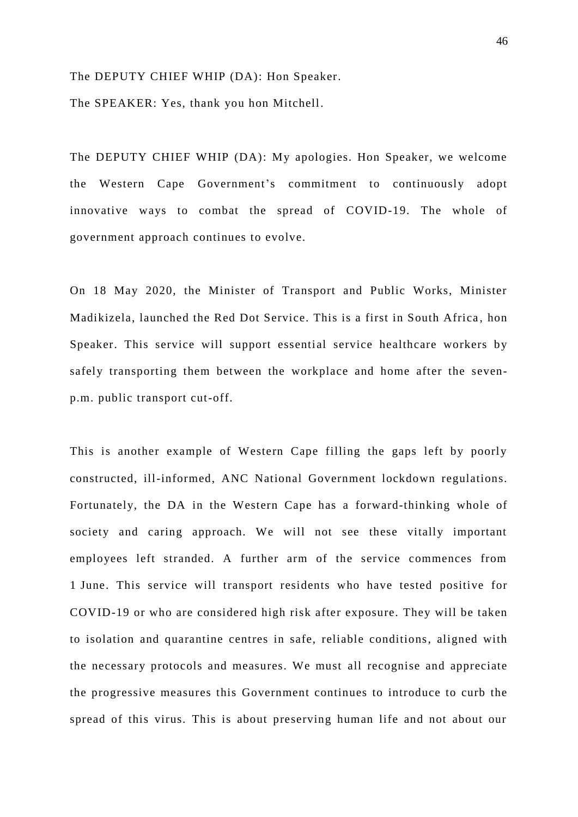The DEPUTY CHIEF WHIP (DA): Hon Speaker.

The SPEAKER: Yes, thank you hon Mitchell.

The DEPUTY CHIEF WHIP (DA): My apologies. Hon Speaker, we welcome the Western Cape Government's commitment to continuously adopt innovative ways to combat the spread of COVID-19. The whole of government approach continues to evolve.

On 18 May 2020, the Minister of Transport and Public Works, Minister Madikizela, launched the Red Dot Service. This is a first in South Africa , hon Speaker. This service will support essential service healthcare workers by safely transporting them between the workplace and home after the sevenp.m. public transport cut-off.

This is another example of Western Cape filling the gaps left by poorly constructed, ill-informed, ANC National Government lockdown regulations. Fortunately, the DA in the Western Cape has a forward-thinking whole of society and caring approach. We will not see these vitally important employees left stranded. A further arm of the service commences from 1 June. This service will transport residents who have tested positive for COVID-19 or who are considered high risk after exposure. They will be taken to isolation and quarantine centres in safe, reliable conditions, aligned with the necessary protocols and measures. We must all recognise and appreciate the progressive measures this Government continues to introduce to curb the spread of this virus. This is about preserving human life and not about our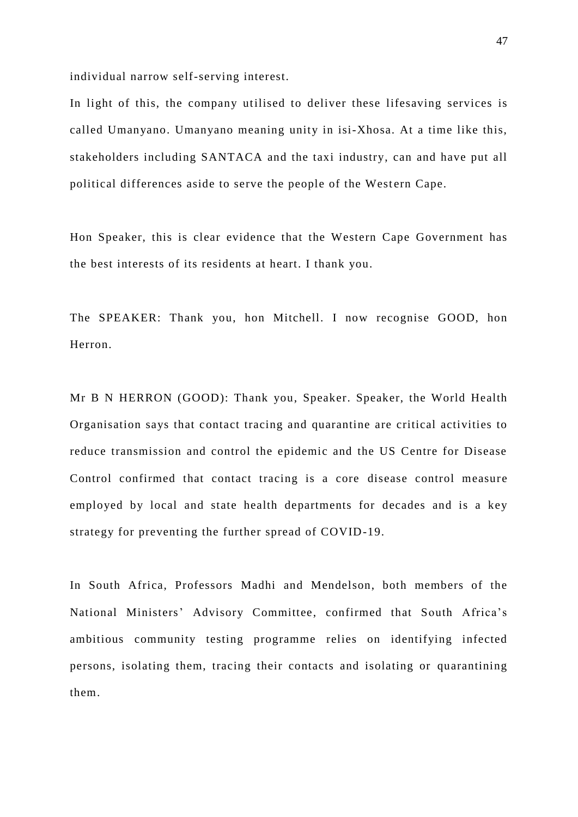individual narrow self-serving interest.

In light of this, the company utilised to deliver these lifesaving services is called Umanyano. Umanyano meaning unity in isi-Xhosa. At a time like this, stakeholders including SANTACA and the taxi industry, can and have put all political differences aside to serve the people of the Western Cape.

Hon Speaker, this is clear evidence that the Western Cape Government has the best interests of its residents at heart. I thank you.

The SPEAKER: Thank you, hon Mitchell. I now recognise GOOD, hon Herron.

Mr B N HERRON (GOOD): Thank you, Speaker. Speaker, the World Health Organisation says that contact tracing and quarantine are critical activities to reduce transmission and control the epidemic and the US Centre for Disease Control confirmed that contact tracing is a core disease control measure employed by local and state health departments for decades and is a key strategy for preventing the further spread of COVID-19.

In South Africa, Professors Madhi and Mendelson, both members of the National Ministers' Advisory Committee, confirmed that South Africa's ambitious community testing programme relies on identifying infected persons, isolating them, tracing their contacts and isolating or quarantining them.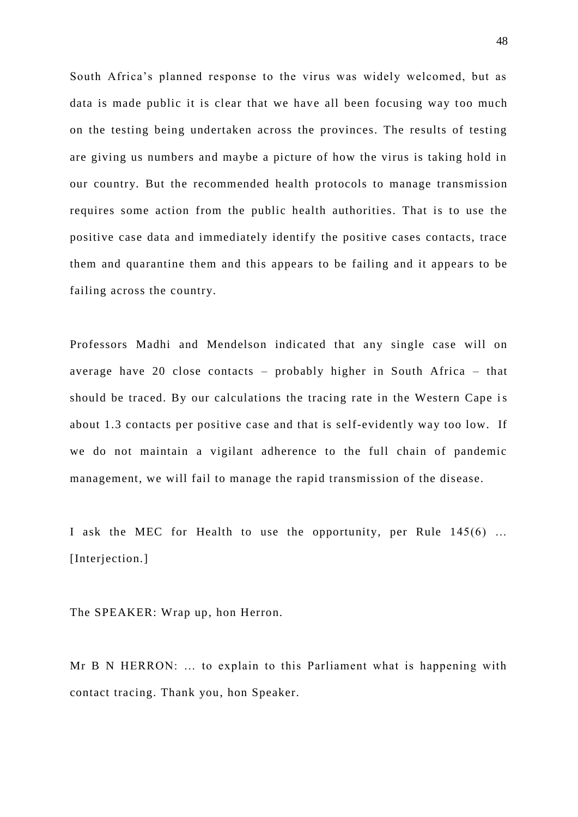South Africa's planned response to the virus was widely welcomed, but as data is made public it is clear that we have all been focusing way too much on the testing being undertaken across the provinces. The results of testing are giving us numbers and maybe a picture of how the virus is taking hold in our country. But the recommended health protocols to manage transmission requires some action from the public health authorities. That is to use the positive case data and immediately identify the positive cases contacts, trace them and quarantine them and this appears to be failing and it appears to be failing across the country.

Professors Madhi and Mendelson indicated that any single case will on average have 20 close contacts – probably higher in South Africa – that should be traced. By our calculations the tracing rate in the Western Cape is about 1.3 contacts per positive case and that is self-evidently way too low. If we do not maintain a vigilant adherence to the full chain of pandemic management, we will fail to manage the rapid transmission of the disease.

I ask the MEC for Health to use the opportunity, per Rule 145(6) … [Interjection.]

The SPEAKER: Wrap up, hon Herron.

Mr B N HERRON: … to explain to this Parliament what is happening with contact tracing. Thank you, hon Speaker.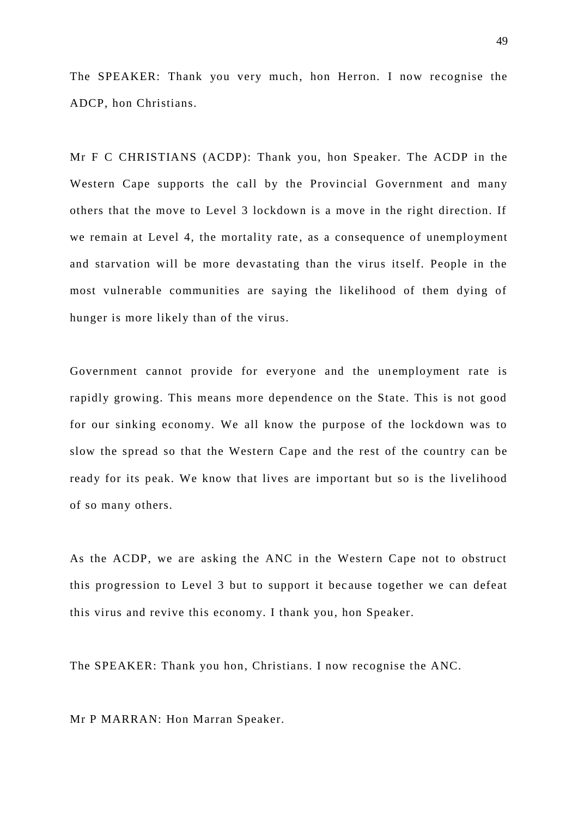The SPEAKER: Thank you very much, hon Herron. I now recognise the ADCP, hon Christians.

Mr F C CHRISTIANS (ACDP): Thank you, hon Speaker. The ACDP in the Western Cape supports the call by the Provincial Government and many others that the move to Level 3 lockdown is a move in the right direction. If we remain at Level 4, the mortality rate, as a consequence of unemployment and starvation will be more devastating than the virus itself. People in the most vulnerable communities are saying the likelihood of them dying of hunger is more likely than of the virus.

Government cannot provide for everyone and the unemployment rate is rapidly growing. This means more dependence on the State. This is not good for our sinking economy. We all know the purpose of the lockdown was to slow the spread so that the Western Cape and the rest of the country can be ready for its peak. We know that lives are important but so is the livelihood of so many others.

As the ACDP, we are asking the ANC in the Western Cape not to obstruct this progression to Level 3 but to support it bec ause together we can defeat this virus and revive this economy. I thank you, hon Speaker.

The SPEAKER: Thank you hon, Christians. I now recognise the ANC.

Mr P MARRAN: Hon Marran Speaker.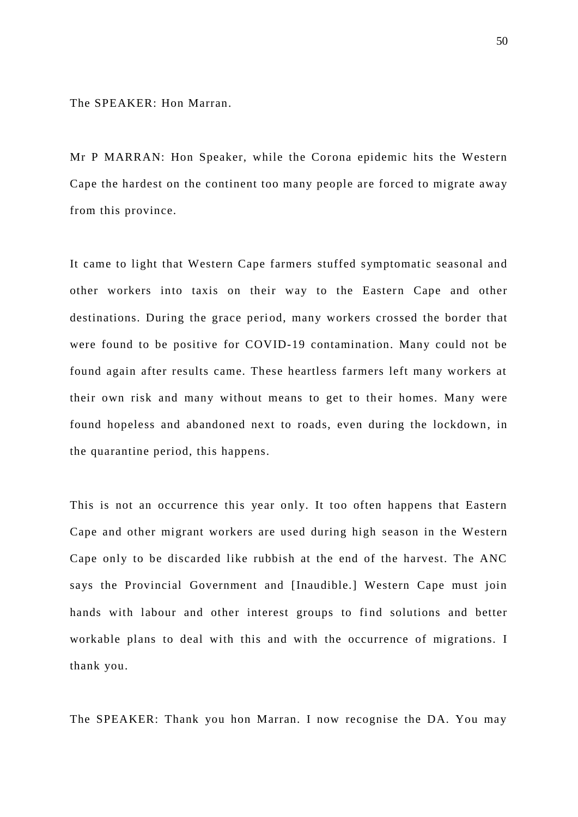The SPEAKER: Hon Marran.

Mr P MARRAN: Hon Speaker, while the Corona epidemic hits the Western Cape the hardest on the continent too many people are forced to migrate away from this province.

It came to light that Western Cape farmers stuffed symptomatic seasonal and other workers into taxis on their way to the Eastern Cape and other destinations. During the grace period, many workers crossed the border that were found to be positive for COVID-19 contamination. Many could not be found again after results came. These heartless farmers left many workers at their own risk and many without means to get to their homes. Many were found hopeless and abandoned next to roads, even during the lockdown, in the quarantine period, this happens.

This is not an occurrence this year only. It too often happens that Eastern Cape and other migrant workers are used during high season in the Western Cape only to be discarded like rubbish at the end of the harvest. The ANC says the Provincial Government and [Inaudible.] Western Cape must join hands with labour and other interest groups to find solutions and better workable plans to deal with this and with the occurrence of migrations. I thank you.

The SPEAKER: Thank you hon Marran. I now recognise the DA. You may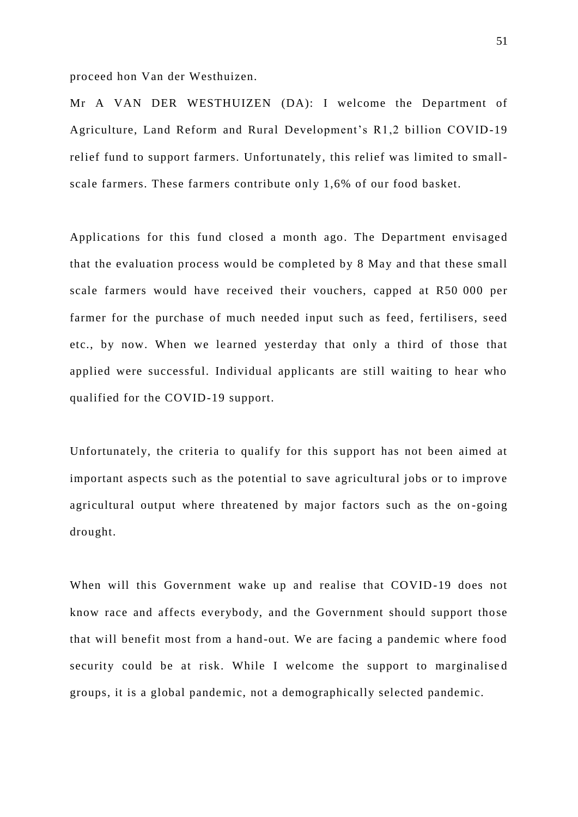proceed hon Van der Westhuizen.

Mr A VAN DER WESTHUIZEN (DA): I welcome the Department of Agriculture, Land Reform and Rural Development's R1,2 billion COVID-19 relief fund to support farmers. Unfortunately, this relief was limited to smallscale farmers. These farmers contribute only 1,6% of our food basket.

Applications for this fund closed a month ago. The Department envisaged that the evaluation process would be completed by 8 May and that these small scale farmers would have received their vouchers, capped at R50 000 per farmer for the purchase of much needed input such as feed, fertilisers, seed etc., by now. When we learned yesterday that only a third of those that applied were successful. Individual applicants are still waiting to hear who qualified for the COVID-19 support.

Unfortunately, the criteria to qualify for this support has not been aimed at important aspects such as the potential to save agricultural jobs or to improve agricultural output where threatened by major factors such as the on -going drought.

When will this Government wake up and realise that COVID-19 does not know race and affects everybody, and the Government should support those that will benefit most from a hand-out. We are facing a pandemic where food security could be at risk. While I welcome the support to marginalised groups, it is a global pandemic, not a demographically selected pandemic.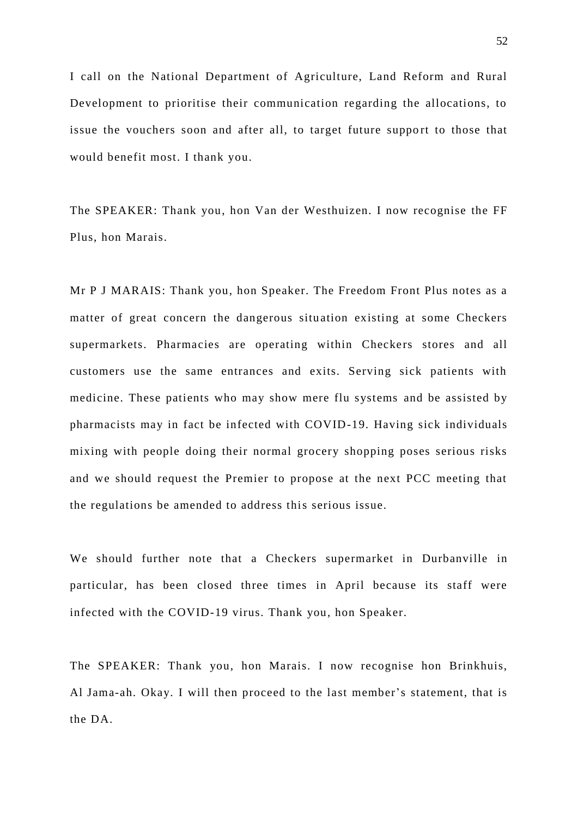I call on the National Department of Agriculture, Land Reform and Rural Development to prioritise their communication regarding the allocations, to issue the vouchers soon and after all, to target future support to those that would benefit most. I thank you.

The SPEAKER: Thank you, hon Van der Westhuizen. I now recognise the FF Plus, hon Marais.

Mr P J MARAIS: Thank you, hon Speaker. The Freedom Front Plus notes as a matter of great concern the dangerous situation existing at some Checkers supermarkets. Pharmacies are operating within Checkers stores and all customers use the same entrances and exits. Serving sick patients with medicine. These patients who may show mere flu systems and be assisted by pharmacists may in fact be infected with COVID-19. Having sick individuals mixing with people doing their normal grocery shopping poses serious risks and we should request the Premier to propose at the next PCC meeting that the regulations be amended to address this serious issue.

We should further note that a Checkers supermarket in Durbanville in particular, has been closed three times in April because its staff were infected with the COVID-19 virus. Thank you, hon Speaker.

The SPEAKER: Thank you, hon Marais. I now recognise hon Brinkhuis, Al Jama-ah. Okay. I will then proceed to the last member's statement, that is the DA.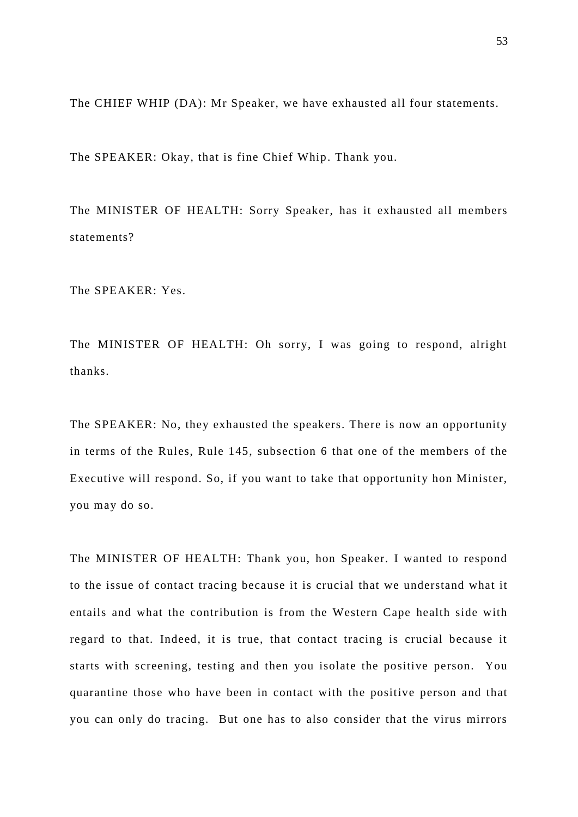The CHIEF WHIP (DA): Mr Speaker, we have exhausted all four statements.

The SPEAKER: Okay, that is fine Chief Whip. Thank you.

The MINISTER OF HEALTH: Sorry Speaker, has it exhausted all members statements?

The SPEAKER: Yes.

The MINISTER OF HEALTH: Oh sorry, I was going to respond, alright thanks.

The SPEAKER: No, they exhausted the speakers. There is now an opportunity in terms of the Rules, Rule 145, subsection 6 that one of the members of the Executive will respond. So, if you want to take that opportunity hon Minister, you may do so.

The MINISTER OF HEALTH: Thank you, hon Speaker. I wanted to respond to the issue of contact tracing because it is crucial that we understand what it entails and what the contribution is from the Western Cape health side with regard to that. Indeed, it is true, that contact tracing is crucial because it starts with screening, testing and then you isolate the positive person. You quarantine those who have been in contact with the positive person and that you can only do tracing. But one has to also consider that the virus mirrors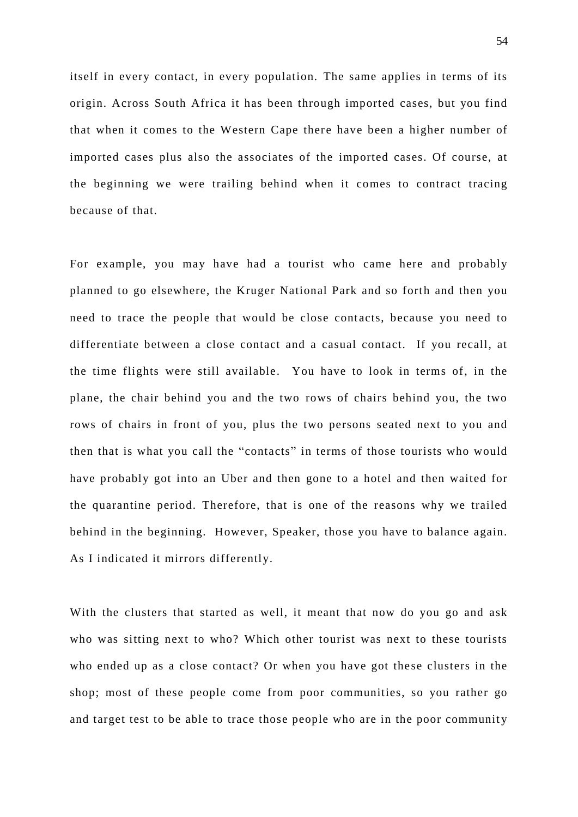itself in every contact, in every population. The same applies in terms of its origin. Across South Africa it has been through imported cases, but you find that when it comes to the Western Cape there have been a higher number of imported cases plus also the associates of the imported cases. Of course, at the beginning we were trailing behind when it comes to contract tracing because of that.

For example, you may have had a tourist who came here and probably planned to go elsewhere, the Kruger National Park and so forth and then you need to trace the people that would be close contacts, because you need to differentiate between a close contact and a casual contact. If you recall, at the time flights were still available. You have to look in terms of, in the plane, the chair behind you and the two rows of chairs behind you, the two rows of chairs in front of you, plus the two persons seated next to you and then that is what you call the "contacts" in terms of those tourists who would have probably got into an Uber and then gone to a hotel and then waited for the quarantine period. Therefore, that is one of the reasons why we trailed behind in the beginning. However, Speaker, those you have to balance again. As I indicated it mirrors differently.

With the clusters that started as well, it meant that now do you go and ask who was sitting next to who? Which other tourist was next to these tourists who ended up as a close contact? Or when you have got these clusters in the shop; most of these people come from poor communities, so you rather go and target test to be able to trace those people who are in the poor community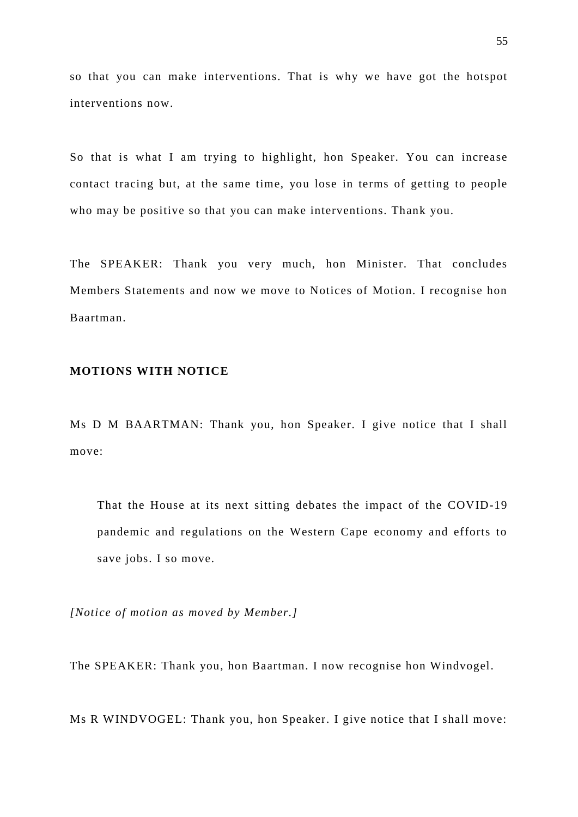so that you can make interventions. That is why we have got the hotspot interventions now.

So that is what I am trying to highlight, hon Speaker. You can increase contact tracing but, at the same time, you lose in terms of getting to people who may be positive so that you can make interventions. Thank you.

The SPEAKER: Thank you very much, hon Minister. That concludes Members Statements and now we move to Notices of Motion. I recognise hon Baartman.

### **MOTIONS WITH NOTICE**

Ms D M BAARTMAN: Thank you, hon Speaker. I give notice that I shall move:

That the House at its next sitting debates the impact of the COVID-19 pandemic and regulations on the Western Cape economy and efforts to save jobs. I so move.

*[Notice of motion as moved by Member.]*

The SPEAKER: Thank you, hon Baartman. I now recognise hon Windvogel.

Ms R WINDVOGEL: Thank you, hon Speaker. I give notice that I shall move: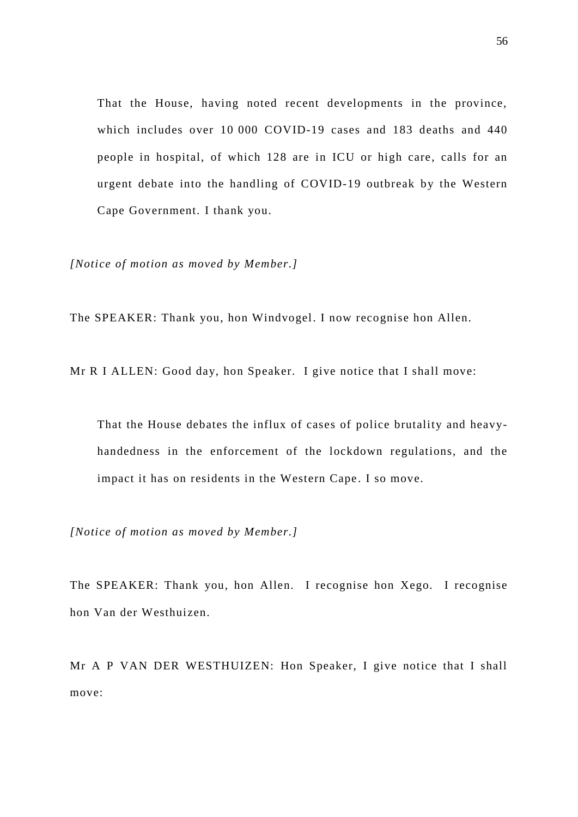That the House, having noted recent developments in the province, which includes over 10 000 COVID-19 cases and 183 deaths and 440 people in hospital, of which 128 are in ICU or high care, calls for an urgent debate into the handling of COVID-19 outbreak by the Western Cape Government. I thank you.

*[Notice of motion as moved by Member.]*

The SPEAKER: Thank you, hon Windvogel. I now recognise hon Allen.

Mr R I ALLEN: Good day, hon Speaker. I give notice that I shall move:

That the House debates the influx of cases of police brutality and heavyhandedness in the enforcement of the lockdown regulations, and the impact it has on residents in the Western Cape. I so move.

*[Notice of motion as moved by Member.]*

The SPEAKER: Thank you, hon Allen. I recognise hon Xego. I recognise hon Van der Westhuizen.

Mr A P VAN DER WESTHUIZEN: Hon Speaker, I give notice that I shall move: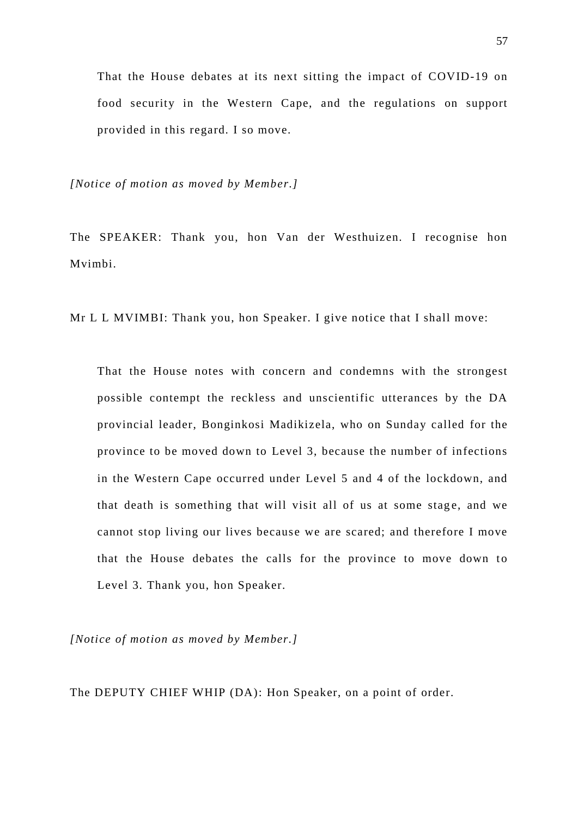That the House debates at its next sitting the impact of COVID-19 on food security in the Western Cape, and the regulations on support provided in this regard. I so move.

*[Notice of motion as moved by Member.]*

The SPEAKER: Thank you, hon Van der Westhuizen. I recognise hon Mvimbi.

Mr L L MVIMBI: Thank you, hon Speaker. I give notice that I shall move:

That the House notes with concern and condemns with the strongest possible contempt the reckless and unscientific utterances by the DA provincial leader, Bonginkosi Madikizela, who on Sunday called for the province to be moved down to Level 3, because the number of infections in the Western Cape occurred under Level 5 and 4 of the lockdown, and that death is something that will visit all of us at some stage, and we cannot stop living our lives because we are scared; and therefore I move that the House debates the calls for the province to move down to Level 3. Thank you, hon Speaker.

*[Notice of motion as moved by Member.]*

The DEPUTY CHIEF WHIP (DA): Hon Speaker, on a point of order.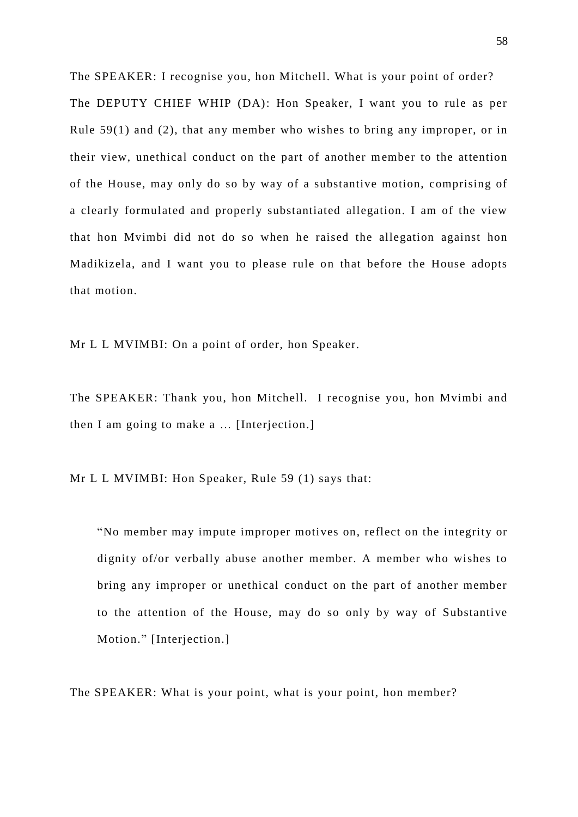The SPEAKER: I recognise you, hon Mitchell. What is your point of order? The DEPUTY CHIEF WHIP (DA): Hon Speaker, I want you to rule as per Rule  $59(1)$  and (2), that any member who wishes to bring any improper, or in their view, unethical conduct on the part of another member to the attention of the House, may only do so by way of a substantive motion, comprising of a clearly formulated and properly substantiated allegation. I am of the view that hon Mvimbi did not do so when he raised the allegation against hon Madikizela, and I want you to please rule on that before the House adopts that motion.

Mr L L MVIMBI: On a point of order, hon Speaker.

The SPEAKER: Thank you, hon Mitchell. I recognise you, hon Mvimbi and then I am going to make a … [Interjection.]

Mr L L MVIMBI: Hon Speaker, Rule 59 (1) says that:

"No member may impute improper motives on, reflect on the integrity or dignity of/or verbally abuse another member. A member who wishes to bring any improper or unethical conduct on the part of another member to the attention of the House, may do so only by way of Substantive Motion." [Interjection.]

The SPEAKER: What is your point, what is your point, hon member?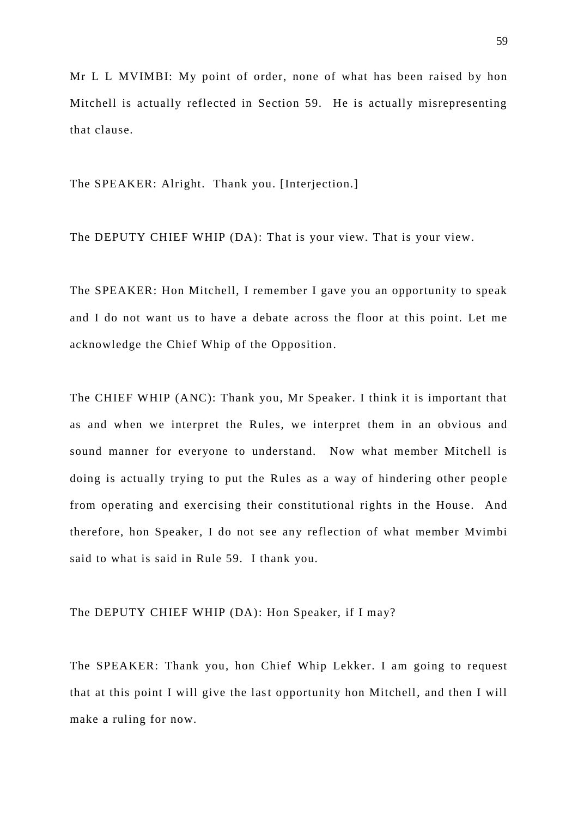Mr L L MVIMBI: My point of order, none of what has been raised by hon Mitchell is actually reflected in Section 59. He is actually misrepresenting that clause.

The SPEAKER: Alright. Thank you. [Interjection.]

The DEPUTY CHIEF WHIP (DA): That is your view. That is your view.

The SPEAKER: Hon Mitchell, I remember I gave you an opportunity to speak and I do not want us to have a debate across the floor at this point. Let me acknowledge the Chief Whip of the Opposition.

The CHIEF WHIP (ANC): Thank you, Mr Speaker. I think it is important that as and when we interpret the Rules, we interpret them in an obvious and sound manner for everyone to understand. Now what member Mitchell is doing is actually trying to put the Rules as a way of hindering other people from operating and exercising their constitutional rights in the House. And therefore, hon Speaker, I do not see any reflection of what member Mvimbi said to what is said in Rule 59. I thank you.

The DEPUTY CHIEF WHIP (DA): Hon Speaker, if I may?

The SPEAKER: Thank you, hon Chief Whip Lekker. I am going to request that at this point I will give the last opportunity hon Mitchell, and then I will make a ruling for now.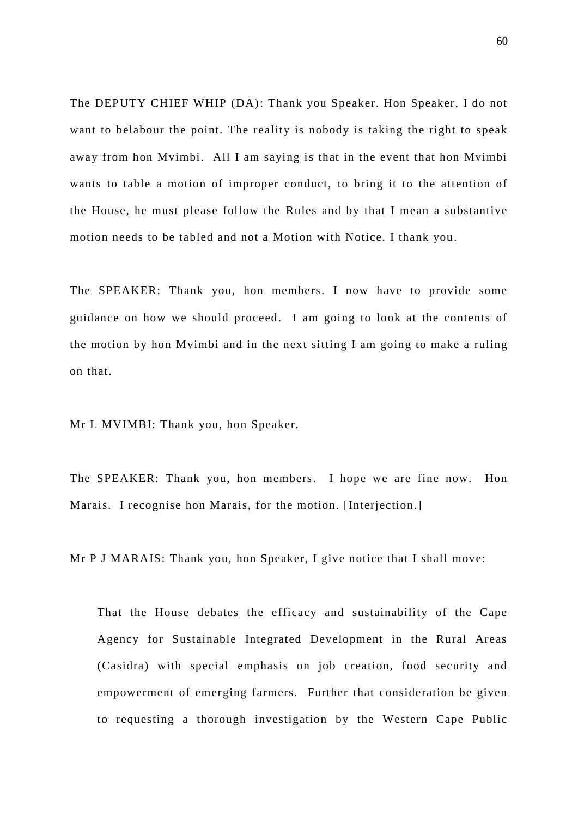The DEPUTY CHIEF WHIP (DA): Thank you Speaker. Hon Speaker, I do not want to belabour the point. The reality is nobody is taking the right to speak away from hon Mvimbi. All I am saying is that in the event that hon Mvimbi wants to table a motion of improper conduct, to bring it to the attention of the House, he must please follow the Rules and by that I mean a substantive motion needs to be tabled and not a Motion with Notice. I thank you.

The SPEAKER: Thank you, hon members. I now have to provide some guidance on how we should proceed. I am going to look at the contents of the motion by hon Mvimbi and in the next sitting I am going to make a ruling on that.

Mr L MVIMBI: Thank you, hon Speaker.

The SPEAKER: Thank you, hon members. I hope we are fine now. Hon Marais. I recognise hon Marais, for the motion. [Interjection.]

Mr P J MARAIS: Thank you, hon Speaker, I give notice that I shall move:

That the House debates the efficacy and sustainability of the Cape Agency for Sustainable Integrated Development in the Rural Areas (Casidra) with special emphasis on job creation, food security and empowerment of emerging farmers. Further that consideration be given to requesting a thorough investigation by the Western Cape Public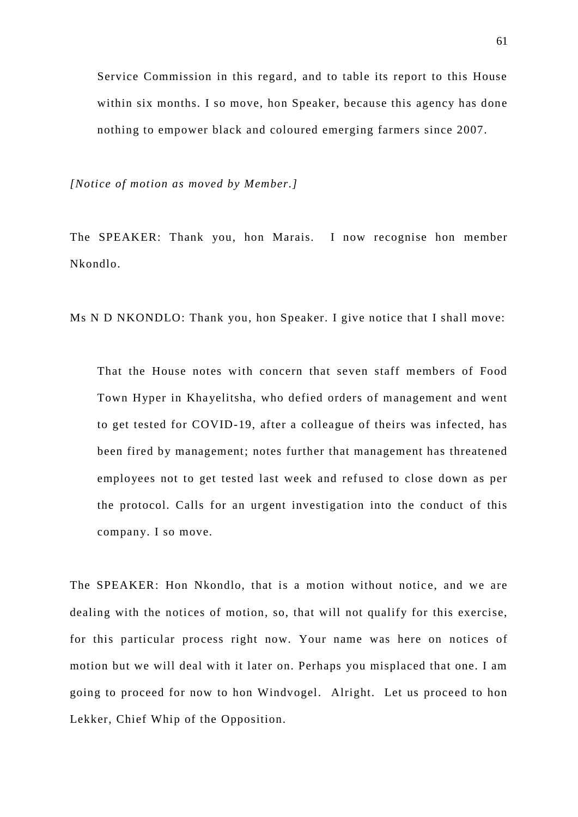Service Commission in this regard, and to table its report to this House within six months. I so move, hon Speaker, because this agency has done nothing to empower black and coloured emerging farmers since 2007.

*[Notice of motion as moved by Member.]*

The SPEAKER: Thank you, hon Marais. I now recognise hon member Nkondlo.

Ms N D NKONDLO: Thank you, hon Speaker. I give notice that I shall move:

That the House notes with concern that seven staff members of Food Town Hyper in Khayelitsha, who defied orders of management and went to get tested for COVID-19, after a colleague of theirs was infected, has been fired by management; notes further that management has threatened employees not to get tested last week and refused to close down as per the protocol. Calls for an urgent investigation into the conduct of this company. I so move.

The SPEAKER: Hon Nkondlo, that is a motion without notice, and we are dealing with the notices of motion, so, that will not qualify for this exercise, for this particular process right now. Your name was here on notices of motion but we will deal with it later on. Perhaps you misplaced that one. I am going to proceed for now to hon Windvogel. Alright. Let us proceed to hon Lekker, Chief Whip of the Opposition.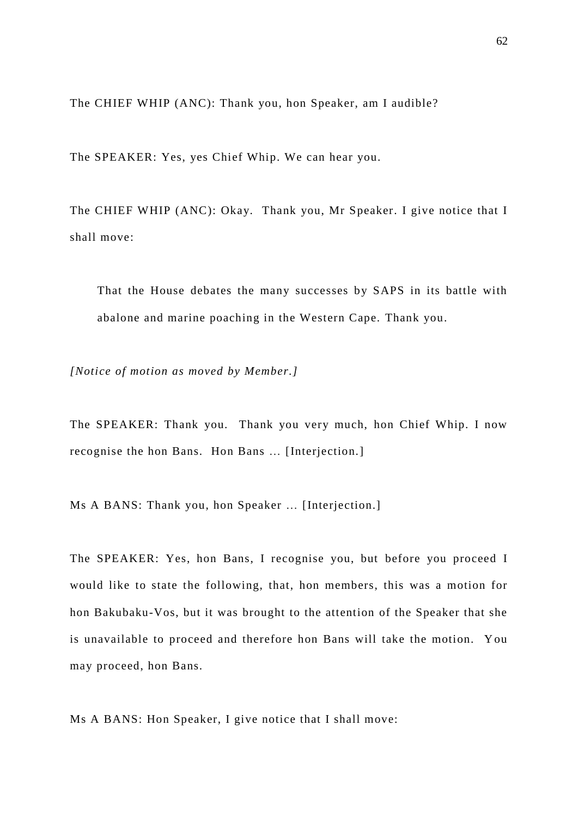The CHIEF WHIP (ANC): Thank you, hon Speaker, am I audible?

The SPEAKER: Yes, yes Chief Whip. We can hear you.

The CHIEF WHIP (ANC): Okay. Thank you, Mr Speaker. I give notice that I shall move:

That the House debates the many successes by SAPS in its battle with abalone and marine poaching in the Western Cape. Thank you.

*[Notice of motion as moved by Member.]*

The SPEAKER: Thank you. Thank you very much, hon Chief Whip. I now recognise the hon Bans. Hon Bans … [Interjection.]

Ms A BANS: Thank you, hon Speaker … [Interjection.]

The SPEAKER: Yes, hon Bans, I recognise you, but before you proceed I would like to state the following, that, hon members, this was a motion for hon Bakubaku-Vos, but it was brought to the attention of the Speaker that she is unavailable to proceed and therefore hon Bans will take the motion. You may proceed, hon Bans.

Ms A BANS: Hon Speaker, I give notice that I shall move: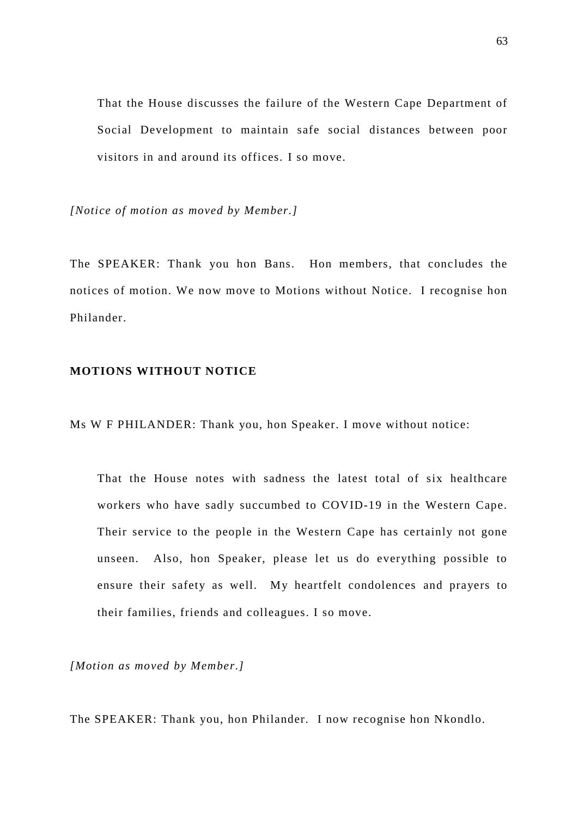That the House discusses the failure of the Western Cape Department of Social Development to maintain safe social distances between poor visitors in and around its offices. I so move.

*[Notice of motion as moved by Member.]*

The SPEAKER: Thank you hon Bans. Hon members, that concludes the notices of motion. We now move to Motions without Notice. I recognise hon Philander.

# **MOTIONS WITHOUT NOTICE**

Ms W F PHILANDER: Thank you, hon Speaker. I move without notice:

That the House notes with sadness the latest total of six healthcare workers who have sadly succumbed to COVID-19 in the Western Cape. Their service to the people in the Western Cape has certainly not gone unseen. Also, hon Speaker, please let us do everything possible to ensure their safety as well. My heartfelt condolences and prayers to their families, friends and colleagues. I so move.

*[Motion as moved by Member.]*

The SPEAKER: Thank you, hon Philander. I now recognise hon Nkondlo.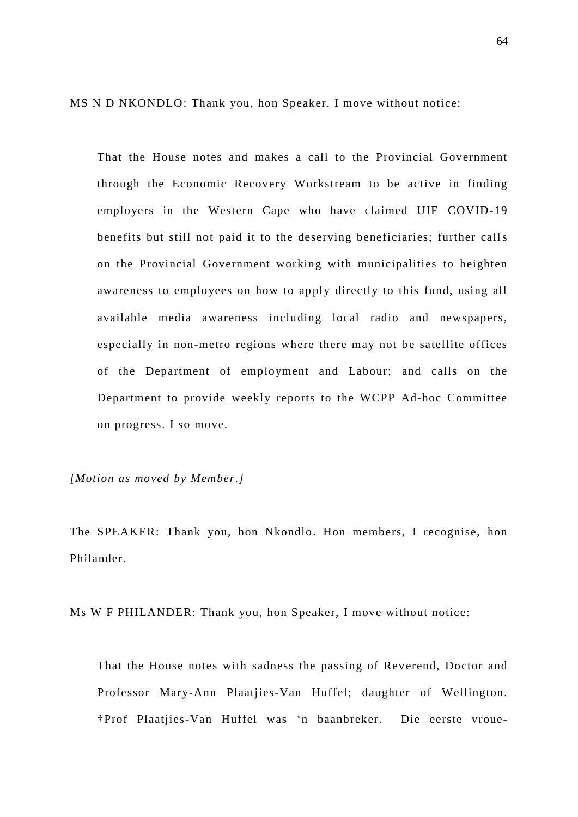MS N D NKONDLO: Thank you, hon Speaker. I move without notice:

That the House notes and makes a call to the Provincial Government through the Economic Recovery Workstream to be active in finding employers in the Western Cape who have claimed UIF COVID-19 benefits but still not paid it to the deserving beneficiaries; further calls on the Provincial Government working with municipalities to heighten awareness to employees on how to apply directly to this fund, using all available media awareness including local radio and newspapers, especially in non-metro regions where there may not be satellite offices of the Department of employment and Labour; and calls on the Department to provide weekly reports to the WCPP Ad-hoc Committee on progress. I so move.

*[Motion as moved by Member.]*

The SPEAKER: Thank you, hon Nkondlo. Hon members, I recognise, hon Philander.

Ms W F PHILANDER: Thank you, hon Speaker, I move without notice:

That the House notes with sadness the passing of Reverend, Doctor and Professor Mary-Ann Plaatjies-Van Huffel; daughter of Wellington. †Prof Plaatjies-Van Huffel was 'n baanbreker. Die eerste vroue-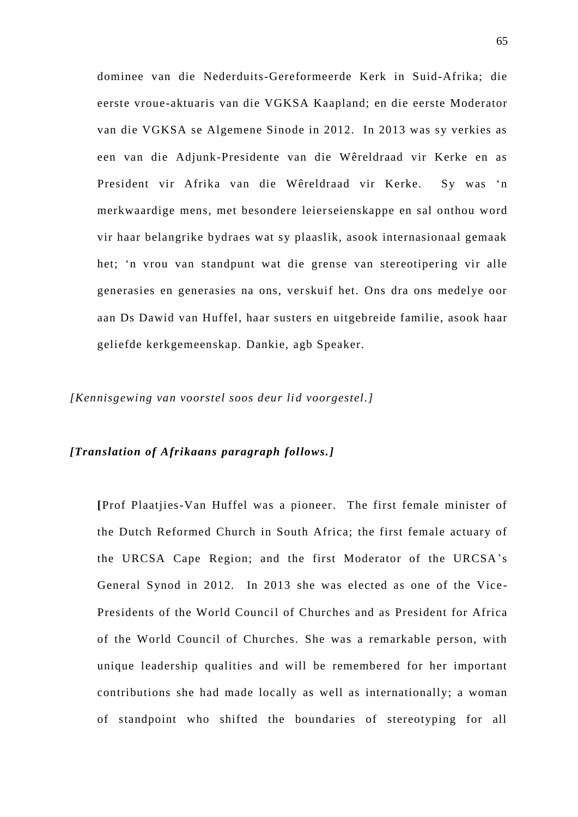dominee van die Nederduits-Gereformeerde Kerk in Suid-Afrika; die eerste vroue-aktuaris van die VGKSA Kaapland; en die eerste Moderator van die VGKSA se Algemene Sinode in 2012. In 2013 was sy verkies as een van die Adjunk-Presidente van die Wêreldraad vir Kerke en as President vir Afrika van die Wêreldraad vir Kerke. Sy was 'n merkwaardige mens, met besondere leierseienskappe en sal onthou word vir haar belangrike bydraes wat sy plaaslik, asook internasionaal gemaak het; 'n vrou van standpunt wat die grense van stereotipering vir alle generasies en generasies na ons, verskuif het. Ons dra ons medelye oor aan Ds Dawid van Huffel, haar susters en uitgebreide familie, asook haar geliefde kerkgemeenskap. Dankie, agb Speaker.

*[Kennisgewing van voorstel soos deur lid voorgestel.]*

## *[Translation of Afrikaans paragraph follows.]*

**[**Prof Plaatjies-Van Huffel was a pioneer. The first female minister of the Dutch Reformed Church in South Africa; the first female actuary of the URCSA Cape Region; and the first Moderator of the URCSA's General Synod in 2012. In 2013 she was elected as one of the Vice - Presidents of the World Council of Churches and as President for Africa of the World Council of Churches. She was a remarkable person, with unique leadership qualities and will be remembered for her important contributions she had made locally as well as internationally; a woman of standpoint who shifted the boundaries of stereotyping for all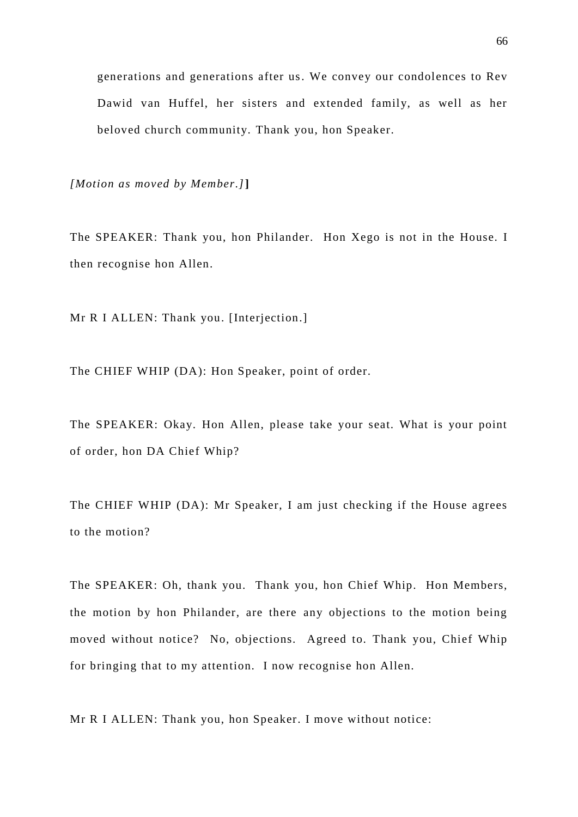generations and generations after us. We convey our condolences to Rev Dawid van Huffel, her sisters and extended family, as well as her beloved church community. Thank you, hon Speaker.

*[Motion as moved by Member.]***]**

The SPEAKER: Thank you, hon Philander. Hon Xego is not in the House. I then recognise hon Allen.

Mr R I ALLEN: Thank you. [Interjection.]

The CHIEF WHIP (DA): Hon Speaker, point of order.

The SPEAKER: Okay. Hon Allen, please take your seat. What is your point of order, hon DA Chief Whip?

The CHIEF WHIP (DA): Mr Speaker, I am just checking if the House agrees to the motion?

The SPEAKER: Oh, thank you. Thank you, hon Chief Whip. Hon Members, the motion by hon Philander, are there any objections to the motion being moved without notice? No, objections. Agreed to. Thank you, Chief Whip for bringing that to my attention. I now recognise hon Allen.

Mr R I ALLEN: Thank you, hon Speaker. I move without notice: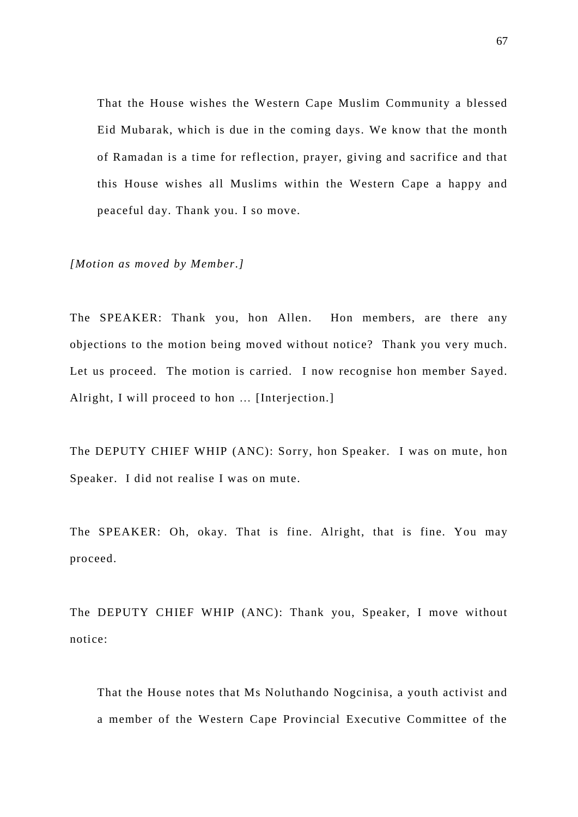That the House wishes the Western Cape Muslim Community a blessed Eid Mubarak, which is due in the coming days. We know that the month of Ramadan is a time for reflection, prayer, giving and sacrifice and that this House wishes all Muslims within the Western Cape a happy and peaceful day. Thank you. I so move.

*[Motion as moved by Member.]*

The SPEAKER: Thank you, hon Allen. Hon members, are there any objections to the motion being moved without notice? Thank you very much. Let us proceed. The motion is carried. I now recognise hon member Sayed. Alright, I will proceed to hon … [Interjection.]

The DEPUTY CHIEF WHIP (ANC): Sorry, hon Speaker. I was on mute, hon Speaker. I did not realise I was on mute.

The SPEAKER: Oh, okay. That is fine. Alright, that is fine. You may proceed.

The DEPUTY CHIEF WHIP (ANC): Thank you, Speaker, I move without notice:

That the House notes that Ms Noluthando Nogcinisa, a youth activist and a member of the Western Cape Provincial Executive Committee of the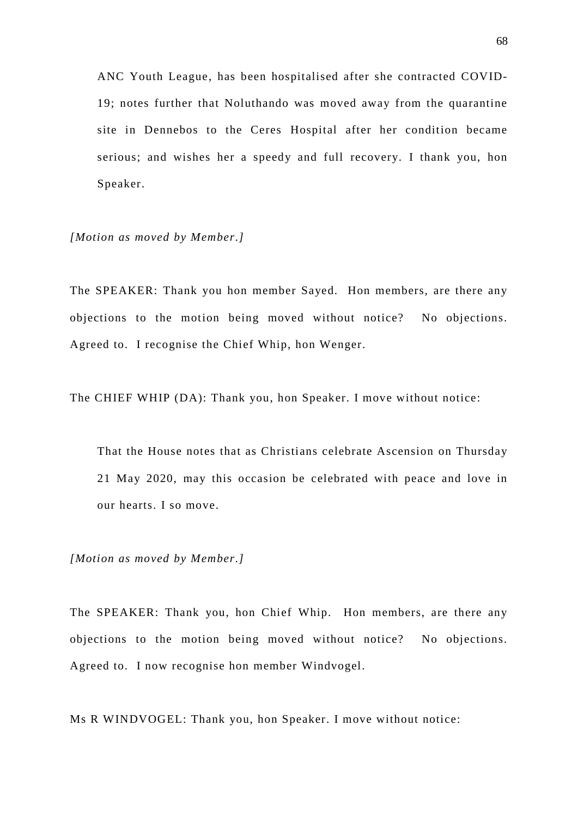ANC Youth League, has been hospitalised after she contracted COVID-19; notes further that Noluthando was moved away from the quarantine site in Dennebos to the Ceres Hospital after her condition became serious; and wishes her a speedy and full recovery. I thank you, hon Speaker.

*[Motion as moved by Member.]*

The SPEAKER: Thank you hon member Sayed. Hon members, are there any objections to the motion being moved without notice? No objections. Agreed to. I recognise the Chief Whip, hon Wenger.

The CHIEF WHIP (DA): Thank you, hon Speaker. I move without notice:

That the House notes that as Christians celebrate Ascension on Thursday 21 May 2020, may this occasion be celebrated with peace and love in our hearts. I so move.

*[Motion as moved by Member.]*

The SPEAKER: Thank you, hon Chief Whip. Hon members, are there any objections to the motion being moved without notice? No objections. Agreed to. I now recognise hon member Windvogel.

Ms R WINDVOGEL: Thank you, hon Speaker. I move without notice: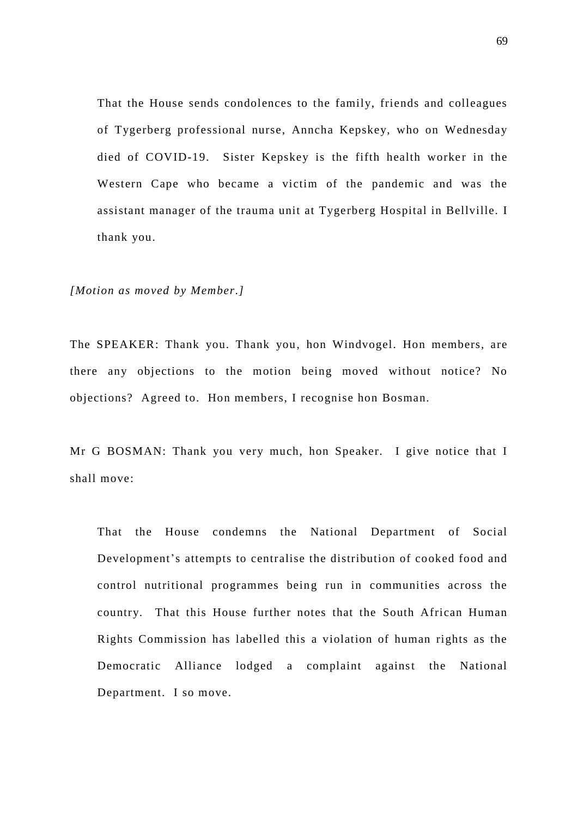That the House sends condolences to the family, friends and colleagues of Tygerberg professional nurse, Anncha Kepskey, who on Wednesday died of COVID-19. Sister Kepskey is the fifth health worker in the Western Cape who became a victim of the pandemic and was the assistant manager of the trauma unit at Tygerberg Hospital in Bellville. I thank you.

#### *[Motion as moved by Member.]*

The SPEAKER: Thank you. Thank you, hon Windvogel. Hon members, are there any objections to the motion being moved without notice? No objections? Agreed to. Hon members, I recognise hon Bosman.

Mr G BOSMAN: Thank you very much, hon Speaker. I give notice that I shall move:

That the House condemns the National Department of Social Development's attempts to centralise the distribution of cooked food and control nutritional programmes being run in communities across the country. That this House further notes that the South African Human Rights Commission has labelled this a violation of human rights as the Democratic Alliance lodged a complaint against the National Department. I so move.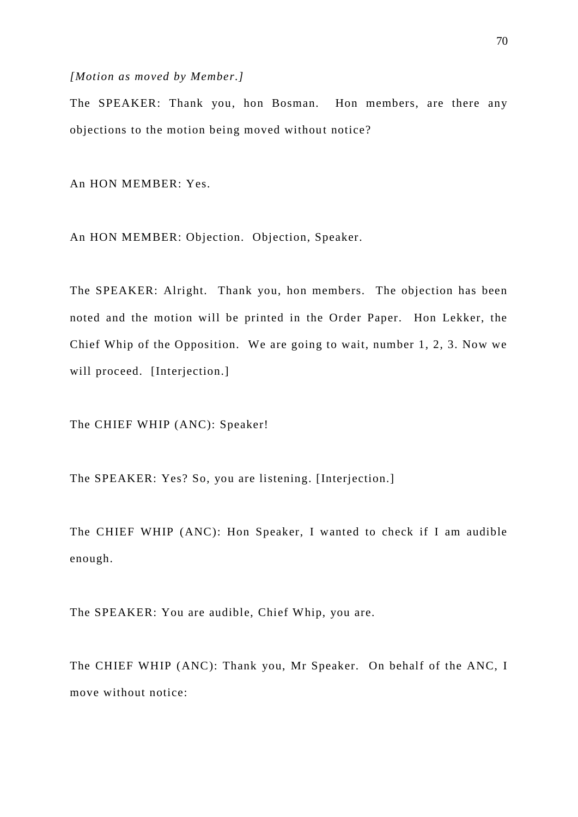#### *[Motion as moved by Member.]*

The SPEAKER: Thank you, hon Bosman. Hon members, are there any objections to the motion being moved without notice?

An HON MEMBER: Yes.

An HON MEMBER: Objection. Objection, Speaker.

The SPEAKER: Alright. Thank you, hon members. The objection has been noted and the motion will be printed in the Order Paper. Hon Lekker, the Chief Whip of the Opposition. We are going to wait, number 1, 2, 3. Now we will proceed. [Interjection.]

The CHIEF WHIP (ANC): Speaker!

The SPEAKER: Yes? So, you are listening. [Interjection.]

The CHIEF WHIP (ANC): Hon Speaker, I wanted to check if I am audible enough.

The SPEAKER: You are audible, Chief Whip, you are.

The CHIEF WHIP (ANC): Thank you, Mr Speaker. On behalf of the ANC, I move without notice: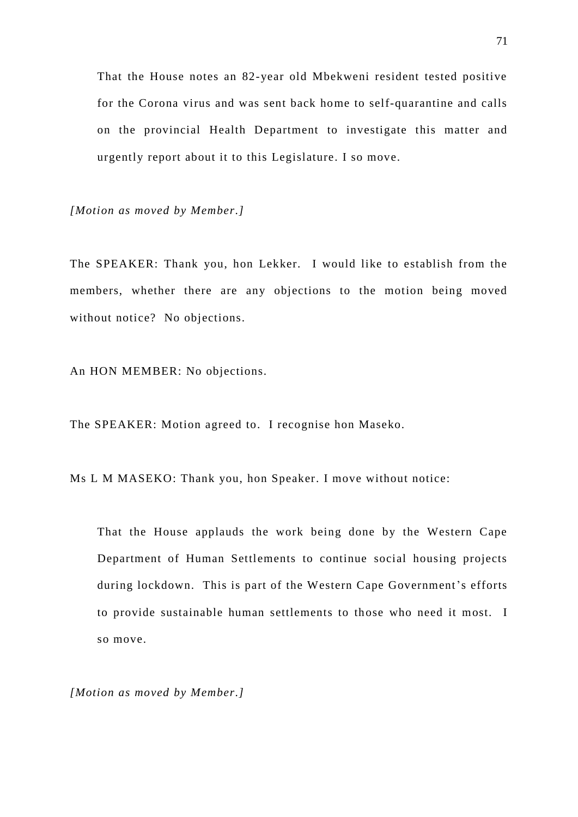That the House notes an 82-year old Mbekweni resident tested positive for the Corona virus and was sent back home to self-quarantine and calls on the provincial Health Department to investigate this matter and urgently report about it to this Legislature. I so move.

*[Motion as moved by Member.]*

The SPEAKER: Thank you, hon Lekker. I would like to establish from the members, whether there are any objections to the motion being moved without notice? No objections.

An HON MEMBER: No objections.

The SPEAKER: Motion agreed to. I recognise hon Maseko.

Ms L M MASEKO: Thank you, hon Speaker. I move without notice:

That the House applauds the work being done by the Western Cape Department of Human Settlements to continue social housing projects during lockdown. This is part of the Western Cape Government's efforts to provide sustainable human settlements to those who need it most. I so move.

*[Motion as moved by Member.]*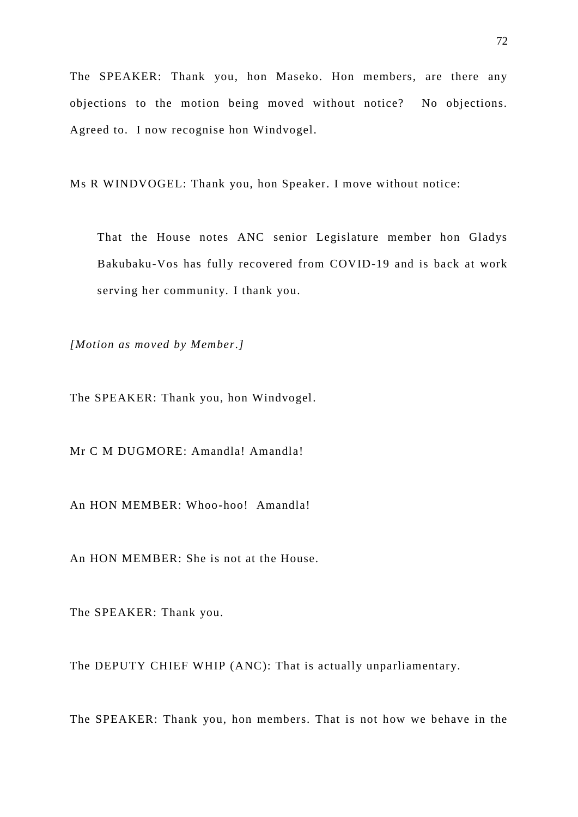The SPEAKER: Thank you, hon Maseko. Hon members, are there any objections to the motion being moved without notice? No objections. Agreed to. I now recognise hon Windvogel.

Ms R WINDVOGEL: Thank you, hon Speaker. I move without notice:

That the House notes ANC senior Legislature member hon Gladys Bakubaku-Vos has fully recovered from COVID-19 and is back at work serving her community. I thank you.

*[Motion as moved by Member.]*

The SPEAKER: Thank you, hon Windvogel.

Mr C M DUGMORE: Amandla! Amandla!

An HON MEMBER: Whoo-hoo! Amandla!

An HON MEMBER: She is not at the House.

The SPEAKER: Thank you.

The DEPUTY CHIEF WHIP (ANC): That is actually unparliamentary.

The SPEAKER: Thank you, hon members. That is not how we behave in the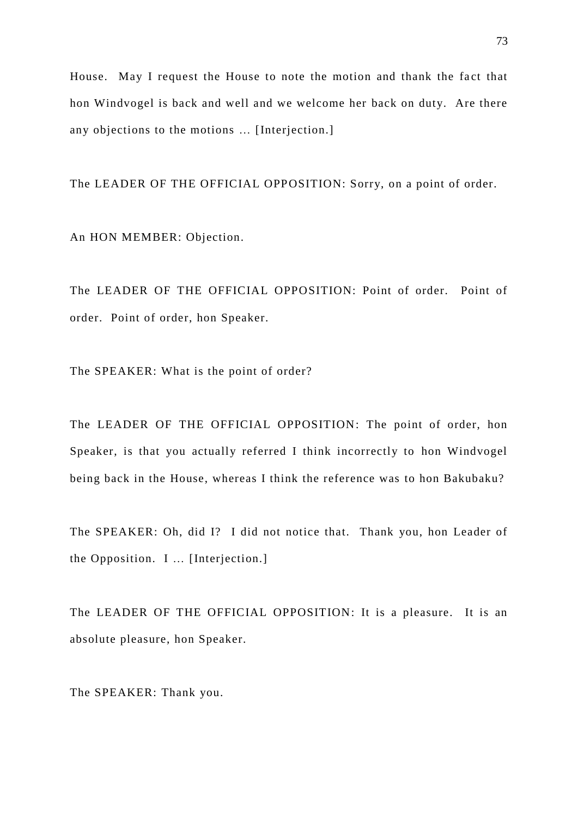House. May I request the House to note the motion and thank the fact that hon Windvogel is back and well and we welcome her back on duty. Are there any objections to the motions … [Interjection.]

The LEADER OF THE OFFICIAL OPPOSITION: Sorry, on a point of order.

An HON MEMBER: Objection.

The LEADER OF THE OFFICIAL OPPOSITION: Point of order. Point of order. Point of order, hon Speaker.

The SPEAKER: What is the point of order?

The LEADER OF THE OFFICIAL OPPOSITION: The point of order, hon Speaker, is that you actually referred I think incorrectly to hon Windvogel being back in the House, whereas I think the reference was to hon Bakubaku?

The SPEAKER: Oh, did I? I did not notice that. Thank you, hon Leader of the Opposition. I … [Interjection.]

The LEADER OF THE OFFICIAL OPPOSITION: It is a pleasure. It is an absolute pleasure, hon Speaker.

The SPEAKER: Thank you.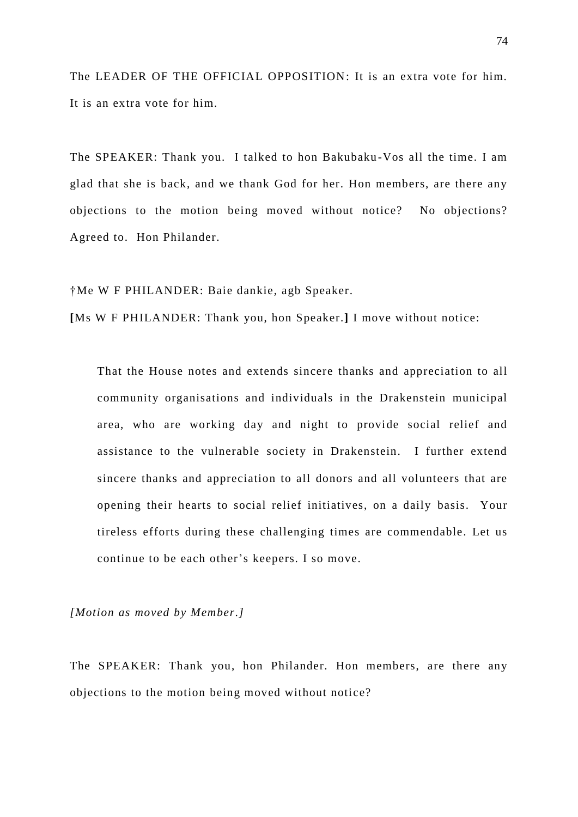The LEADER OF THE OFFICIAL OPPOSITION: It is an extra vote for him. It is an extra vote for him.

The SPEAKER: Thank you. I talked to hon Bakubaku -Vos all the time. I am glad that she is back, and we thank God for her. Hon members, are there any objections to the motion being moved without notice? No objections? Agreed to. Hon Philander.

†Me W F PHILANDER: Baie dankie, agb Speaker.

**[**Ms W F PHILANDER: Thank you, hon Speaker.**]** I move without notice:

That the House notes and extends sincere thanks and appreciation to all community organisations and individuals in the Drakenstein municipal area, who are working day and night to provide social relief and assistance to the vulnerable society in Drakenstein. I further extend sincere thanks and appreciation to all donors and all volunteers that are opening their hearts to social relief initiatives, on a daily basis. Your tireless efforts during these challenging times are commendable. Let us continue to be each other's keepers. I so move.

*[Motion as moved by Member.]*

The SPEAKER: Thank you, hon Philander. Hon members, are there any objections to the motion being moved without notice?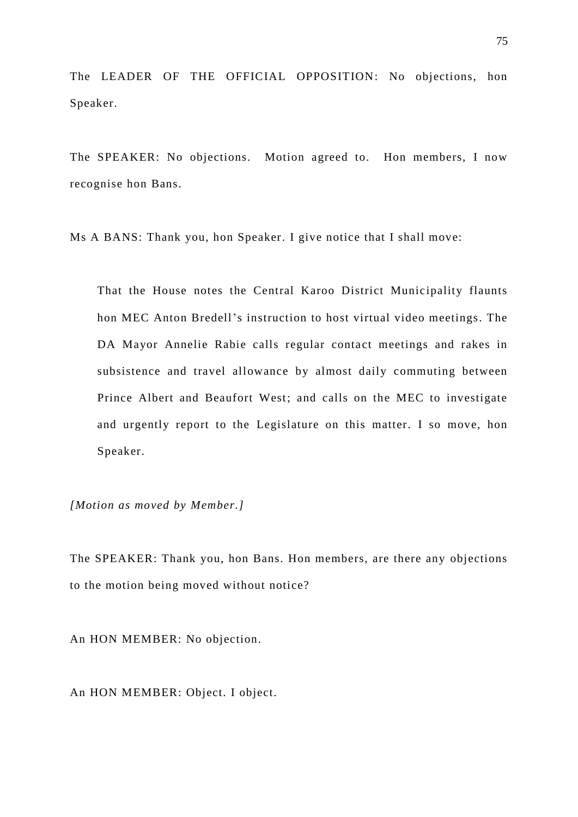The LEADER OF THE OFFICIAL OPPOSITION: No objections, hon Speaker.

The SPEAKER: No objections. Motion agreed to. Hon members, I now recognise hon Bans.

Ms A BANS: Thank you, hon Speaker. I give notice that I shall move:

That the House notes the Central Karoo District Municipality flaunts hon MEC Anton Bredell's instruction to host virtual video meetings. The DA Mayor Annelie Rabie calls regular contact meetings and rakes in subsistence and travel allowance by almost daily commuting between Prince Albert and Beaufort West; and calls on the MEC to investigate and urgently report to the Legislature on this matter. I so move, hon Speaker.

*[Motion as moved by Member.]*

The SPEAKER: Thank you, hon Bans. Hon members, are there any objections to the motion being moved without notice?

An HON MEMBER: No objection.

An HON MEMBER: Object. I object.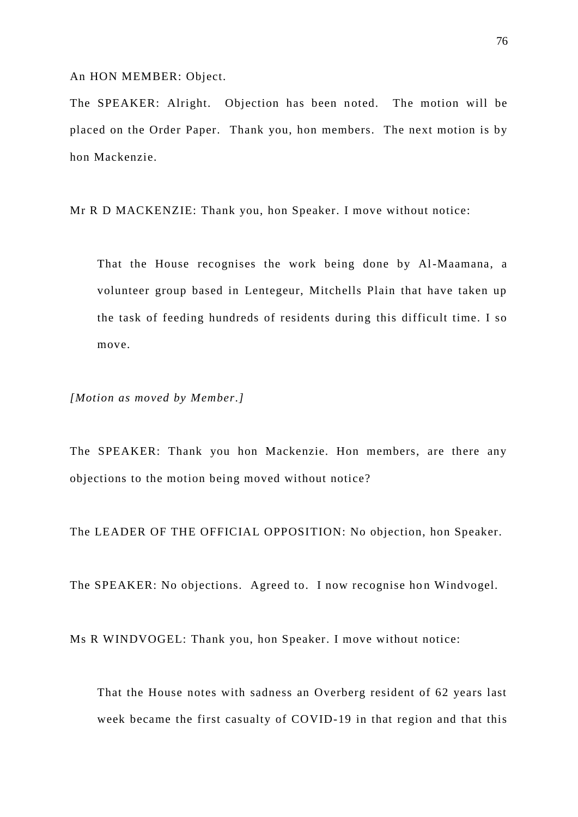An HON MEMBER: Object.

The SPEAKER: Alright. Objection has been noted. The motion will be placed on the Order Paper. Thank you, hon members. The next motion is by hon Mackenzie.

Mr R D MACKENZIE: Thank you, hon Speaker. I move without notice:

That the House recognises the work being done by Al-Maamana, a volunteer group based in Lentegeur, Mitchells Plain that have taken up the task of feeding hundreds of residents during this difficult time. I so move.

*[Motion as moved by Member.]*

The SPEAKER: Thank you hon Mackenzie. Hon members, are there any objections to the motion being moved without notice?

The LEADER OF THE OFFICIAL OPPOSITION: No objection, hon Speaker.

The SPEAKER: No objections. Agreed to. I now recognise hon Windvogel.

Ms R WINDVOGEL: Thank you, hon Speaker. I move without notice:

That the House notes with sadness an Overberg resident of 62 years last week became the first casualty of COVID-19 in that region and that this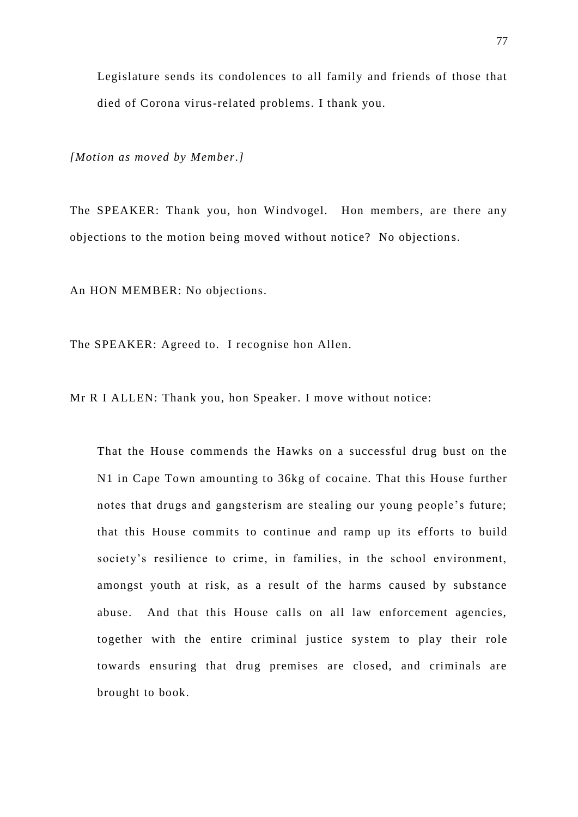Legislature sends its condolences to all family and friends of those that died of Corona virus-related problems. I thank you.

*[Motion as moved by Member.]*

The SPEAKER: Thank you, hon Windvogel. Hon members, are there any objections to the motion being moved without notice? No objection s.

An HON MEMBER: No objections.

The SPEAKER: Agreed to. I recognise hon Allen.

Mr R I ALLEN: Thank you, hon Speaker. I move without notice:

That the House commends the Hawks on a successful drug bust on the N1 in Cape Town amounting to 36kg of cocaine. That this House further notes that drugs and gangsterism are stealing our young people's future; that this House commits to continue and ramp up its efforts to build society's resilience to crime, in families, in the school environment, amongst youth at risk, as a result of the harms caused by substance abuse. And that this House calls on all law enforcement agencies, together with the entire criminal justice system to play their role towards ensuring that drug premises are closed, and criminals are brought to book.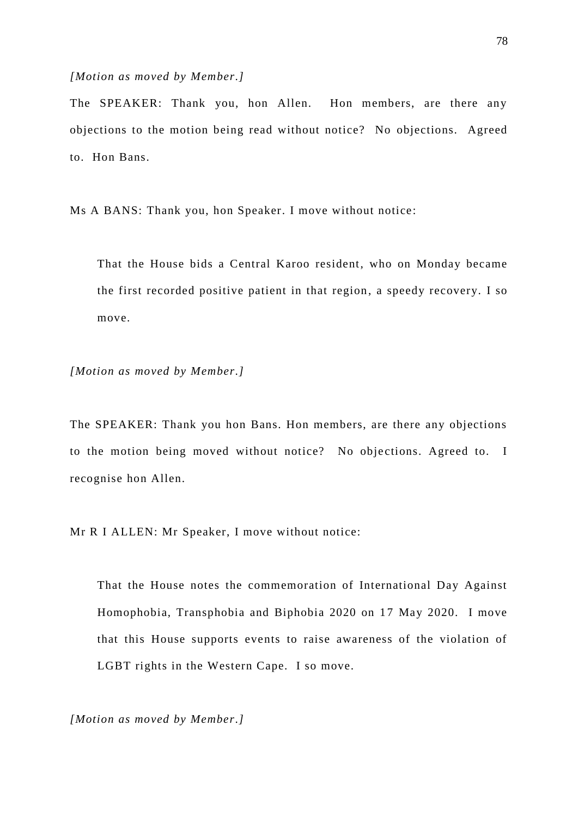## *[Motion as moved by Member.]*

The SPEAKER: Thank you, hon Allen. Hon members, are there any objections to the motion being read without notice? No objections. Agreed to. Hon Bans.

Ms A BANS: Thank you, hon Speaker. I move without notice:

That the House bids a Central Karoo resident, who on Monday became the first recorded positive patient in that region, a speedy recovery. I so move.

*[Motion as moved by Member.]*

The SPEAKER: Thank you hon Bans. Hon members, are there any objections to the motion being moved without notice? No objections. Agreed to. I recognise hon Allen.

Mr R I ALLEN: Mr Speaker, I move without notice:

That the House notes the commemoration of International Day Against Homophobia, Transphobia and Biphobia 2020 on 17 May 2020. I move that this House supports events to raise awareness of the violation of LGBT rights in the Western Cape. I so move.

*[Motion as moved by Member.]*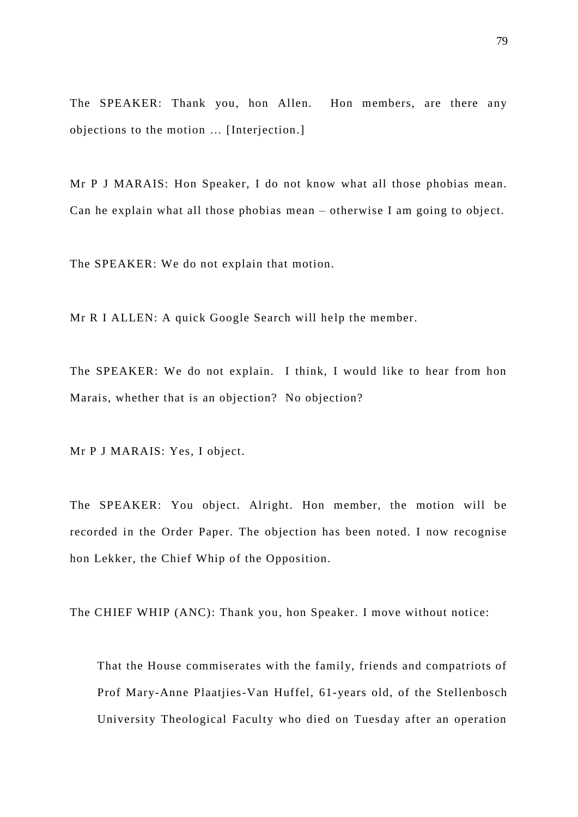The SPEAKER: Thank you, hon Allen. Hon members, are there any objections to the motion … [Interjection.]

Mr P J MARAIS: Hon Speaker, I do not know what all those phobias mean. Can he explain what all those phobias mean  $-$  otherwise I am going to object.

The SPEAKER: We do not explain that motion.

Mr R I ALLEN: A quick Google Search will help the member.

The SPEAKER: We do not explain. I think, I would like to hear from hon Marais, whether that is an objection? No objection?

Mr P J MARAIS: Yes, I object.

The SPEAKER: You object. Alright. Hon member, the motion will be recorded in the Order Paper. The objection has been noted. I now recognise hon Lekker, the Chief Whip of the Opposition.

The CHIEF WHIP (ANC): Thank you, hon Speaker. I move without notice:

That the House commiserates with the family, friends and compatriots of Prof Mary-Anne Plaatjies-Van Huffel, 61-years old, of the Stellenbosch University Theological Faculty who died on Tuesday after an operation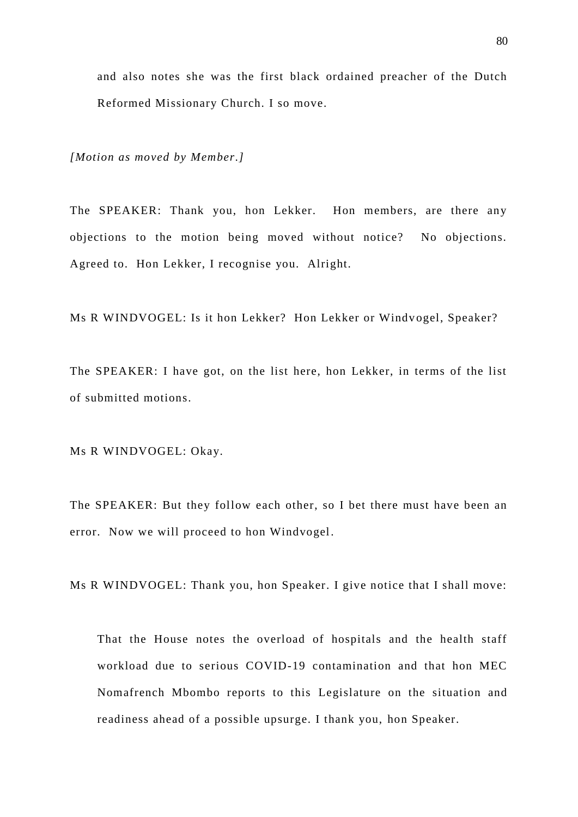and also notes she was the first black ordained preacher of the Dutch Reformed Missionary Church. I so move.

*[Motion as moved by Member.]*

The SPEAKER: Thank you, hon Lekker. Hon members, are there any objections to the motion being moved without notice? No objections. Agreed to. Hon Lekker, I recognise you. Alright.

Ms R WINDVOGEL: Is it hon Lekker? Hon Lekker or Windvogel, Speaker?

The SPEAKER: I have got, on the list here, hon Lekker, in terms of the list of submitted motions.

Ms R WINDVOGEL: Okay.

The SPEAKER: But they follow each other, so I bet there must have been an error. Now we will proceed to hon Windvogel.

Ms R WINDVOGEL: Thank you, hon Speaker. I give notice that I shall move:

That the House notes the overload of hospitals and the health staff workload due to serious COVID-19 contamination and that hon MEC Nomafrench Mbombo reports to this Legislature on the situation and readiness ahead of a possible upsurge. I thank you, hon Speaker.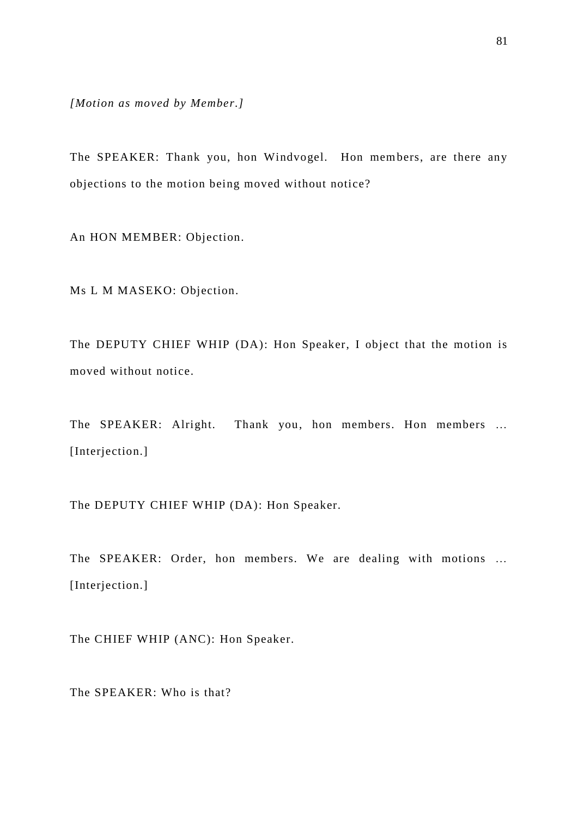*[Motion as moved by Member.]*

The SPEAKER: Thank you, hon Windvogel. Hon members, are there any objections to the motion being moved without notice?

An HON MEMBER: Objection.

Ms L M MASEKO: Objection.

The DEPUTY CHIEF WHIP (DA): Hon Speaker, I object that the motion is moved without notice.

The SPEAKER: Alright. Thank you, hon members. Hon members … [Interjection.]

The DEPUTY CHIEF WHIP (DA): Hon Speaker.

The SPEAKER: Order, hon members. We are dealing with motions … [Interjection.]

The CHIEF WHIP (ANC): Hon Speaker.

The SPEAKER: Who is that?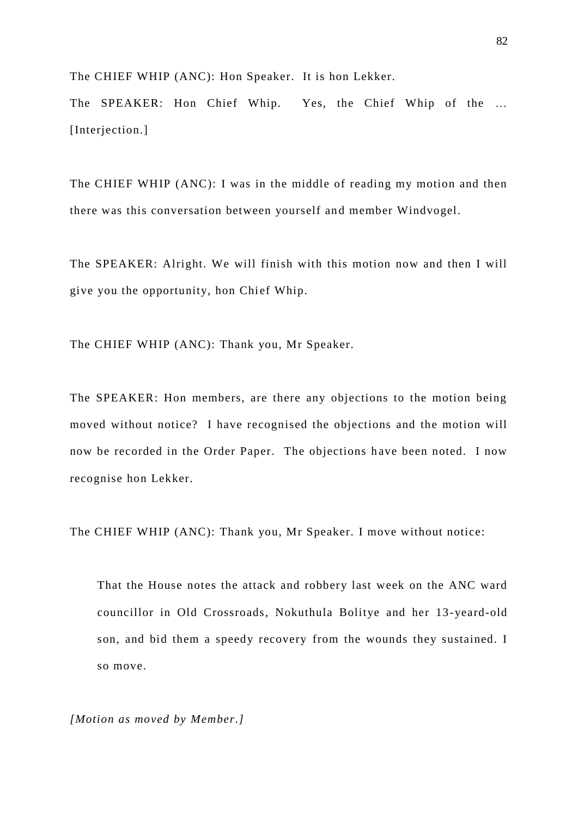The CHIEF WHIP (ANC): Hon Speaker. It is hon Lekker.

The SPEAKER: Hon Chief Whip. Yes, the Chief Whip of the … [Interjection.]

The CHIEF WHIP (ANC): I was in the middle of reading my motion and then there was this conversation between yourself and member Windvogel.

The SPEAKER: Alright. We will finish with this motion now and then I will give you the opportunity, hon Chief Whip.

The CHIEF WHIP (ANC): Thank you, Mr Speaker.

The SPEAKER: Hon members, are there any objections to the motion being moved without notice? I have recognised the objections and the motion will now be recorded in the Order Paper. The objections have been noted. I now recognise hon Lekker.

The CHIEF WHIP (ANC): Thank you, Mr Speaker. I move without notice:

That the House notes the attack and robbery last week on the ANC ward councillor in Old Crossroads, Nokuthula Bolitye and her 13-yeard-old son, and bid them a speedy recovery from the wounds they sustained. I so move.

*[Motion as moved by Member.]*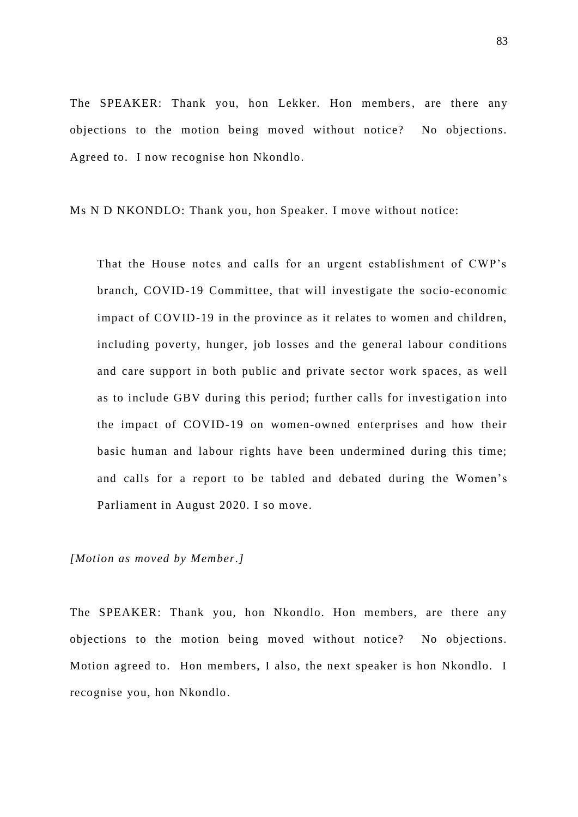The SPEAKER: Thank you, hon Lekker. Hon members, are there any objections to the motion being moved without notice? No objections. Agreed to. I now recognise hon Nkondlo.

Ms N D NKONDLO: Thank you, hon Speaker. I move without notice:

That the House notes and calls for an urgent establishment of CWP's branch, COVID-19 Committee, that will investigate the socio-economic impact of COVID-19 in the province as it relates to women and children, including poverty, hunger, job losses and the general labour c onditions and care support in both public and private sector work spaces, as well as to include GBV during this period; further calls for investigation into the impact of COVID-19 on women-owned enterprises and how their basic human and labour rights have been undermined during this time; and calls for a report to be tabled and debated during the Women's Parliament in August 2020. I so move.

*[Motion as moved by Member.]*

The SPEAKER: Thank you, hon Nkondlo. Hon members, are there any objections to the motion being moved without notice? No objections. Motion agreed to. Hon members, I also, the next speaker is hon Nkondlo. I recognise you, hon Nkondlo.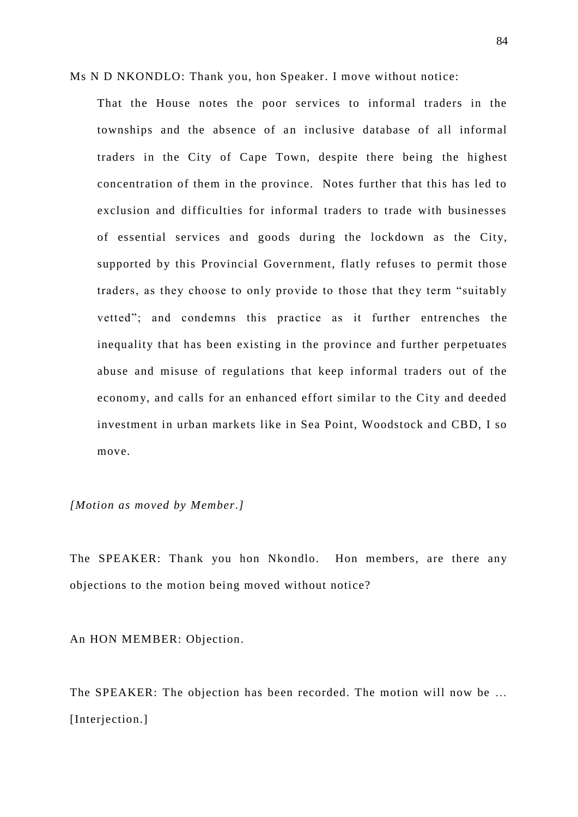Ms N D NKONDLO: Thank you, hon Speaker. I move without notice:

That the House notes the poor services to informal traders in the townships and the absence of an inclusive database of all informal traders in the City of Cape Town, despite there being the highest concentration of them in the province. Notes further that this has led to exclusion and difficulties for informal traders to trade with businesses of essential services and goods during the lockdown as the City, supported by this Provincial Government, flatly refuses to permit those traders, as they choose to only provide to those that they term "suitably vetted"; and condemns this practice as it further entrenches the inequality that has been existing in the province and further perpetuates abuse and misuse of regulations that keep informal traders out of the economy, and calls for an enhanced effort similar to the City and deeded investment in urban markets like in Sea Point, Woodstock and CBD, I so move.

*[Motion as moved by Member.]*

The SPEAKER: Thank you hon Nkondlo. Hon members, are there any objections to the motion being moved without notice?

An HON MEMBER: Objection.

The SPEAKER: The objection has been recorded. The motion will now be … [Interjection.]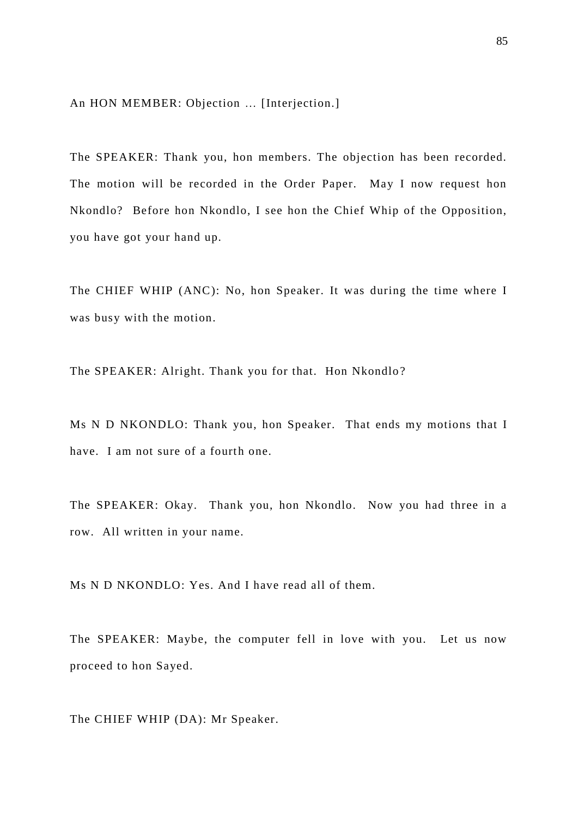An HON MEMBER: Objection … [Interjection.]

The SPEAKER: Thank you, hon members. The objection has been recorded. The motion will be recorded in the Order Paper. May I now request hon Nkondlo? Before hon Nkondlo, I see hon the Chief Whip of the Opposition, you have got your hand up.

The CHIEF WHIP (ANC): No, hon Speaker. It was during the time where I was busy with the motion.

The SPEAKER: Alright. Thank you for that. Hon Nkondlo ?

Ms N D NKONDLO: Thank you, hon Speaker. That ends my motions that I have. I am not sure of a fourth one.

The SPEAKER: Okay. Thank you, hon Nkondlo. Now you had three in a row. All written in your name.

Ms N D NKONDLO: Yes. And I have read all of them.

The SPEAKER: Maybe, the computer fell in love with you. Let us now proceed to hon Sayed.

The CHIEF WHIP (DA): Mr Speaker.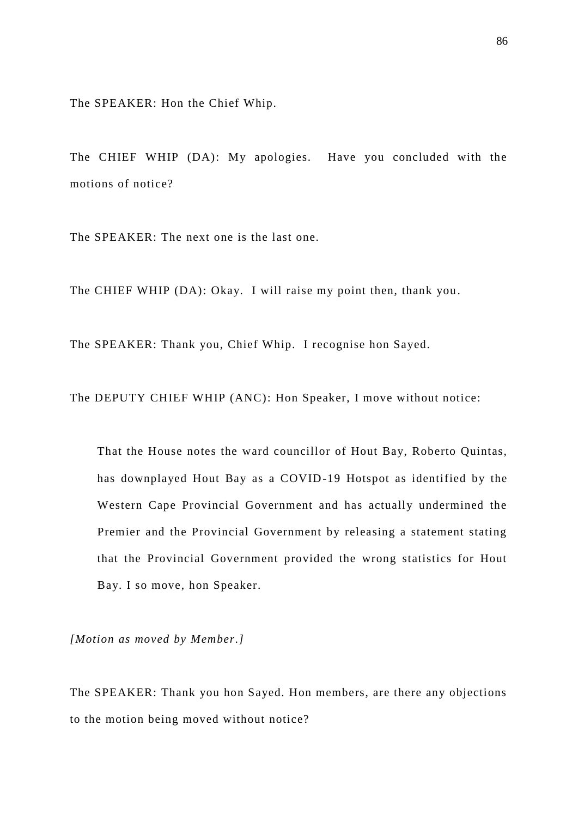The SPEAKER: Hon the Chief Whip.

The CHIEF WHIP (DA): My apologies. Have you concluded with the motions of notice?

The SPEAKER: The next one is the last one.

The CHIEF WHIP (DA): Okay. I will raise my point then, thank you .

The SPEAKER: Thank you, Chief Whip. I recognise hon Sayed.

The DEPUTY CHIEF WHIP (ANC): Hon Speaker, I move without notice:

That the House notes the ward councillor of Hout Bay, Roberto Quintas, has downplayed Hout Bay as a COVID-19 Hotspot as identified by the Western Cape Provincial Government and has actually undermined the Premier and the Provincial Government by releasing a statement stating that the Provincial Government provided the wrong statistics for Hout Bay. I so move, hon Speaker.

*[Motion as moved by Member.]*

The SPEAKER: Thank you hon Sayed. Hon members, are there any objections to the motion being moved without notice?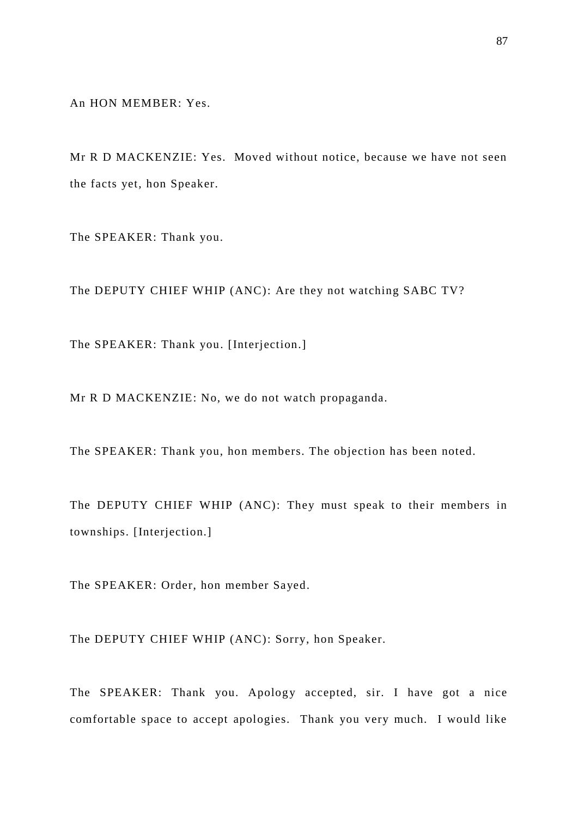An HON MEMBER: Yes.

Mr R D MACKENZIE: Yes. Moved without notice, because we have not seen the facts yet, hon Speaker.

The SPEAKER: Thank you.

The DEPUTY CHIEF WHIP (ANC): Are they not watching SABC TV?

The SPEAKER: Thank you. [Interjection.]

Mr R D MACKENZIE: No, we do not watch propaganda.

The SPEAKER: Thank you, hon members. The objection has been noted.

The DEPUTY CHIEF WHIP (ANC): They must speak to their members in townships. [Interjection.]

The SPEAKER: Order, hon member Sayed.

The DEPUTY CHIEF WHIP (ANC): Sorry, hon Speaker.

The SPEAKER: Thank you. Apology accepted, sir. I have got a nice comfortable space to accept apologies. Thank you very much. I would like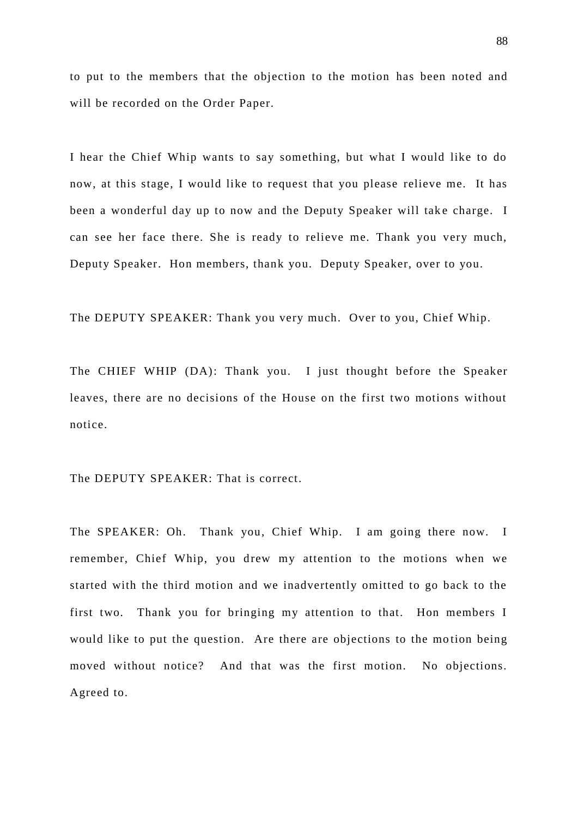to put to the members that the objection to the motion has been noted and will be recorded on the Order Paper.

I hear the Chief Whip wants to say something, but what I would like to do now, at this stage, I would like to request that you please relieve me. It has been a wonderful day up to now and the Deputy Speaker will take charge. I can see her face there. She is ready to relieve me. Thank you very much, Deputy Speaker. Hon members, thank you. Deputy Speaker, over to you.

The DEPUTY SPEAKER: Thank you very much. Over to you, Chief Whip.

The CHIEF WHIP (DA): Thank you. I just thought before the Speaker leaves, there are no decisions of the House on the first two motions without notice.

The DEPUTY SPEAKER: That is correct.

The SPEAKER: Oh. Thank you, Chief Whip. I am going there now. I remember, Chief Whip, you drew my attention to the motions when we started with the third motion and we inadvertently omitted to go back to the first two. Thank you for bringing my attention to that. Hon members I would like to put the question. Are there are objections to the motion being moved without notice? And that was the first motion. No objections. Agreed to.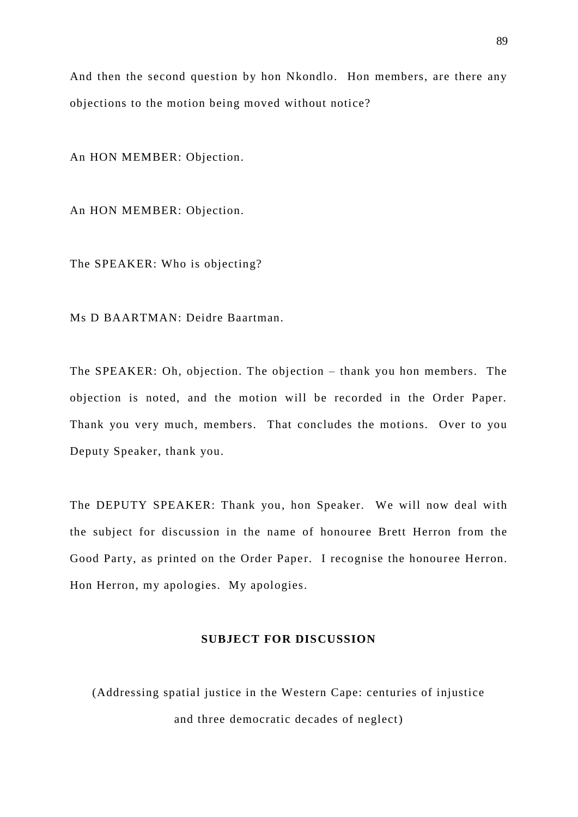And then the second question by hon Nkondlo. Hon members, are there any objections to the motion being moved without notice?

An HON MEMBER: Objection.

An HON MEMBER: Objection.

The SPEAKER: Who is objecting?

Ms D BAARTMAN: Deidre Baartman.

The SPEAKER: Oh, objection. The objection – thank you hon members. The objection is noted, and the motion will be recorded in the Order Paper. Thank you very much, members. That concludes the motions. Over to you Deputy Speaker, thank you.

The DEPUTY SPEAKER: Thank you, hon Speaker. We will now deal with the subject for discussion in the name of honouree Brett Herron from the Good Party, as printed on the Order Paper. I recognise the honouree Herron. Hon Herron, my apologies. My apologies.

## **SUBJECT FOR DISCUSSION**

(Addressing spatial justice in the Western Cape: centuries of injustice and three democratic decades of neglect)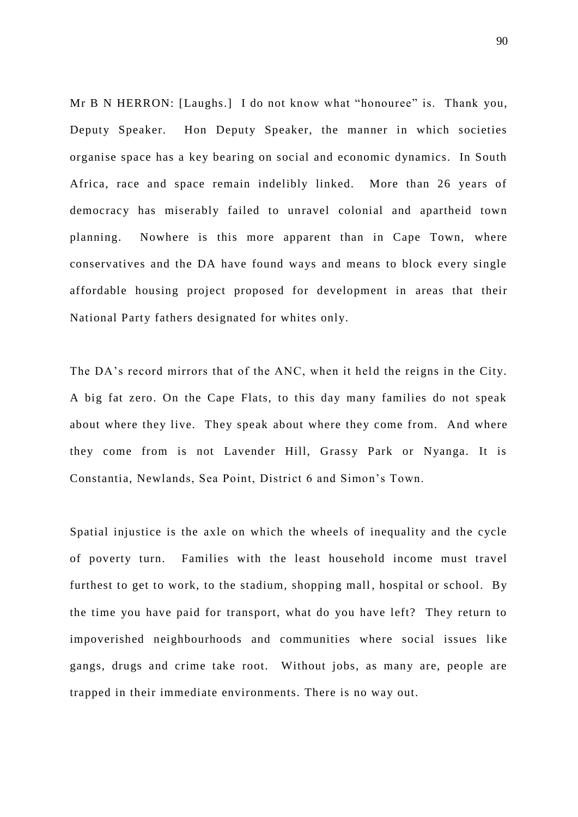Mr B N HERRON: [Laughs.] I do not know what "honouree" is. Thank you, Deputy Speaker. Hon Deputy Speaker, the manner in which societies organise space has a key bearing on social and economic dynamics. In South Africa, race and space remain indelibly linked. More than 26 years of democracy has miserably failed to unravel colonial and apartheid town planning. Nowhere is this more apparent than in Cape Town, where conservatives and the DA have found ways and means to block every single affordable housing project proposed for development in areas that their National Party fathers designated for whites only.

The DA's record mirrors that of the ANC, when it held the reigns in the City. A big fat zero. On the Cape Flats, to this day many families do not speak about where they live. They speak about where they come from. And where they come from is not Lavender Hill, Grassy Park or Nyanga. It is Constantia, Newlands, Sea Point, District 6 and Simon's Town.

Spatial injustice is the axle on which the wheels of inequality and the cycle of poverty turn. Families with the least household income must travel furthest to get to work, to the stadium, shopping mall, hospital or school. By the time you have paid for transport, what do you have left? They return to impoverished neighbourhoods and communities where social issues like gangs, drugs and crime take root. Without jobs, as many are, people are trapped in their immediate environments. There is no way out.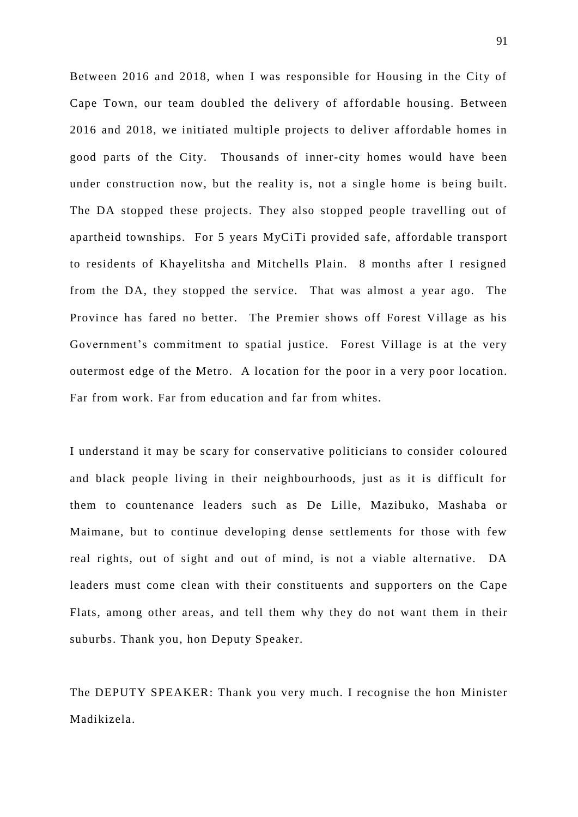Between 2016 and 2018, when I was responsible for Housing in the City of Cape Town, our team doubled the delivery of affordable housing. Between 2016 and 2018, we initiated multiple projects to deliver affordable homes in good parts of the City. Thousands of inner-city homes would have been under construction now, but the reality is, not a single home is being built. The DA stopped these projects. They also stopped people travelling out of apartheid townships. For 5 years MyCiTi provided safe, affordable transport to residents of Khayelitsha and Mitchells Plain. 8 months after I resigned from the DA, they stopped the service. That was almost a year ago. The Province has fared no better. The Premier shows off Forest Village as his Government's commitment to spatial justice. Forest Village is at the very outermost edge of the Metro. A location for the poor in a very poor location. Far from work. Far from education and far from whites.

I understand it may be scary for conservative politicians to consider coloured and black people living in their neighbourhoods, just as it is difficult for them to countenance leaders such as De Lille, Mazibuko, Mashaba or Maimane, but to continue developing dense settlements for those with few real rights, out of sight and out of mind, is not a viable alternative. DA leaders must come clean with their constituents and supporters on the Cape Flats, among other areas, and tell them why they do not want them in their suburbs. Thank you, hon Deputy Speaker.

The DEPUTY SPEAKER: Thank you very much. I recognise the hon Minister Madikizela.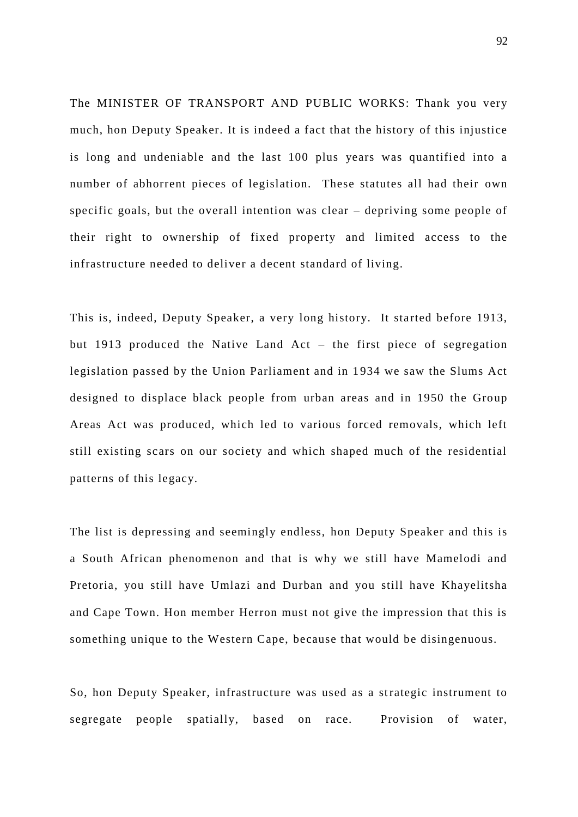The MINISTER OF TRANSPORT AND PUBLIC WORKS: Thank you very much, hon Deputy Speaker. It is indeed a fact that the history of this injustice is long and undeniable and the last 100 plus years was quantified into a number of abhorrent pieces of legislation. These statutes all had their own specific goals, but the overall intention was clear – depriving some people of their right to ownership of fixed property and limited access to the infrastructure needed to deliver a decent standard of living.

This is, indeed, Deputy Speaker, a very long history. It started before 1913, but 1913 produced the Native Land Act – the first piece of segregation legislation passed by the Union Parliament and in 1934 we saw the Slums Act designed to displace black people from urban areas and in 1950 the Group Areas Act was produced, which led to various forced removals, which left still existing scars on our society and which shaped much of the residential patterns of this legacy.

The list is depressing and seemingly endless, hon Deputy Speaker and this is a South African phenomenon and that is why we still have Mamelodi and Pretoria, you still have Umlazi and Durban and you still have Khayelitsha and Cape Town. Hon member Herron must not give the impression that this is something unique to the Western Cape, because that would be disingenuous.

So, hon Deputy Speaker, infrastructure was used as a strategic instrument to segregate people spatially, based on race. Provision of water,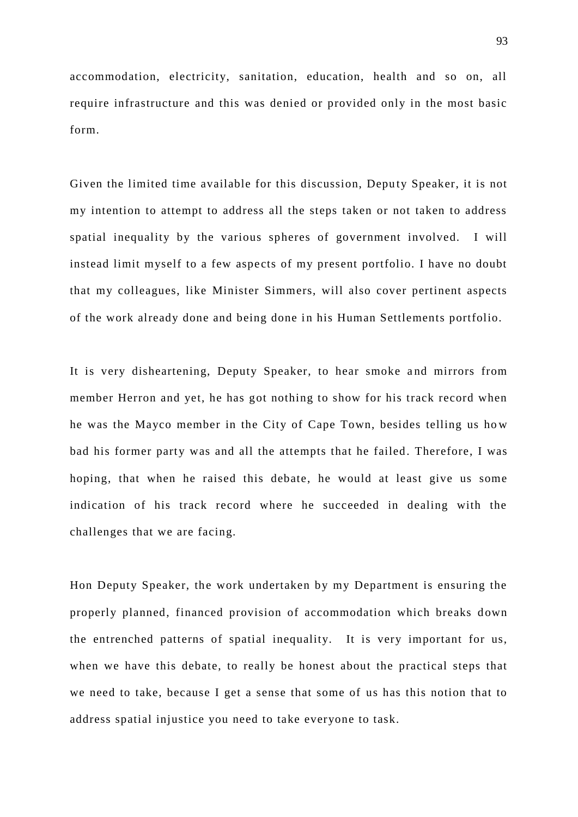accommodation, electricity, sanitation, education, health and so on, all require infrastructure and this was denied or provided only in the most basic form.

Given the limited time available for this discussion, Deputy Speaker, it is not my intention to attempt to address all the steps taken or not taken to address spatial inequality by the various spheres of government involved. I will instead limit myself to a few aspects of my present portfolio. I have no doubt that my colleagues, like Minister Simmers, will also cover pertinent aspects of the work already done and being done in his Human Settlements portfolio.

It is very disheartening, Deputy Speaker, to hear smoke and mirrors from member Herron and yet, he has got nothing to show for his track record when he was the Mayco member in the City of Cape Town, besides telling us ho w bad his former party was and all the attempts that he failed. Therefore, I was hoping, that when he raised this debate, he would at least give us some indication of his track record where he succeeded in dealing with the challenges that we are facing.

Hon Deputy Speaker, the work undertaken by my Department is ensuring the properly planned, financed provision of accommodation which breaks down the entrenched patterns of spatial inequality. It is very important for us, when we have this debate, to really be honest about the practical steps that we need to take, because I get a sense that some of us has this notion that to address spatial injustice you need to take everyone to task.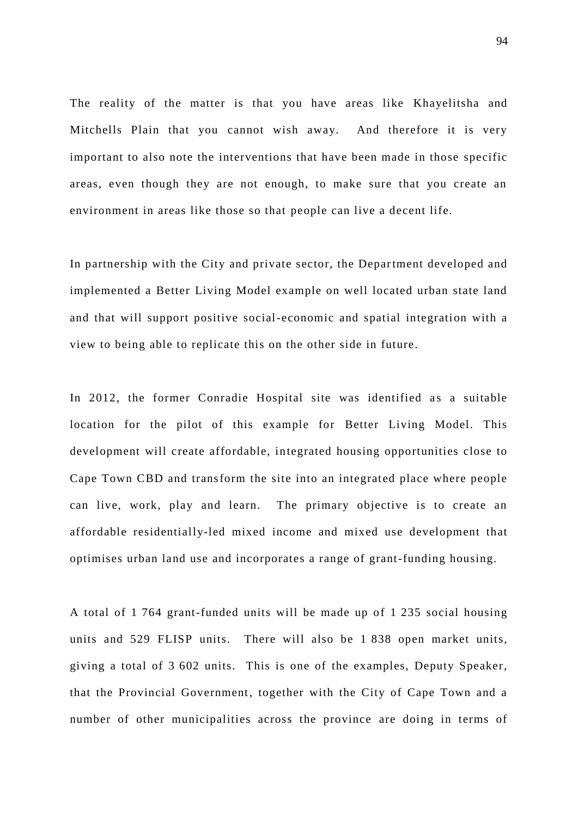The reality of the matter is that you have areas like Khayelitsha and Mitchells Plain that you cannot wish away. And therefore it is very important to also note the interventions that have been made in those specific areas, even though they are not enough, to make sure that you create an environment in areas like those so that people can live a decent life.

In partnership with the City and private sector, the Department developed and implemented a Better Living Model example on well located urban state land and that will support positive social-economic and spatial integration with a view to being able to replicate this on the other side in future.

In 2012, the former Conradie Hospital site was identified as a suitable location for the pilot of this example for Better Living Model. This development will create affordable, integrated housing opportunities close to Cape Town CBD and transform the site into an integrated place where people can live, work, play and learn. The primary objective is to create an affordable residentially-led mixed income and mixed use development that optimises urban land use and incorporates a range of grant-funding housing.

A total of 1 764 grant-funded units will be made up of 1 235 social housing units and 529 FLISP units. There will also be 1 838 open market units, giving a total of 3 602 units. This is one of the examples, Deputy Speaker, that the Provincial Government, together with the City of Cape Town and a number of other municipalities across the province are doing in terms of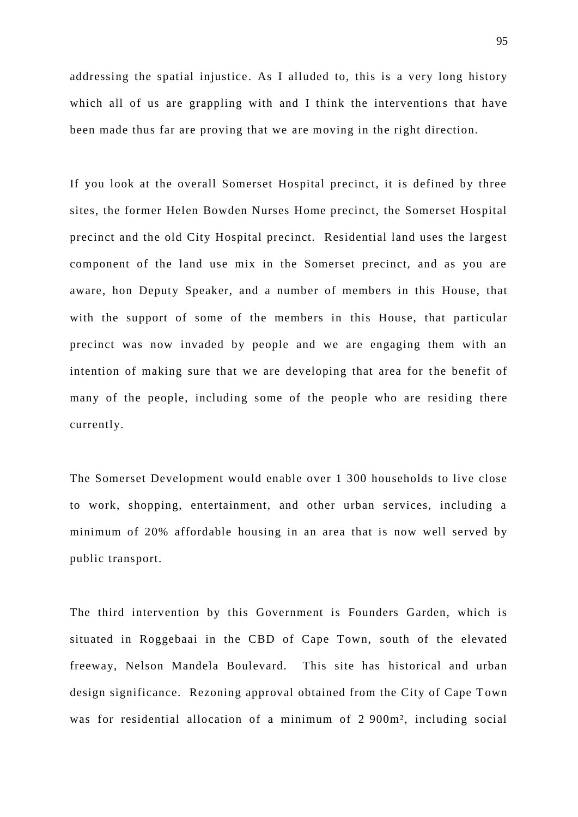addressing the spatial injustice. As I alluded to, this is a very long history which all of us are grappling with and I think the interventions that have been made thus far are proving that we are moving in the right direction.

If you look at the overall Somerset Hospital precinct, it is defined by three sites, the former Helen Bowden Nurses Home precinct, the Somerset Hospital precinct and the old City Hospital precinct. Residential land uses the largest component of the land use mix in the Somerset precinct, and as you are aware, hon Deputy Speaker, and a number of members in this House, that with the support of some of the members in this House, that particular precinct was now invaded by people and we are engaging them with an intention of making sure that we are developing that area for the benefit of many of the people, including some of the people who are residing there currently.

The Somerset Development would enable over 1 300 households to live close to work, shopping, entertainment, and other urban services, including a minimum of 20% affordable housing in an area that is now well served by public transport.

The third intervention by this Government is Founders Garden, which is situated in Roggebaai in the CBD of Cape Town, south of the elevated freeway, Nelson Mandela Boulevard. This site has historical and urban design significance. Rezoning approval obtained from the City of Cape Town was for residential allocation of a minimum of 2 900m², including social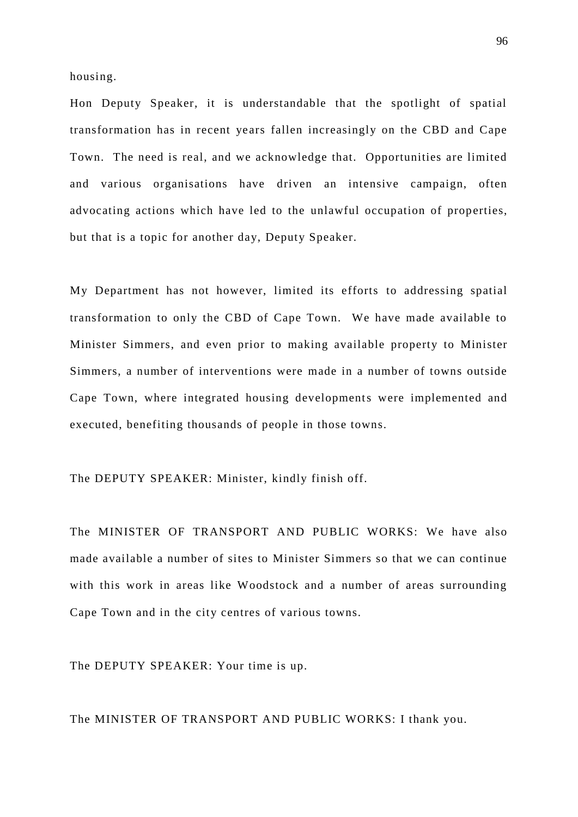housing.

Hon Deputy Speaker, it is understandable that the spotlight of spatial transformation has in recent ye ars fallen increasingly on the CBD and Cape Town. The need is real, and we acknowledge that. Opportunities are limited and various organisations have driven an intensive campaign, often advocating actions which have led to the unlawful occupation of properties, but that is a topic for another day, Deputy Speaker.

My Department has not however, limited its efforts to addressing spatial transformation to only the CBD of Cape Town. We have made available to Minister Simmers, and even prior to making available property to Minister Simmers, a number of interventions were made in a number of towns outside Cape Town, where integrated housing developments were implemented and executed, benefiting thousands of people in those towns.

The DEPUTY SPEAKER: Minister, kindly finish off.

The MINISTER OF TRANSPORT AND PUBLIC WORKS: We have also made available a number of sites to Minister Simmers so that we can continue with this work in areas like Woodstock and a number of areas surrounding Cape Town and in the city centres of various towns.

The DEPUTY SPEAKER: Your time is up.

The MINISTER OF TRANSPORT AND PUBLIC WORKS: I thank you.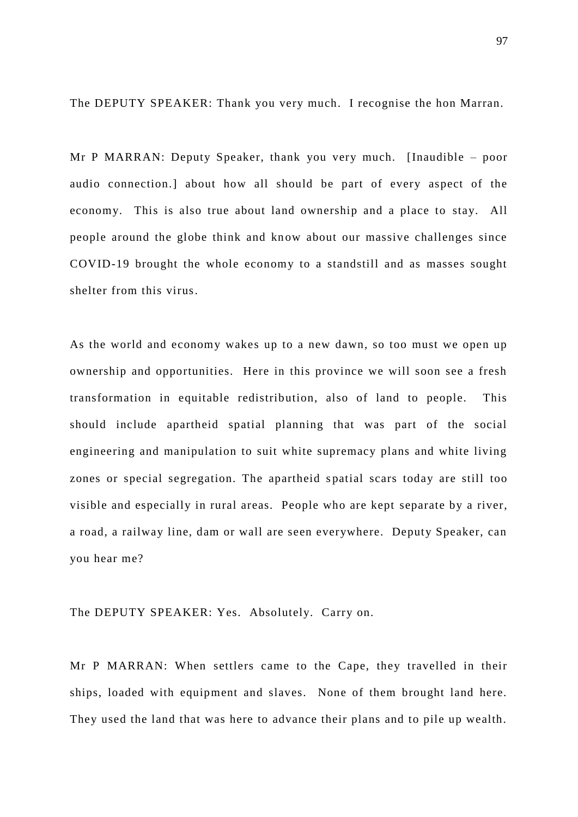The DEPUTY SPEAKER: Thank you very much. I recognise the hon Marran.

Mr P MARRAN: Deputy Speaker, thank you very much. [Inaudible – poor audio connection.] about how all should be part of every aspect of the economy. This is also true about land ownership and a place to stay. All people around the globe think and know about our massive challenges since COVID-19 brought the whole economy to a standstill and as masses sought shelter from this virus.

As the world and economy wakes up to a new dawn, so too must we open up ownership and opportunities. Here in this province we will soon see a fresh transformation in equitable redistribution, also of land to people. This should include apartheid spatial planning that was part of the social engineering and manipulation to suit white supremacy plans and white living zones or special segregation. The apartheid spatial scars today are still too visible and especially in rural areas. People who are kept separate by a river, a road, a railway line, dam or wall are seen everywhere. Deputy Speaker, can you hear me?

## The DEPUTY SPEAKER: Yes. Absolutely. Carry on.

Mr P MARRAN: When settlers came to the Cape, they travelled in their ships, loaded with equipment and slaves. None of them brought land here. They used the land that was here to advance their plans and to pile up wealth.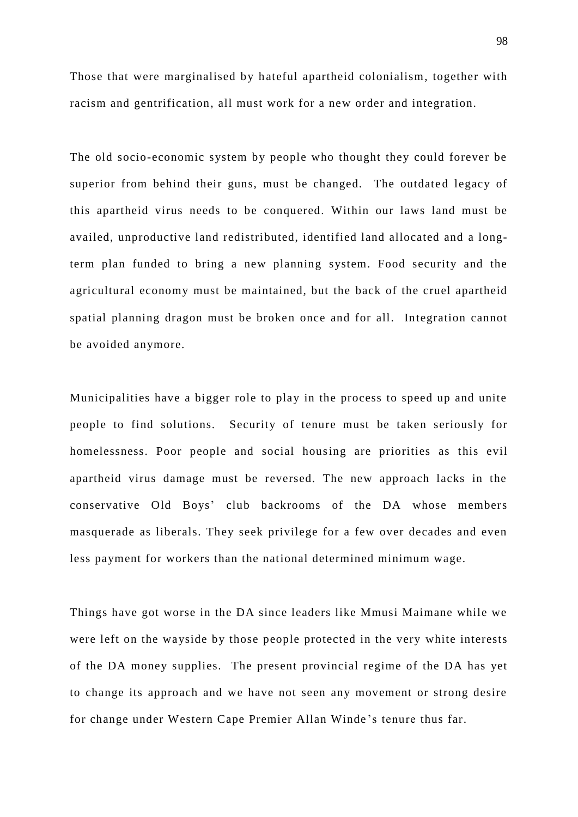Those that were marginalised by hateful apartheid colonialism, together with racism and gentrification, all must work for a new order and integration.

The old socio-economic system by people who thought they could forever be superior from behind their guns, must be changed. The outdated legacy of this apartheid virus needs to be conquered. Within our laws land must be availed, unproductive land redistributed, identified land allocated and a longterm plan funded to bring a new planning system. Food security and the agricultural economy must be maintained, but the back of the cruel apartheid spatial planning dragon must be broken once and for all. Integration cannot be avoided anymore.

Municipalities have a bigger role to play in the process to speed up and unite people to find solutions. Security of tenure must be taken seriously for homelessness. Poor people and social housing are priorities as this evil apartheid virus damage must be reversed. The new approach lacks in the conservative Old Boys' club backrooms of the DA whose members masquerade as liberals. They seek privilege for a few over decades and even less payment for workers than the national determined minimum wage.

Things have got worse in the DA since leaders like Mmusi Maimane while we were left on the wayside by those people protected in the very white interests of the DA money supplies. The present provincial regime of the DA has yet to change its approach and we have not seen any movement or strong desire for change under Western Cape Premier Allan Winde 's tenure thus far.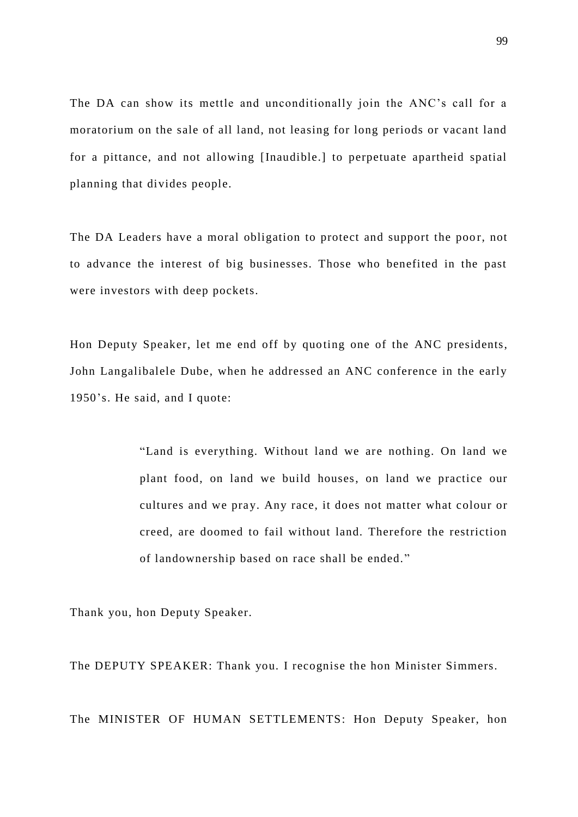The DA can show its mettle and unconditionally join the ANC's call for a moratorium on the sale of all land, not leasing for long periods or vacant land for a pittance, and not allowing [Inaudible.] to perpetuate apartheid spatial planning that divides people.

The DA Leaders have a moral obligation to protect and support the poor, not to advance the interest of big businesses. Those who benefited in the past were investors with deep pockets.

Hon Deputy Speaker, let me end off by quoting one of the ANC presidents, John Langalibalele Dube, when he addressed an ANC conference in the early 1950's. He said, and I quote:

> "Land is everything. Without land we are nothing. On land we plant food, on land we build houses, on land we practice our cultures and we pray. Any race, it does not matter what colour or creed, are doomed to fail without land. Therefore the restriction of landownership based on race shall be ended. "

Thank you, hon Deputy Speaker.

The DEPUTY SPEAKER: Thank you. I recognise the hon Minister Simmers.

The MINISTER OF HUMAN SETTLEMENTS: Hon Deputy Speaker, hon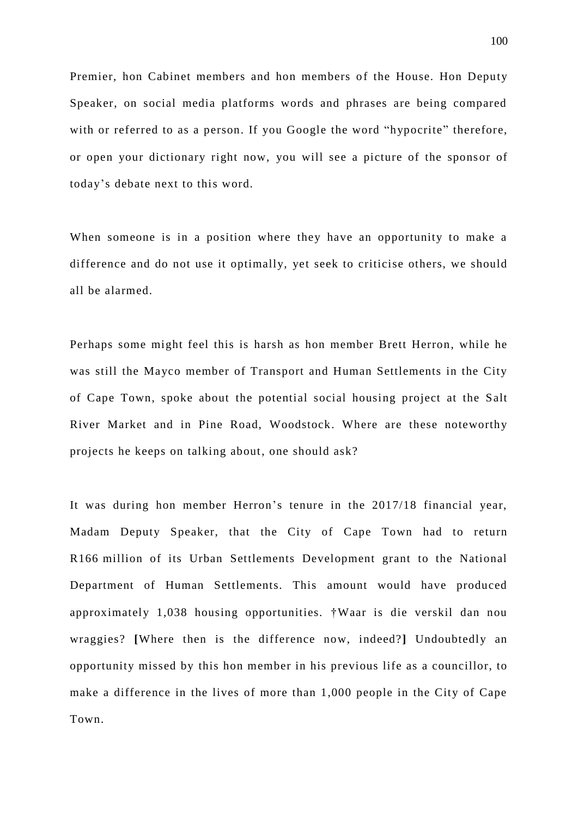Premier, hon Cabinet members and hon members of the House. Hon Deputy Speaker, on social media platforms words and phrases are being compared with or referred to as a person. If you Google the word "hypocrite" therefore, or open your dictionary right now, you will see a picture of the sponsor of today's debate next to this word.

When someone is in a position where they have an opportunity to make a difference and do not use it optimally, yet seek to criticise others, we should all be alarmed.

Perhaps some might feel this is harsh as hon member Brett Herron, while he was still the Mayco member of Transport and Human Settlements in the City of Cape Town, spoke about the potential social housing project at the Salt River Market and in Pine Road, Woodstock. Where are these noteworthy projects he keeps on talking about, one should ask?

It was during hon member Herron's tenure in the 2017/18 financial year, Madam Deputy Speaker, that the City of Cape Town had to return R166 million of its Urban Settlements Development grant to the National Department of Human Settlements. This amount would have produced approximately 1,038 housing opportunities. †Waar is die verskil dan nou wraggies? **[**Where then is the difference now, indeed?**]** Undoubtedly an opportunity missed by this hon member in his previous life as a councillor, to make a difference in the lives of more than 1,000 people in the City of Cape Town.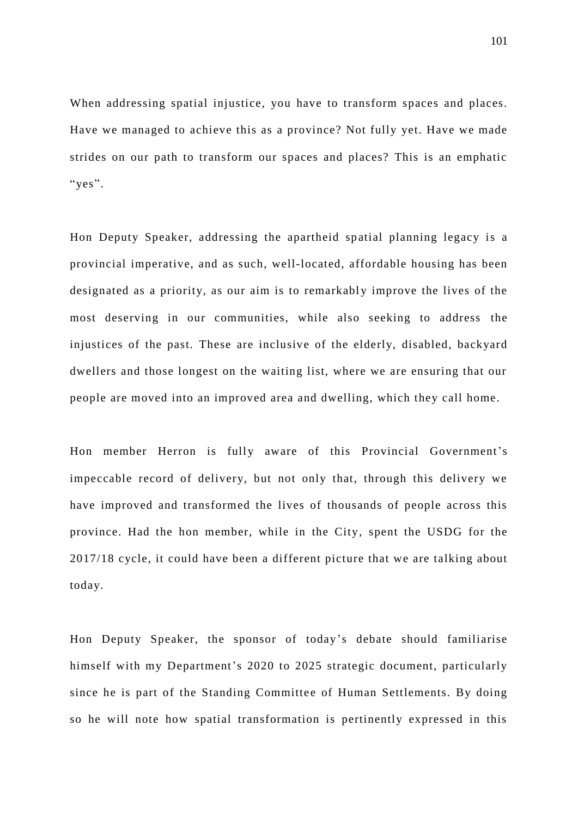When addressing spatial injustice, you have to transform spaces and places. Have we managed to achieve this as a province? Not fully yet. Have we made strides on our path to transform our spaces and places? This is an emphatic "yes".

Hon Deputy Speaker, addressing the apartheid spatial planning legacy is a provincial imperative, and as such, well-located, affordable housing has been designated as a priority, as our aim is to remarkably improve the lives of the most deserving in our communities, while also seeking to address the injustices of the past. These are inclusive of the elderly, disabled, backyard dwellers and those longest on the waiting list, where we are ensuring that our people are moved into an improved area and dwelling, which they call home.

Hon member Herron is fully aware of this Provincial Government's impeccable record of delivery, but not only that, through this delivery we have improved and transformed the lives of thousands of people across this province. Had the hon member, while in the City, spent the USDG for the 2017/18 cycle, it could have been a different picture that we are talking about today.

Hon Deputy Speaker, the sponsor of today's debate should familiarise himself with my Department's 2020 to 2025 strategic document, particularly since he is part of the Standing Committee of Human Settlements. By doing so he will note how spatial transformation is pertinently expressed in this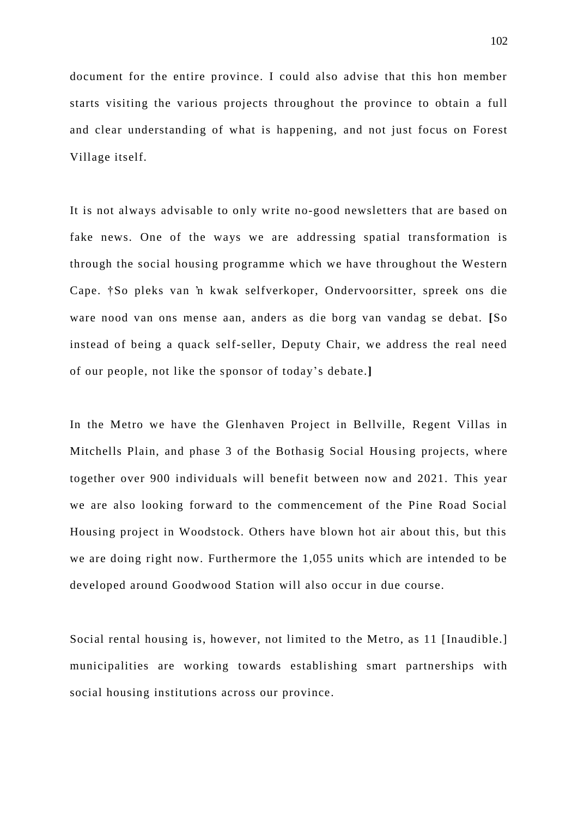document for the entire province. I could also advise that this hon member starts visiting the various projects throughout the province to obtain a full and clear understanding of what is happening, and not just focus on Forest Village itself.

It is not always advisable to only write no-good newsletters that are based on fake news. One of the ways we are addressing spatial transformation is through the social housing programme which we have throughout the Western Cape. †So pleks van 'n kwak selfverkoper, Ondervoorsitter, spreek ons die ware nood van ons mense aan, anders as die borg van vandag se debat. **[**So instead of being a quack self-seller, Deputy Chair, we address the real need of our people, not like the sponsor of today's debate.**]**

In the Metro we have the Glenhaven Project in Bellville, Regent Villas in Mitchells Plain, and phase 3 of the Bothasig Social Housing projects, where together over 900 individuals will benefit between now and 2021. This year we are also looking forward to the commencement of the Pine Road Social Housing project in Woodstock. Others have blown hot air about this, but this we are doing right now. Furthermore the 1,055 units which are intended to be developed around Goodwood Station will also occur in due course.

Social rental housing is, however, not limited to the Metro, as 11 [Inaudible.] municipalities are working towards establishing smart partnerships with social housing institutions across our province.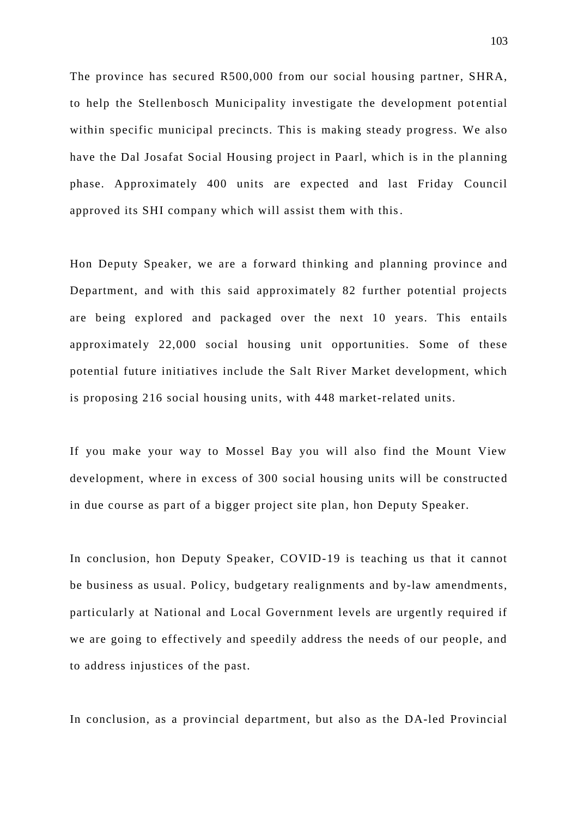The province has secured R500,000 from our social housing partner, SHRA, to help the Stellenbosch Municipality investigate the development pot ential within specific municipal precincts. This is making steady progress. We also have the Dal Josafat Social Housing project in Paarl, which is in the planning phase. Approximately 400 units are expected and last Friday Council approved its SHI company which will assist them with this.

Hon Deputy Speaker, we are a forward thinking and planning province and Department, and with this said approximately 82 further potential projects are being explored and packaged over the next 10 years. This entails approximately 22,000 social housing unit opportunities. Some of these potential future initiatives include the Salt River Market development, which is proposing 216 social housing units, with 448 market-related units.

If you make your way to Mossel Bay you will also find the Mount View development, where in excess of 300 social housing units will be constructed in due course as part of a bigger project site plan, hon Deputy Speaker.

In conclusion, hon Deputy Speaker, COVID-19 is teaching us that it cannot be business as usual. Policy, budgetary realignments and by-law amendments, particularly at National and Local Government levels are urgently required if we are going to effectively and speedily address the needs of our people, and to address injustices of the past.

In conclusion, as a provincial department, but also as the DA-led Provincial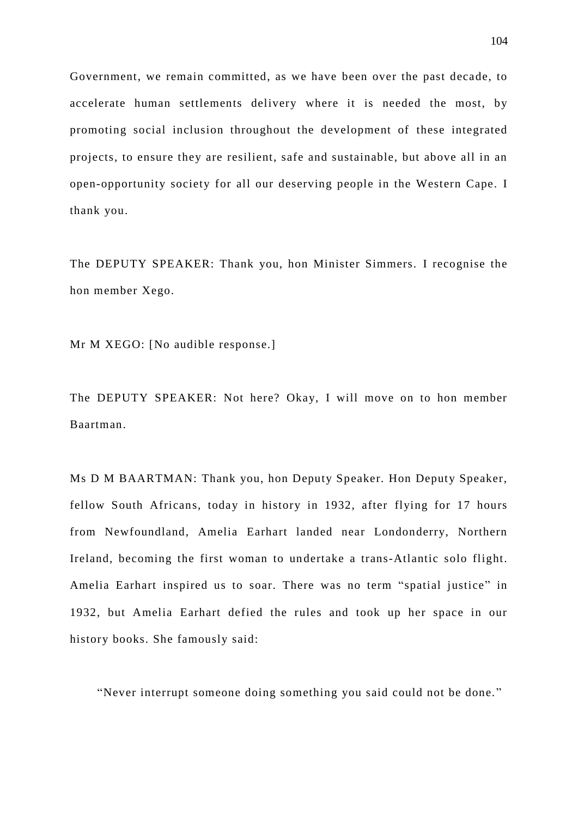Government, we remain committed, as we have been over the past decade, to accelerate human settlements delivery where it is needed the most, by promoting social inclusion throughout the development of these integrated projects, to ensure they are resilient, safe and sustainable, but above all in an open-opportunity society for all our deserving people in the Western Cape. I thank you.

The DEPUTY SPEAKER: Thank you, hon Minister Simmers. I recognise the hon member Xego.

Mr M XEGO: [No audible response.]

The DEPUTY SPEAKER: Not here? Okay, I will move on to hon member Baartman.

Ms D M BAARTMAN: Thank you, hon Deputy Speaker. Hon Deputy Speaker, fellow South Africans, today in history in 1932, after flying for 17 hours from Newfoundland, Amelia Earhart landed near Londonderry, Northern Ireland, becoming the first woman to un dertake a trans-Atlantic solo flight. Amelia Earhart inspired us to soar. There was no term "spatial justice" in 1932, but Amelia Earhart defied the rules and took up her space in our history books. She famously said:

"Never interrupt someone doing something you said could not be done. "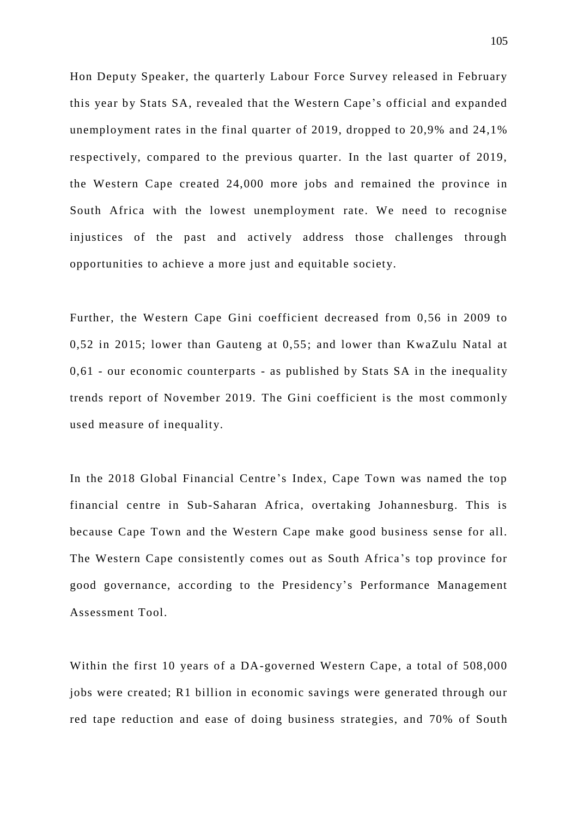Hon Deputy Speaker, the quarterly Labour Force Survey released in February this year by Stats SA, revealed that the Western Cape's official and expanded unemployment rates in the final quarter of 2019, dropped to 20,9% and 24,1% respectively, compared to the previous quarter. In the last quarter of 2019, the Western Cape created 24,000 more jobs and remained the province in South Africa with the lowest unemployment rate. We need to recognise injustices of the past and actively address those challenges through opportunities to achieve a more just and equitable society.

Further, the Western Cape Gini coefficient decreased from 0,56 in 2009 to 0,52 in 2015; lower than Gauteng at 0,55; and lower than KwaZulu Natal at 0,61 - our economic counterparts - as published by Stats SA in the inequality trends report of November 2019. The Gini coefficient is the most commonly used measure of inequality.

In the 2018 Global Financial Centre 's Index, Cape Town was named the top financial centre in Sub-Saharan Africa, overtaking Johannesburg. This is because Cape Town and the Western Cape make good business sense for all. The Western Cape consistently comes out as South Africa 's top province for good governance, according to the Presidency's Performance Management Assessment Tool.

Within the first 10 years of a DA-governed Western Cape, a total of 508,000 jobs were created; R1 billion in economic savings were generated through our red tape reduction and ease of doing business strategies, and 70% of South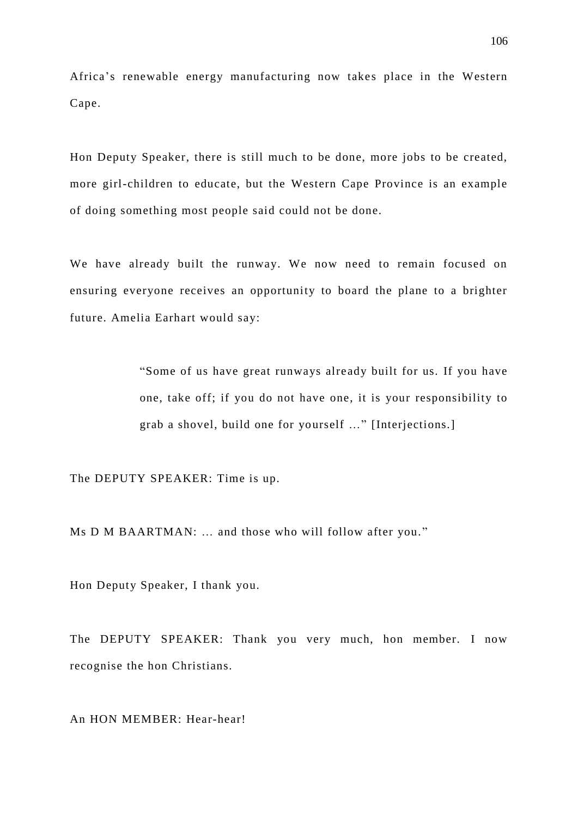Africa's renewable energy manufacturing now takes place in the Western Cape.

Hon Deputy Speaker, there is still much to be done, more jobs to be created, more girl-children to educate, but the Western Cape Province is an example of doing something most people said could not be done.

We have already built the runway. We now need to remain focused on ensuring everyone receives an opportunity to board the plane to a brighter future. Amelia Earhart would say:

> "Some of us have great runways alre ady built for us. If you have one, take off; if you do not have one, it is your responsibility to grab a shovel, build one for yourself …" [Interjections.]

The DEPUTY SPEAKER: Time is up.

Ms D M BAARTMAN: … and those who will follow after you. "

Hon Deputy Speaker, I thank you.

The DEPUTY SPEAKER: Thank you very much, hon member. I now recognise the hon Christians.

An HON MEMBER: Hear-hear!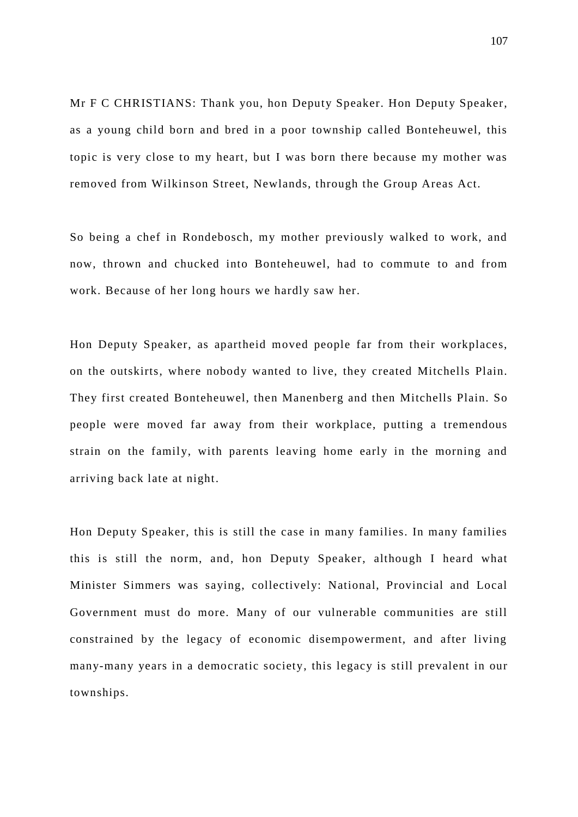Mr F C CHRISTIANS: Thank you, hon Deputy Speaker. Hon Deputy Speaker, as a young child born and bred in a poor township called Bonteheuwel, this topic is very close to my heart, but I was born there because my mother was removed from Wilkinson Street, Newlands, through the Group Areas Act.

So being a chef in Rondebosch, my mother previously walked to work, and now, thrown and chucked into Bonteheuwel, had to commute to and from work. Because of her long hours we hardly saw her.

Hon Deputy Speaker, as apartheid moved people far from their workplaces, on the outskirts, where nobody wanted to live, they created Mitchells Plain. They first created Bonteheuwel, then Manenberg and then Mitchells Plain. So people were moved far away from their workplace, putting a tremendous strain on the family, with parents leaving home early in the morning and arriving back late at night.

Hon Deputy Speaker, this is still the case in many families. In many families this is still the norm, and, hon Deputy Speaker, although I heard what Minister Simmers was saying, collectively: National, Provincial and Local Government must do more. Many of our vulnerable communities are still constrained by the legacy of economic disempowerment, and after living many-many years in a democratic society, this legacy is still prevalent in our townships.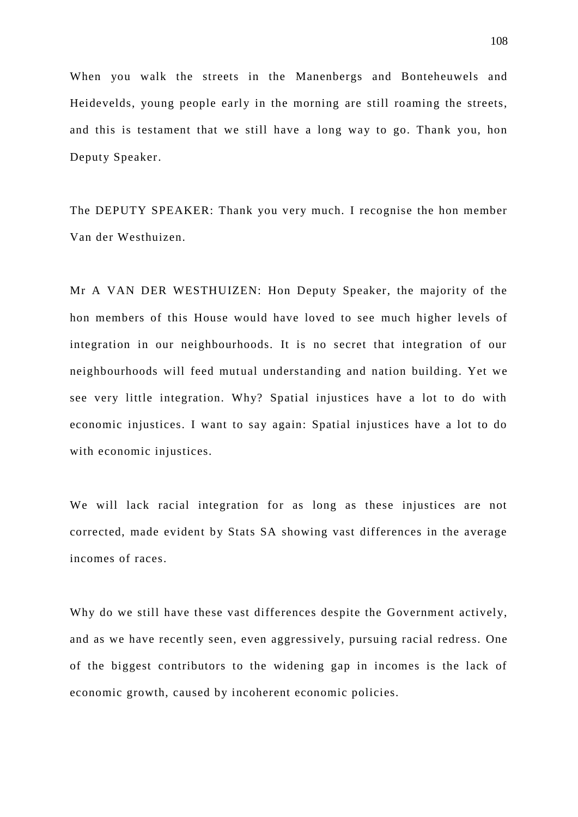When you walk the streets in the Manenbergs and Bonteheuwels and Heidevelds, young people early in the morning are still roaming the streets, and this is testament that we still have a long way to go. Thank you, hon Deputy Speaker.

The DEPUTY SPEAKER: Thank you very much. I recognise the hon member Van der Westhuizen.

Mr A VAN DER WESTHUIZEN: Hon Deputy Speaker, the majority of the hon members of this House would have loved to see much higher levels of integration in our neighbourhoods. It is no secret that integration of our neighbourhoods will feed mutual understanding and nation building. Yet we see very little integration. Why? Spatial injustices have a lot to do with economic injustices. I want to say again: Spatial injustices have a lot to do with economic injustices.

We will lack racial integration for as long as these injustices are not corrected, made evident by Stats SA showing vast differences in the average incomes of races.

Why do we still have these vast differences despite the Government actively, and as we have recently seen, even aggressively, pursuing racial redress. One of the biggest contributors to the widening gap in incomes is the lack of economic growth, caused by incoherent economic policies.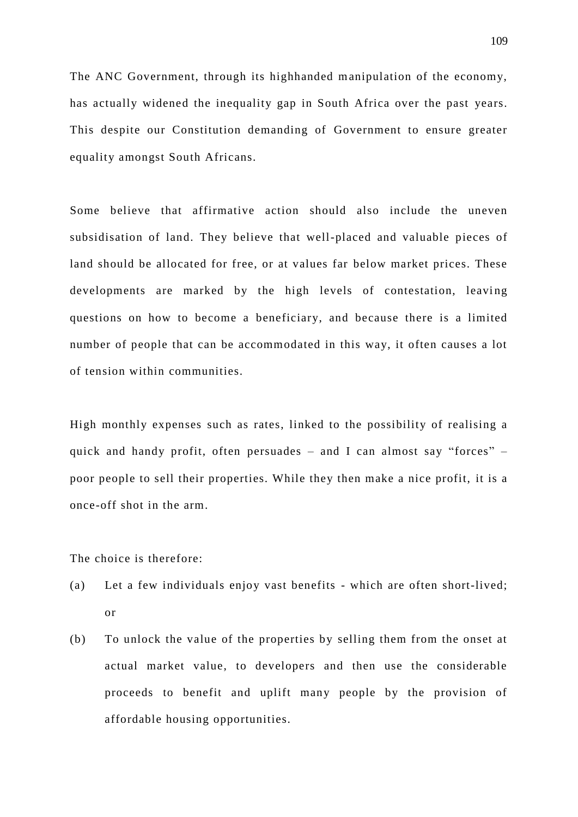The ANC Government, through its highhanded manipulation of the economy, has actually widened the inequality gap in South Africa over the past years. This despite our Constitution demanding of Government to ensure greater equality amongst South Africans.

Some believe that affirmative action should also include the uneven subsidisation of land. They believe that well-placed and valuable pieces of land should be allocated for free, or at values far below market prices. These developments are marked by the high levels of contestation, leaving questions on how to become a beneficiary, and because there is a limited number of people that can be accommodated in this way, it often causes a lot of tension within communities.

High monthly expenses such as rates, linked to the possibility of realising a quick and handy profit, often persuades – and I can almost say "forces" – poor people to sell their properties. While they then make a nice profit, it is a once-off shot in the arm.

The choice is therefore:

- (a) Let a few individuals enjoy vast benefits which are often short-lived; or
- (b) To unlock the value of the properties by selling them from the onset at actual market value, to developers and then use the considerable proceeds to benefit and uplift many people by the provision of affordable housing opportunities.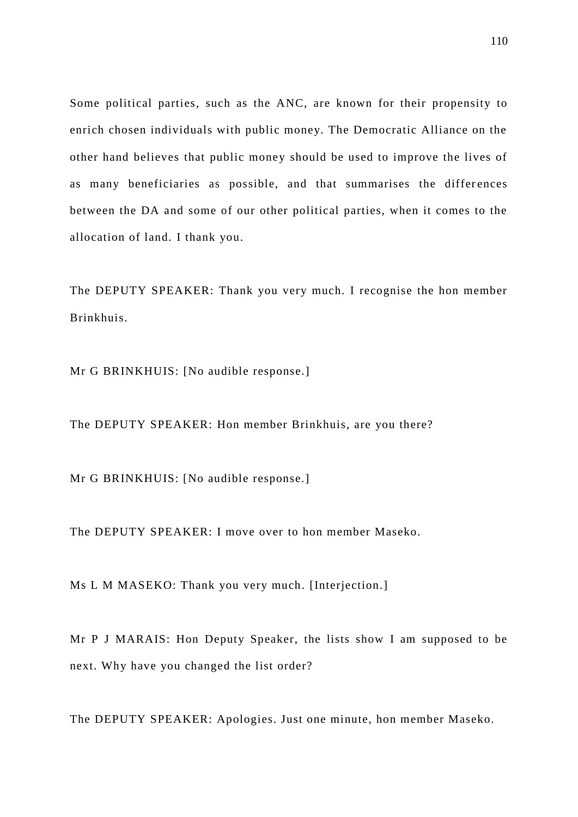Some political parties, such as the ANC, are known for their propensity to enrich chosen individuals with public money. The Democratic Alliance on the other hand believes that public money should be used to improve the lives of as many beneficiaries as possible, and that summarises the differences between the DA and some of our other political parties, when it comes to the allocation of land. I thank you.

The DEPUTY SPEAKER: Thank you very much. I recognise the hon member Brinkhuis.

Mr G BRINKHUIS: [No audible response.]

The DEPUTY SPEAKER: Hon member Brinkhuis, are you there?

Mr G BRINKHUIS: [No audible response.]

The DEPUTY SPEAKER: I move over to hon member Maseko.

Ms L M MASEKO: Thank you very much. [Interjection.]

Mr P J MARAIS: Hon Deputy Speaker, the lists show I am supposed to be next. Why have you changed the list order?

The DEPUTY SPEAKER: Apologies. Just one minute, hon member Maseko.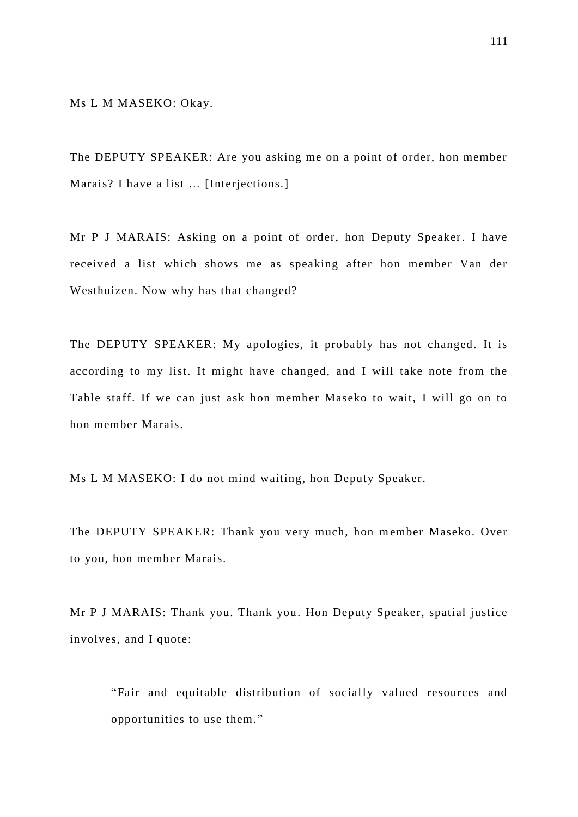Ms L M MASEKO: Okay.

The DEPUTY SPEAKER: Are you asking me on a point of order, hon member Marais? I have a list … [Interjections.]

Mr P J MARAIS: Asking on a point of order, hon Deputy Speaker. I have received a list which shows me as speaking after hon member Van der Westhuizen. Now why has that changed?

The DEPUTY SPEAKER: My apologies, it probably has not changed. It is according to my list. It might have changed, and I will take note from the Table staff. If we can just ask hon member Maseko to wait, I will go on to hon member Marais.

Ms L M MASEKO: I do not mind waiting, hon Deputy Speaker.

The DEPUTY SPEAKER: Thank you very much, hon member Maseko. Over to you, hon member Marais.

Mr P J MARAIS: Thank you. Thank you. Hon Deputy Speaker, spatial justice involves, and I quote:

"Fair and equitable distribution of socially valued resources and opportunities to use them."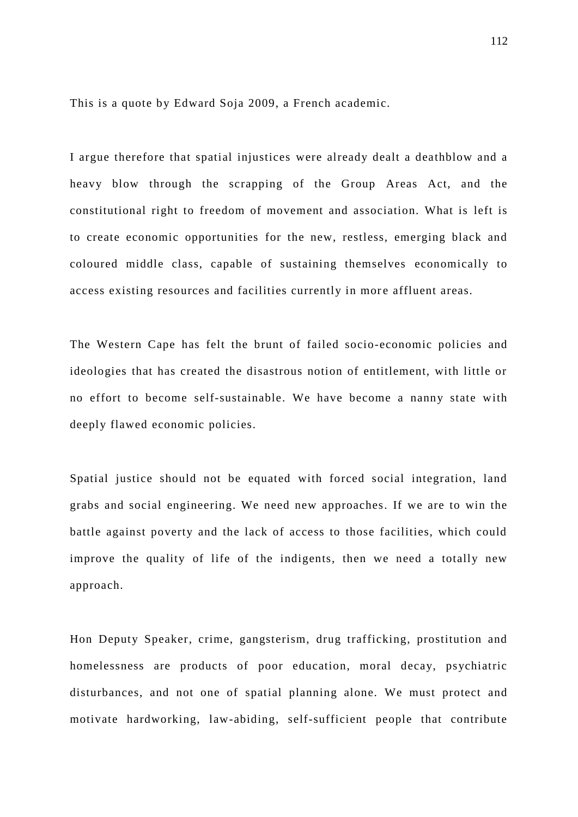This is a quote by Edward Soja 2009, a French academic.

I argue therefore that spatial injustices were already dealt a deathblow and a heavy blow through the scrapping of the Group Areas Act, and the constitutional right to freedom of movement and association. What is left is to create economic opportunities for the new, restless, emerging black and coloured middle class, capable of sustaining themselves economically to access existing resources and facilities currently in more affluent areas.

The Western Cape has felt the brunt of failed socio-economic policies and ideologies that has created the disastrous notion of entitlement, with little or no effort to become self-sustainable. We have become a nanny state with deeply flawed economic policies.

Spatial justice should not be equated with forced social integration, land grabs and social engineering. We need new approaches. If we are to win the battle against poverty and the lack of access to those facilities, which could improve the quality of life of the indigents, then we need a totally new approach.

Hon Deputy Speaker, crime, gangsterism, drug trafficking, prostitution and homelessness are products of poor education, moral decay, psychiatric disturbances, and not one of spatial planning alone. We must protect and motivate hardworking, law-abiding, self-sufficient people that contribute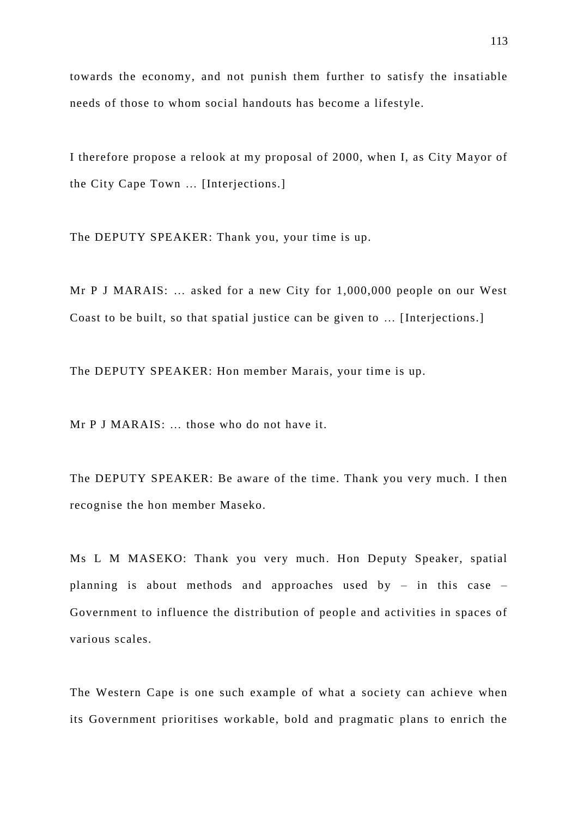towards the economy, and not punish them further to satisfy the insatiable needs of those to whom social handouts has become a lifestyle.

I therefore propose a relook at my proposal of 2000, when I, as City Mayor of the City Cape Town … [Interjections.]

The DEPUTY SPEAKER: Thank you, your time is up.

Mr P J MARAIS: … asked for a new City for 1,000,000 people on our West Coast to be built, so that spatial justice can be given to … [Interjections.]

The DEPUTY SPEAKER: Hon member Marais, your time is up.

Mr P J MARAIS: … those who do not have it.

The DEPUTY SPEAKER: Be aware of the time. Thank you very much. I then recognise the hon member Maseko.

Ms L M MASEKO: Thank you very much. Hon Deputy Speaker, spatial planning is about methods and approaches used by – in this case – Government to influence the distribution of people and activities in spaces of various scales.

The Western Cape is one such example of what a society can achieve when its Government prioritises workable, bold and pragmatic plans to enrich the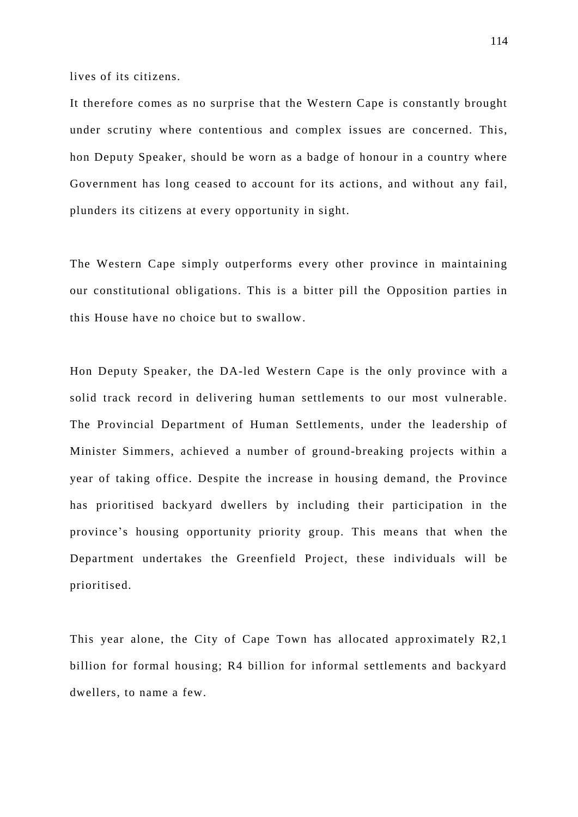lives of its citizens.

It therefore comes as no surprise that the Western Cape is constantly brought under scrutiny where contentious and complex issues are concerned. This, hon Deputy Speaker, should be worn as a badge of honour in a country where Government has long ceased to account for its actions, and without any fail, plunders its citizens at every opportunity in sight.

The Western Cape simply outperforms every other province in maintaining our constitutional obligations. This is a bitter pill the Opposition parties in this House have no choice but to swallow.

Hon Deputy Speaker, the DA-led Western Cape is the only province with a solid track record in delivering human settlements to our most vulnerable. The Provincial Department of Human Settlements, under the leadership of Minister Simmers, achieved a number of ground-breaking projects within a year of taking office. Despite the increase in housing demand, the Province has prioritised backyard dwellers by including their participation in the province's housing opportunity priority group. This means that when the Department undertakes the Greenfield Project, these individuals will be prioritised.

This year alone, the City of Cape Town has allocated approximately R2,1 billion for formal housing; R4 billion for informal settlements and backyard dwellers, to name a few.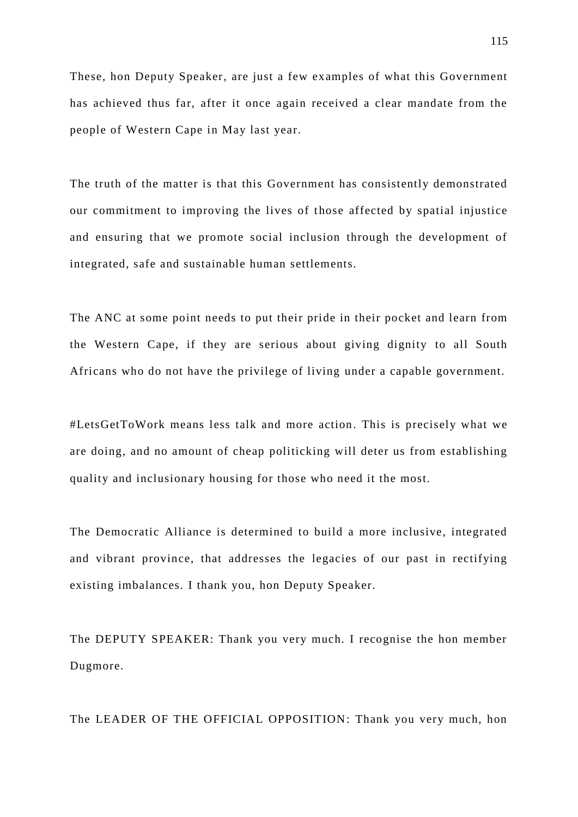These, hon Deputy Speaker, are just a few examples of what this Government has achieved thus far, after it once again received a clear mandate from the people of Western Cape in May last year.

The truth of the matter is that this Government has consistently demonstrated our commitment to improving the lives of those affected by spatial injustice and ensuring that we promote social inclusion through the development of integrated, safe and sustainable human settlements.

The ANC at some point needs to put their pride in their pocket and learn from the Western Cape, if they are serious about giving dignity to all South Africans who do not have the privilege of living under a capable government.

#LetsGetToWork means less talk and more action. This is precisely what we are doing, and no amount of cheap politicking will deter us from establishing quality and inclusionary housing for those who need it the most.

The Democratic Alliance is determined to build a more inclusive, integrated and vibrant province, that addresses the legacies of our past in rectifying existing imbalances. I thank you, hon Deputy Speaker.

The DEPUTY SPEAKER: Thank you very much. I recognise the hon member Dugmore.

The LEADER OF THE OFFICIAL OPPOSITION: Thank you very much, hon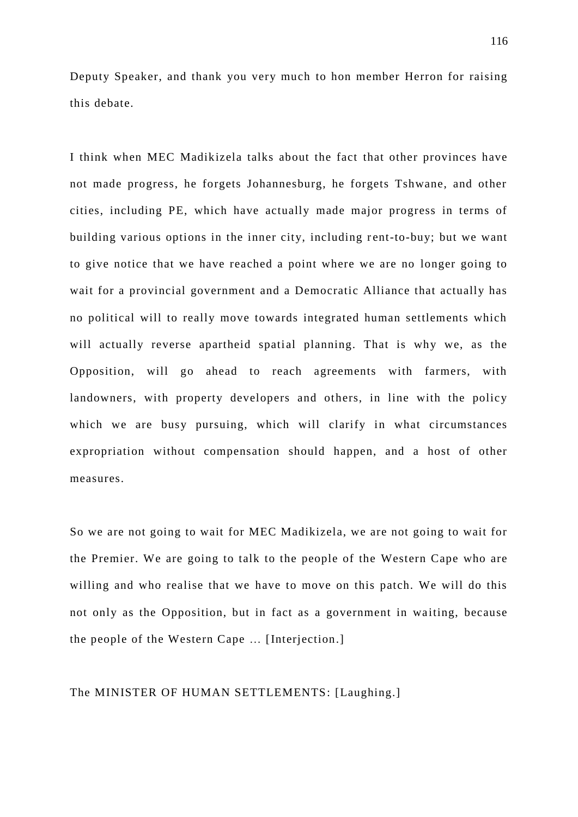Deputy Speaker, and thank you very much to hon member Herron for raising this debate.

I think when MEC Madikizela talks about the fact that other provinces have not made progress, he forgets Johannesburg, he forgets Tshwane, and other cities, including PE, which have actually made major progress in terms of building various options in the inner city, including rent-to-buy; but we want to give notice that we have reached a point where we are no longer going to wait for a provincial government and a Democratic Alliance that actually has no political will to really move towards integrated human settlements which will actually reverse apartheid spatial planning. That is why we, as the Opposition, will go ahead to reach agreements with farmers, with landowners, with property developers and others, in line with the policy which we are busy pursuing, which will clarify in what circumstances expropriation without compensation should happen, and a host of other measures.

So we are not going to wait for MEC Madikizela, we are not going to wait for the Premier. We are going to talk to the people of the Western Cape who are willing and who realise that we have to move on this patch. We will do this not only as the Opposition, but in fact as a government in waiting, because the people of the Western Cape … [Interjection.]

## The MINISTER OF HUMAN SETTLEMENTS: [Laughing.]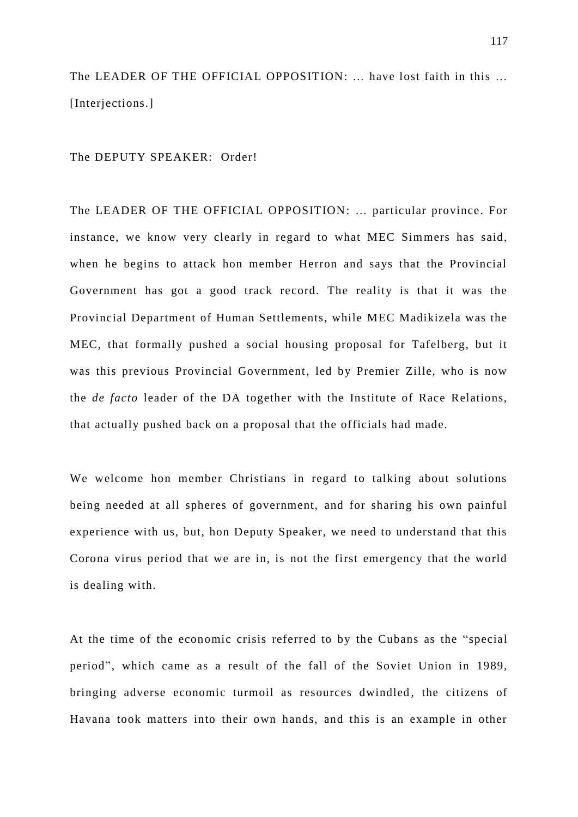The LEADER OF THE OFFICIAL OPPOSITION: … have lost faith in this … [Interjections.]

The DEPUTY SPEAKER: Order!

The LEADER OF THE OFFICIAL OPPOSITION: … particular province. For instance, we know very clearly in regard to what MEC Simmers has said, when he begins to attack hon member Herron and says that the Provincial Government has got a good track record. The reality is that it was the Provincial Department of Human Settlements, while MEC Madikizela was the MEC, that formally pushed a social housing proposal for Tafelberg, but it was this previous Provincial Government, led by Premier Zille, who is now the *de facto* leader of the DA together with the Institute of Race Relations, that actually pushed back on a proposal that the officials had made.

We welcome hon member Christians in regard to talking about solutions being needed at all spheres of government, and for sharing his own painful experience with us, but, hon Deputy Speaker, we need to understand that this Corona virus period that we are in, is not the first emergency that the world is dealing with.

At the time of the economic crisis referred to by the Cubans as the "special period", which came as a result of the fall of the Soviet Union in 1989, bringing adverse economic turmoil as resources dwindled, the citizens of Havana took matters into their own hands, and this is an example in other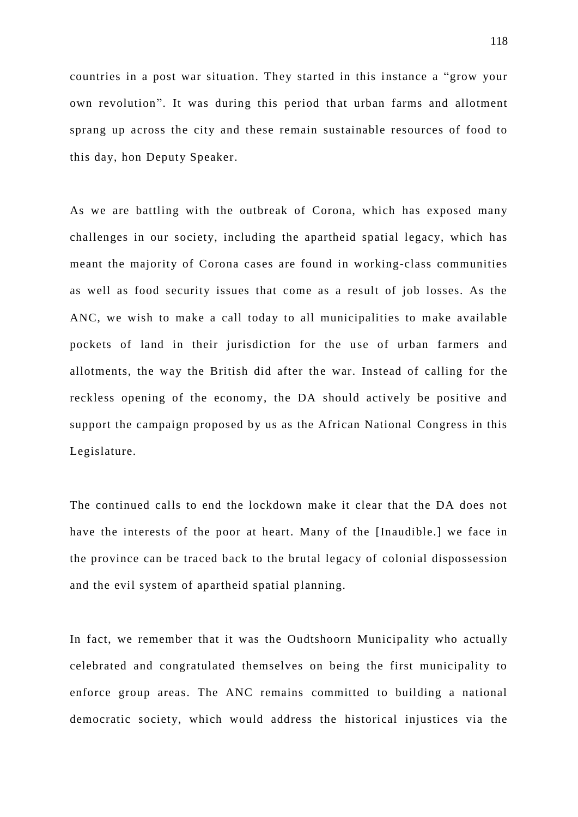countries in a post war situation. They started in this instance a "grow your own revolution". It was during this period that urban farms and allotment sprang up across the city and these remain sustainable resources of food to this day, hon Deputy Speaker.

As we are battling with the outbreak of Corona, which has exposed many challenges in our society, including the apartheid spatial legacy, which has meant the majority of Corona cases are found in working-class communities as well as food security issues that come as a result of job losses. As the ANC, we wish to make a call today to all municipalities to make available pockets of land in their jurisdiction for the use of urban farmers and allotments, the way the British did after the war. Instead of calling for the reckless opening of the economy, the DA should actively be positive and support the campaign proposed by us as the African National Congress in this Legislature.

The continued calls to end the lockdown make it clear that the DA does not have the interests of the poor at heart. Many of the [Inaudible.] we face in the province can be traced back to the brutal legacy of colonial dispossession and the evil system of apartheid spatial planning.

In fact, we remember that it was the Oudtshoorn Municipality who actually celebrated and congratulated themselves on being the first municipality to enforce group areas. The ANC remains committed to building a national democratic society, which would address the historical injustices via the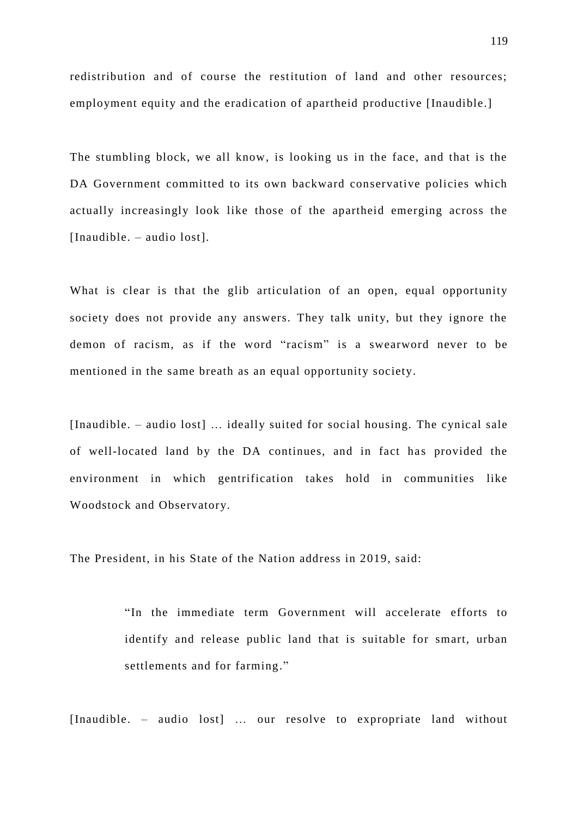redistribution and of course the restitution of land and other resources; employment equity and the eradication of apartheid productive [Inaudible.]

The stumbling block, we all know, is looking us in the face, and that is the DA Government committed to its own backward conservative policies which actually increasingly look like those of the apartheid emerging across the [Inaudible. – audio lost].

What is clear is that the glib articulation of an open, equal opportunity society does not provide any answers. They talk unity, but they ignore the demon of racism, as if the word "racism" is a swearword never to be mentioned in the same breath as an equal opportunity society.

[Inaudible. – audio lost] … ideally suited for social housing. The cynical sale of well-located land by the DA continues, and in fact has provided the environment in which gentrification takes hold in communities like Woodstock and Observatory.

The President, in his State of the Nation address in 2019, said:

"In the immediate term Government will accelerate efforts to identify and release public land that is suitable for smart, urban settlements and for farming."

[Inaudible. – audio lost] ... our resolve to expropriate land without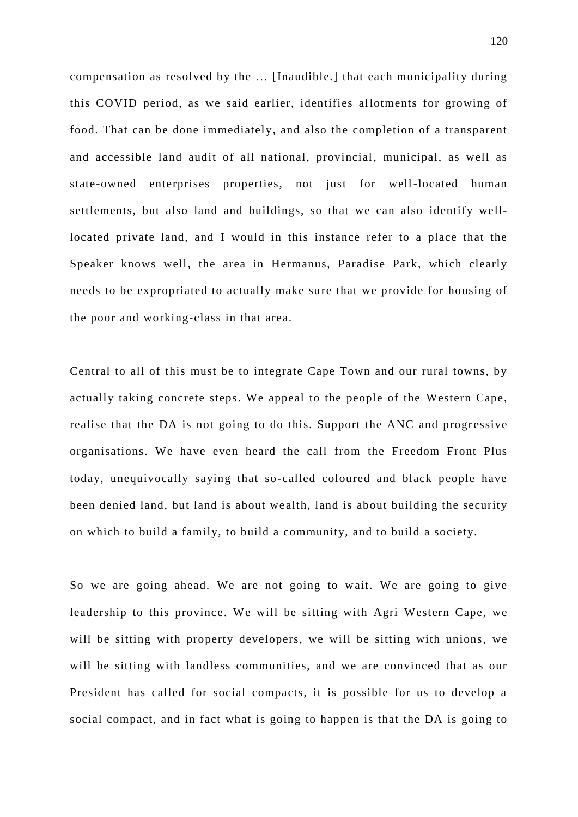compensation as resolved by the … [Inaudible.] that each municipality during this COVID period, as we said earlier, identifies allotments for growing of food. That can be done immediately, and also the completion of a transparent and accessible land audit of all national, provincial, municipal, as well as state-owned enterprises properties, not just for well-located human settlements, but also land and buildings, so that we can also identify welllocated private land, and I would in this instance refer to a place that the Speaker knows well, the area in Hermanus, Paradise Park, which clearly needs to be expropriated to actually make sure that we provide for housing of the poor and working-class in that area.

Central to all of this must be to integrate Cape Town and our rural towns, by actually taking concrete steps. We appeal to the people of the Western Cape, realise that the DA is not going to do this. Support the ANC and progressive organisations. We have even heard the call from the Freedom Front Plus today, unequivocally saying that so -called coloured and black people have been denied land, but land is about we alth, land is about building the security on which to build a family, to build a community, and to build a society.

So we are going ahead. We are not going to wait. We are going to give leadership to this province. We will be sitting with Agri Western Cape, we will be sitting with property developers, we will be sitting with unions, we will be sitting with landless communities, and we are convinced that as our President has called for social compacts, it is possible for us to develop a social compact, and in fact what is going to happen is that the DA is going to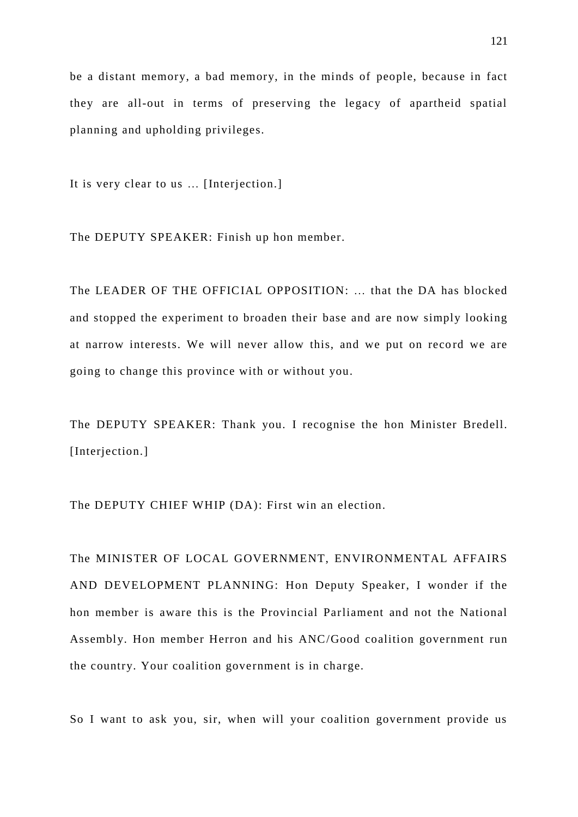be a distant memory, a bad memory, in the minds of people, because in fact they are all-out in terms of preserving the legacy of apartheid spatial planning and upholding privileges.

It is very clear to us … [Interjection.]

The DEPUTY SPEAKER: Finish up hon member.

The LEADER OF THE OFFICIAL OPPOSITION: … that the DA has blocked and stopped the experiment to broaden their base and are now simply looking at narrow interests. We will never allow this, and we put on record we are going to change this province with or without you.

The DEPUTY SPEAKER: Thank you. I recognise the hon Minister Bredell. [Interjection.]

The DEPUTY CHIEF WHIP (DA): First win an election.

The MINISTER OF LOCAL GOVERNMENT, ENVIRONMENTAL AFFAIRS AND DEVELOPMENT PLANNING: Hon Deputy Speaker, I wonder if the hon member is aware this is the Provincial Parliament and not the National Assembly. Hon member Herron and his ANC/Good coalition government run the country. Your coalition government is in charge.

So I want to ask you, sir, when will your coalition government provide us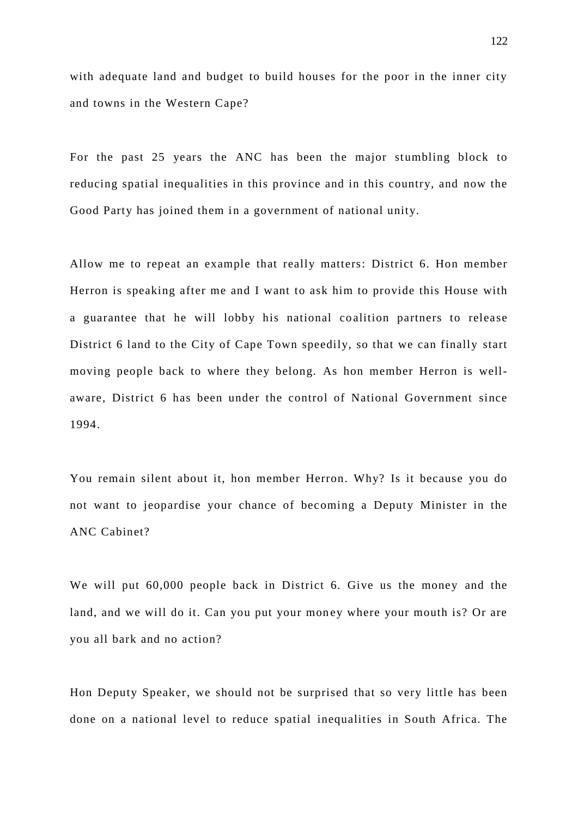with adequate land and budget to build houses for the poor in the inner city and towns in the Western Cape?

For the past 25 years the ANC has been the major stumbling block to reducing spatial inequalities in this province and in this country, and now the Good Party has joined them in a government of national unity.

Allow me to repeat an example that really matters: District 6. Hon member Herron is speaking after me and I want to ask him to provide this House with a guarantee that he will lobby his national coalition partners to release District 6 land to the City of Cape Town speedily, so that we can finally start moving people back to where they belong. As hon member Herron is wellaware, District 6 has been under the control of National Government since 1994.

You remain silent about it, hon member Herron. Why? Is it because you do not want to jeopardise your chance of becoming a Deputy Minister in the ANC Cabinet?

We will put 60,000 people back in District 6. Give us the money and the land, and we will do it. Can you put your money where your mouth is? Or are you all bark and no action?

Hon Deputy Speaker, we should not be surprised that so very little has been done on a national level to reduce spatial inequalities in South Africa. The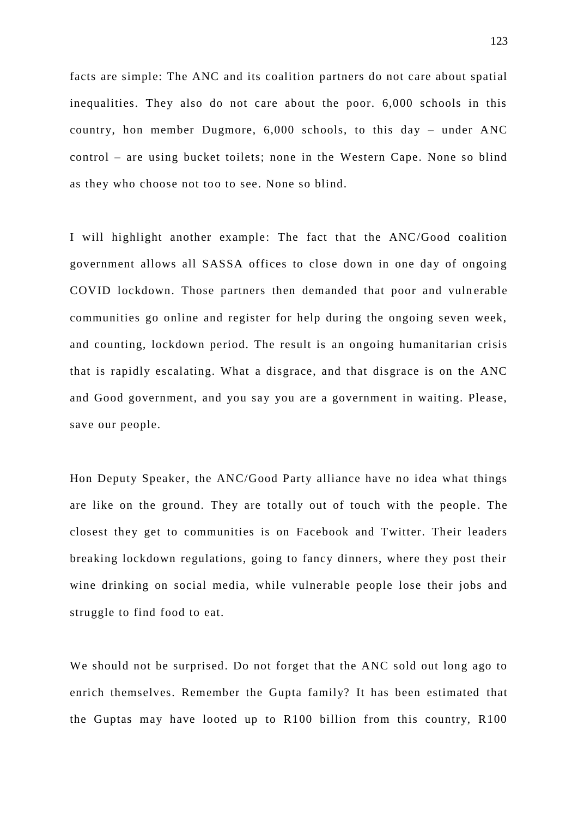facts are simple: The ANC and its coalition partners do not care about spatial inequalities. They also do not care about the poor. 6,000 schools in this country, hon member Dugmore, 6,000 schools, to this day – under ANC control – are using bucket toilets; none in the Western Cape. None so blind as they who choose not too to see. None so blind.

I will highlight another example: The fact that the ANC/Good coalition government allows all SASSA offices to close down in one day of ongoing COVID lockdown. Those partners then demanded that poor and vulnerable communities go online and register for help during the ongoing seven week, and counting, lockdown period. The result is an ongoing humanitarian crisis that is rapidly escalating. What a disgrace, and that disgrace is on the ANC and Good government, and you say you are a government in waiting. Please, save our people.

Hon Deputy Speaker, the ANC/Good Party alliance have no idea what things are like on the ground. They are totally out of touch with the people. The closest they get to communities is on Facebook and Twitter. Their leaders breaking lockdown regulations, going to fancy dinners, where they post their wine drinking on social media, while vulnerable people lose their jobs and struggle to find food to eat.

We should not be surprised. Do not forget that the ANC sold out long ago to enrich themselves. Remember the Gupta family? It has been estimated that the Guptas may have looted up to R100 billion from this country, R100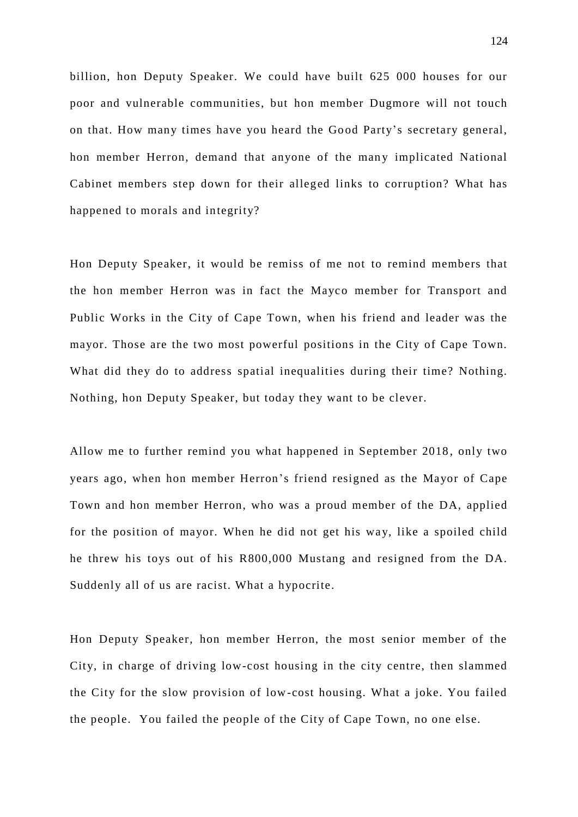billion, hon Deputy Speaker. We could have built 625 000 houses for our poor and vulnerable communities, but hon member Dugmore will not touch on that. How many times have you heard the Go od Party's secretary general, hon member Herron, demand that anyone of the many implicated National Cabinet members step down for their alleged links to corruption? What has happened to morals and integrity?

Hon Deputy Speaker, it would be remiss of me not to remind members that the hon member Herron was in fact the Mayco member for Transport and Public Works in the City of Cape Town, when his friend and leader was the mayor. Those are the two most powerful positions in the City of Cape Town. What did they do to address spatial inequalities during their time? Nothing. Nothing, hon Deputy Speaker, but today they want to be clever.

Allow me to further remind you what happened in September 2018 , only two years ago, when hon member Herron's friend resigned as the Mayor of Cape Town and hon member Herron, who was a proud member of the DA, applied for the position of mayor. When he did not get his way, like a spoiled child he threw his toys out of his R800,000 Mustang and resigned from the DA. Suddenly all of us are racist. What a hypocrite.

Hon Deputy Speaker, hon member Herron, the most senior member of the City, in charge of driving low-cost housing in the city centre, then slammed the City for the slow provision of low-cost housing. What a joke. You failed the people. You failed the people of the City of Cape Town, no one else.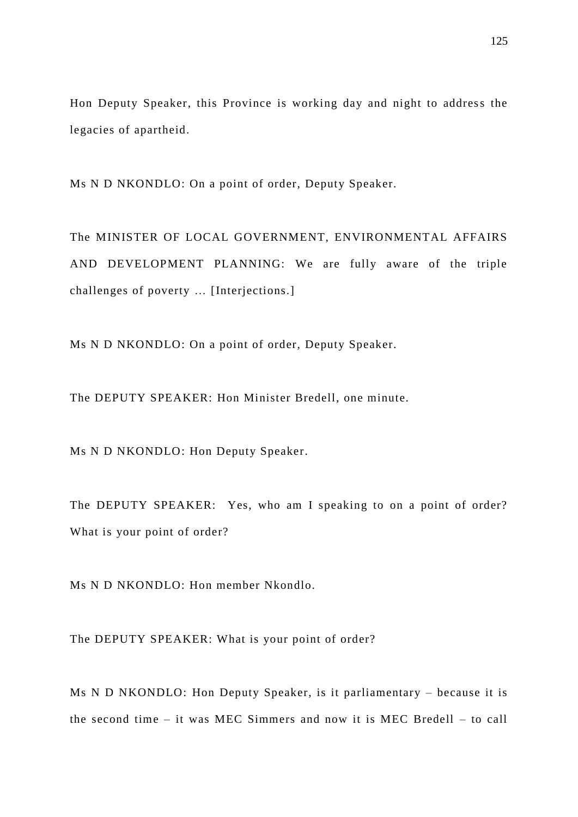Hon Deputy Speaker, this Province is working day and night to address the legacies of apartheid.

Ms N D NKONDLO: On a point of order, Deputy Speaker.

The MINISTER OF LOCAL GOVERNMENT, ENVIRONMENTAL AFFAIRS AND DEVELOPMENT PLANNING: We are fully aware of the triple challenges of poverty … [Interjections.]

Ms N D NKONDLO: On a point of order, Deputy Speaker.

The DEPUTY SPEAKER: Hon Minister Bredell, one minute.

Ms N D NKONDLO: Hon Deputy Speaker.

The DEPUTY SPEAKER: Yes, who am I speaking to on a point of order? What is your point of order?

Ms N D NKONDLO: Hon member Nkondlo.

The DEPUTY SPEAKER: What is your point of order?

Ms N D NKONDLO: Hon Deputy Speaker, is it parliamentary – because it is the second time – it was MEC Simmers and now it is MEC Bredell – to call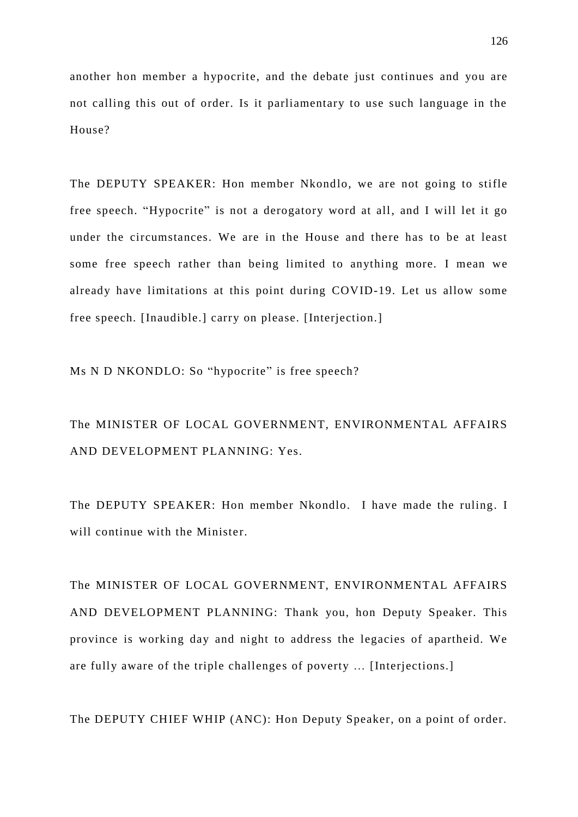another hon member a hypocrite, and the debate just continues and you are not calling this out of order. Is it parliamentary to use such language in the House?

The DEPUTY SPEAKER: Hon member Nkondlo, we are not going to stifle free speech. "Hypocrite" is not a derogatory word at all, and I will let it go under the circumstances. We are in the House and there has to be at least some free speech rather than being limited to anything more. I mean we already have limitations at this point during COVID-19. Let us allow some free speech. [Inaudible.] carry on please. [Interjection.]

Ms N D NKONDLO: So "hypocrite" is free speech?

The MINISTER OF LOCAL GOVERNMENT, ENVIRONMENTAL AFFAIRS AND DEVELOPMENT PLANNING: Yes.

The DEPUTY SPEAKER: Hon member Nkondlo. I have made the ruling. I will continue with the Minister.

The MINISTER OF LOCAL GOVERNMENT, ENVIRONMENTAL AFFAIRS AND DEVELOPMENT PLANNING: Thank you, hon Deputy Speaker. This province is working day and night to address the legacies of apartheid. We are fully aware of the triple challenges of poverty ... [Interjections.]

The DEPUTY CHIEF WHIP (ANC): Hon Deputy Speaker, on a point of order.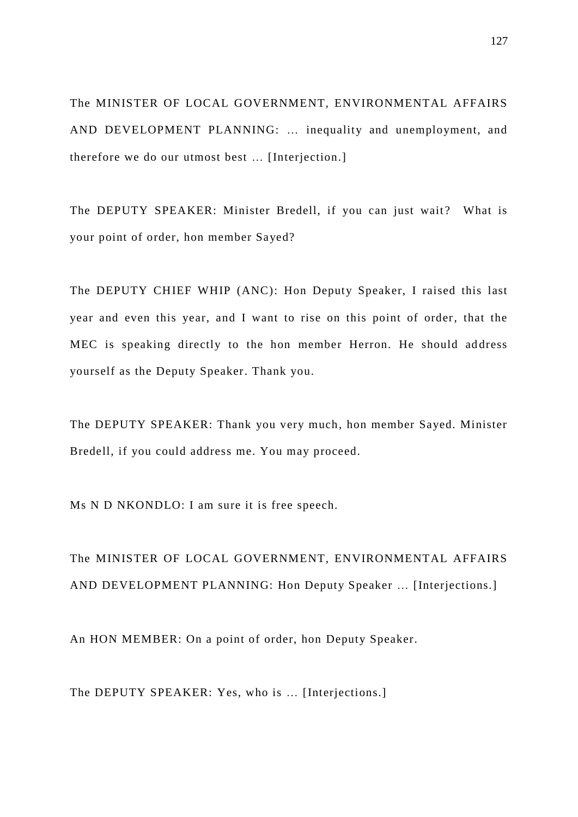The MINISTER OF LOCAL GOVERNMENT, ENVIRONMENTAL AFFAIRS AND DEVELOPMENT PLANNING: … inequality and unemployment, and therefore we do our utmost best … [Interjection.]

The DEPUTY SPEAKER: Minister Bredell, if you can just wait? What is your point of order, hon member Sayed?

The DEPUTY CHIEF WHIP (ANC): Hon Deputy Speaker, I raised this last year and even this year, and I want to rise on this point of order, that the MEC is speaking directly to the hon member Herron. He should address yourself as the Deputy Speaker. Thank you.

The DEPUTY SPEAKER: Thank you very much, hon member Sayed. Minister Bredell, if you could address me. You may proceed.

Ms N D NKONDLO: I am sure it is free speech.

The MINISTER OF LOCAL GOVERNMENT, ENVIRONMENTAL AFFAIRS AND DEVELOPMENT PLANNING: Hon Deputy Speaker … [Interjections.]

An HON MEMBER: On a point of order, hon Deputy Speaker.

The DEPUTY SPEAKER: Yes, who is … [Interjections.]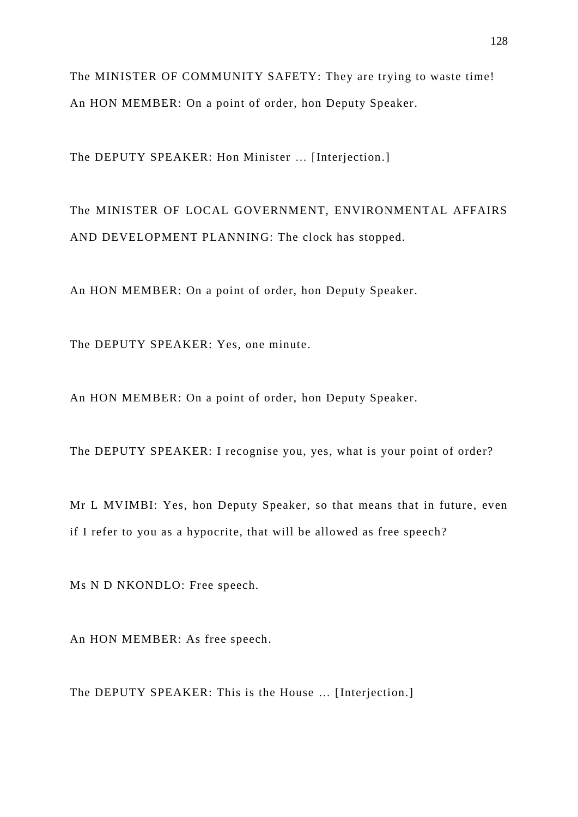The MINISTER OF COMMUNITY SAFETY: They are trying to waste time! An HON MEMBER: On a point of order, hon Deputy Speaker.

The DEPUTY SPEAKER: Hon Minister … [Interjection.]

The MINISTER OF LOCAL GOVERNMENT, ENVIRONMENTAL AFFAIRS AND DEVELOPMENT PLANNING: The clock has stopped.

An HON MEMBER: On a point of order, hon Deputy Speaker.

The DEPUTY SPEAKER: Yes, one minute.

An HON MEMBER: On a point of order, hon Deputy Speaker.

The DEPUTY SPEAKER: I recognise you, yes, what is your point of order?

Mr L MVIMBI: Yes, hon Deputy Speaker, so that means that in future, even if I refer to you as a hypocrite, that will be allowed as free speech?

Ms N D NKONDLO: Free speech.

An HON MEMBER: As free speech.

The DEPUTY SPEAKER: This is the House … [Interjection.]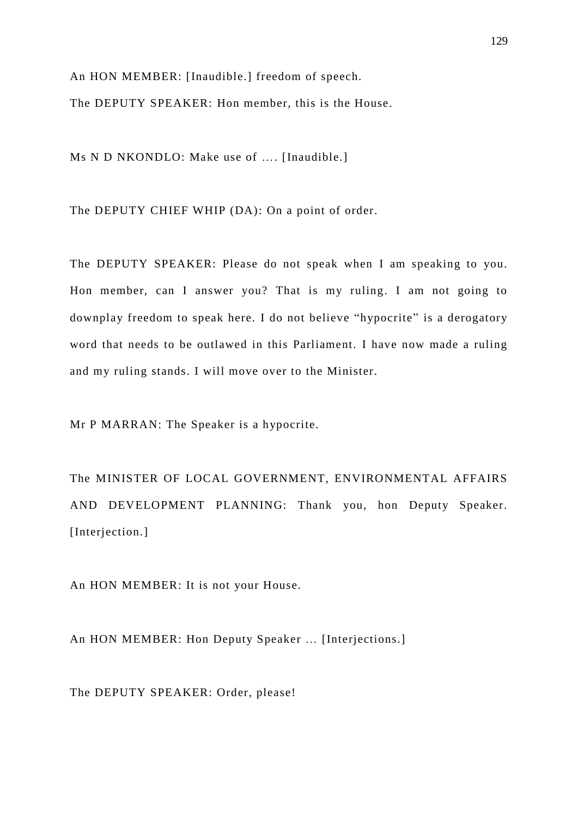An HON MEMBER: [Inaudible.] freedom of speech. The DEPUTY SPEAKER: Hon member, this is the House.

Ms N D NKONDLO: Make use of …. [Inaudible.]

The DEPUTY CHIEF WHIP (DA): On a point of order.

The DEPUTY SPEAKER: Please do not speak when I am speaking to you. Hon member, can I answer you? That is my ruling. I am not going to downplay freedom to speak here. I do not believe "hypocrite" is a derogatory word that needs to be outlawed in this Parliament. I have now made a ruling and my ruling stands. I will move over to the Minister.

Mr P MARRAN: The Speaker is a hypocrite.

The MINISTER OF LOCAL GOVERNMENT, ENVIRONMENTAL AFFAIRS AND DEVELOPMENT PLANNING: Thank you, hon Deputy Speaker. [Interjection.]

An HON MEMBER: It is not your House.

An HON MEMBER: Hon Deputy Speaker … [Interjections.]

The DEPUTY SPEAKER: Order, please!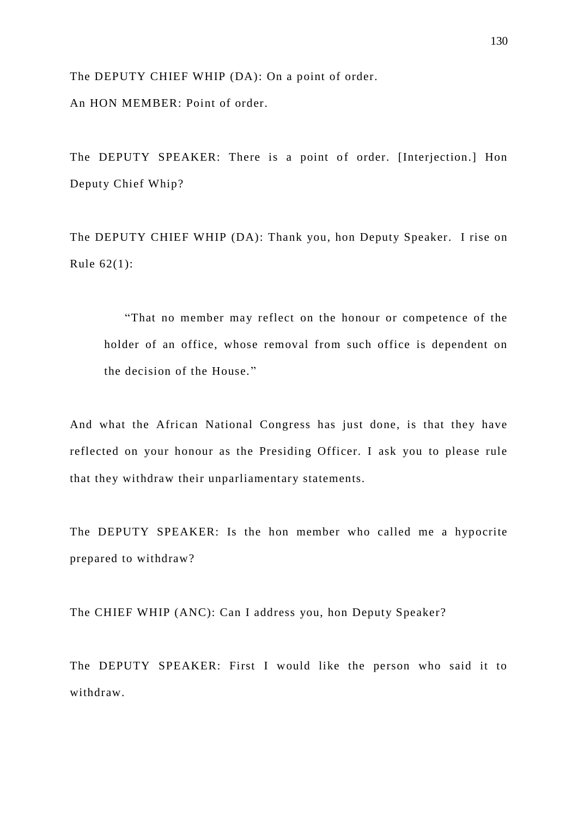The DEPUTY CHIEF WHIP (DA): On a point of order. An HON MEMBER: Point of order.

The DEPUTY SPEAKER: There is a point of order. [Interjection.] Hon Deputy Chief Whip?

The DEPUTY CHIEF WHIP (DA): Thank you, hon Deputy Speaker. I rise on Rule 62(1):

"That no member may reflect on the honour or competence of the holder of an office, whose removal from such office is dependent on the decision of the House. "

And what the African National Congress has just done, is that they have reflected on your honour as the Presiding Officer. I ask you to please rule that they withdraw their unparliamentary statements.

The DEPUTY SPEAKER: Is the hon member who called me a hypocrite prepared to withdraw?

The CHIEF WHIP (ANC): Can I address you, hon Deputy Speaker?

The DEPUTY SPEAKER: First I would like the person who said it to withdraw.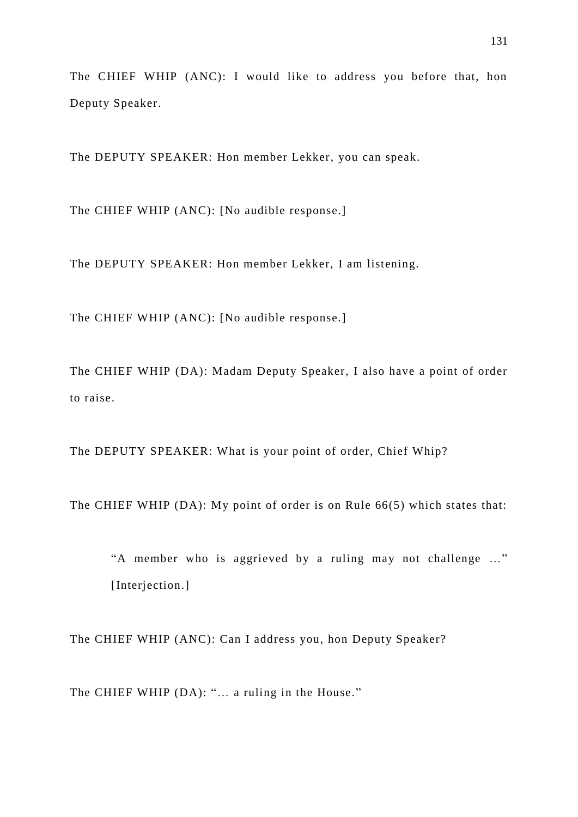The CHIEF WHIP (ANC): I would like to address you before that, hon Deputy Speaker.

The DEPUTY SPEAKER: Hon member Lekker, you can speak.

The CHIEF WHIP (ANC): [No audible response.]

The DEPUTY SPEAKER: Hon member Lekker, I am listening.

The CHIEF WHIP (ANC): [No audible response.]

The CHIEF WHIP (DA): Madam Deputy Speaker, I also have a point of order to raise.

The DEPUTY SPEAKER: What is your point of order, Chief Whip?

The CHIEF WHIP (DA): My point of order is on Rule 66(5) which states that:

"A member who is aggrieved by a ruling may not challenge …" [Interjection.]

The CHIEF WHIP (ANC): Can I address you, hon Deputy Speaker?

The CHIEF WHIP (DA): "… a ruling in the House."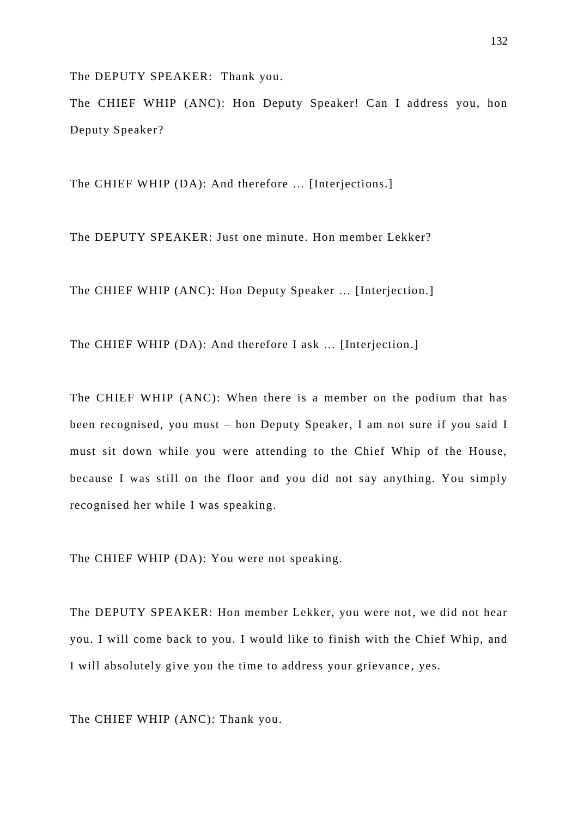The DEPUTY SPEAKER: Thank you.

The CHIEF WHIP (ANC): Hon Deputy Speaker! Can I address you, hon Deputy Speaker?

The CHIEF WHIP (DA): And therefore … [Interjections.]

The DEPUTY SPEAKER: Just one minute. Hon member Lekker?

The CHIEF WHIP (ANC): Hon Deputy Speaker … [Interjection.]

The CHIEF WHIP (DA): And therefore I ask … [Interjection.]

The CHIEF WHIP (ANC): When there is a member on the podium that has been recognised, you must – hon Deputy Speaker, I am not sure if you said I must sit down while you were attending to the Chief Whip of the House, because I was still on the floor and you did not say anything. You simply recognised her while I was speaking.

The CHIEF WHIP (DA): You were not speaking.

The DEPUTY SPEAKER: Hon member Lekker, you were not, we did not hear you. I will come back to you. I would like to finish with the Chief Whip, and I will absolutely give you the time to address your grievance , yes.

The CHIEF WHIP (ANC): Thank you.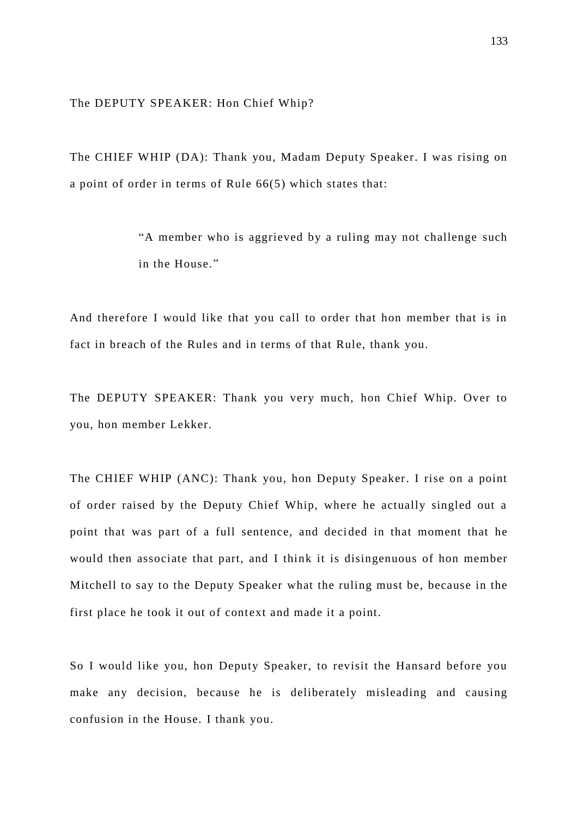The DEPUTY SPEAKER: Hon Chief Whip?

The CHIEF WHIP (DA): Thank you, Madam Deputy Speaker. I was rising on a point of order in terms of Rule 66(5) which states that:

> "A member who is aggrieved by a ruling may not challenge such in the House."

And therefore I would like that you call to order that hon member that is in fact in breach of the Rules and in terms of that Rule, thank you.

The DEPUTY SPEAKER: Thank you very much, hon Chief Whip. Over to you, hon member Lekker.

The CHIEF WHIP (ANC): Thank you, hon Deputy Speaker. I rise on a point of order raised by the Deputy Chief Whip, where he actually singled out a point that was part of a full sentence, and decided in that moment that he would then associate that part, and I think it is disingenuous of hon member Mitchell to say to the Deputy Speaker what the ruling must be, because in the first place he took it out of context and made it a point.

So I would like you, hon Deputy Speaker, to revisit the Hansard before you make any decision, because he is deliberately misleading and causing confusion in the House. I thank you.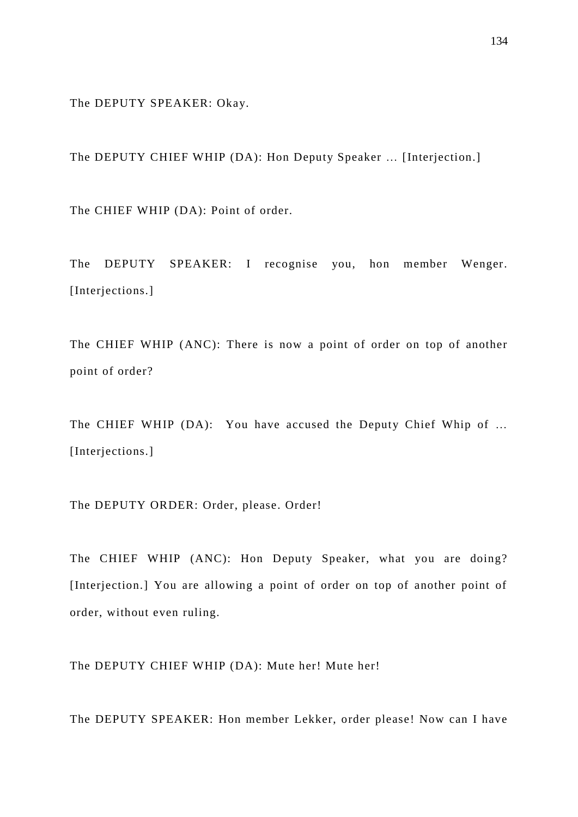The DEPUTY SPEAKER: Okay.

The DEPUTY CHIEF WHIP (DA): Hon Deputy Speaker … [Interjection.]

The CHIEF WHIP (DA): Point of order.

The DEPUTY SPEAKER: I recognise you, hon member Wenger. [Interjections.]

The CHIEF WHIP (ANC): There is now a point of order on top of another point of order?

The CHIEF WHIP (DA): You have accused the Deputy Chief Whip of … [Interjections.]

The DEPUTY ORDER: Order, please. Order!

The CHIEF WHIP (ANC): Hon Deputy Speaker, what you are doing? [Interjection.] You are allowing a point of order on top of another point of order, without even ruling.

The DEPUTY CHIEF WHIP (DA): Mute her! Mute her!

The DEPUTY SPEAKER: Hon member Lekker, order please! Now can I have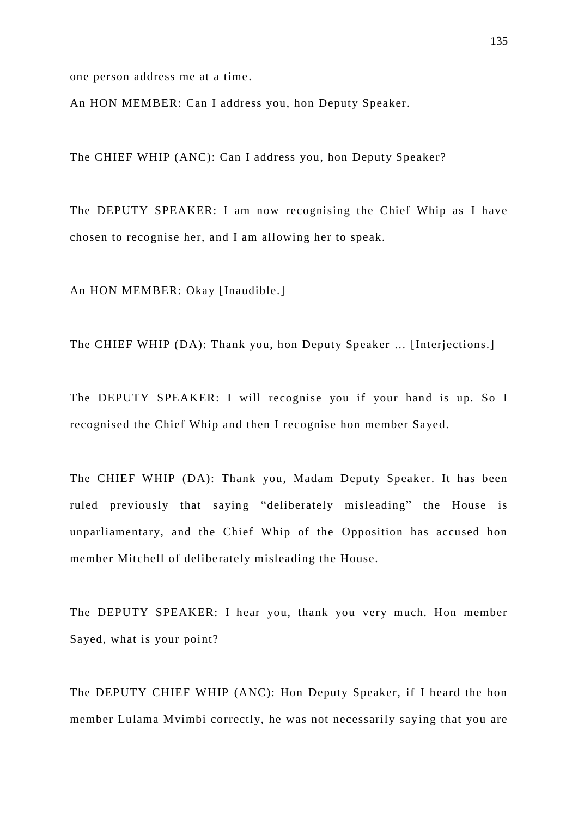one person address me at a time.

An HON MEMBER: Can I address you, hon Deputy Speaker.

The CHIEF WHIP (ANC): Can I address you, hon Deputy Speaker?

The DEPUTY SPEAKER: I am now recognising the Chief Whip as I have chosen to recognise her, and I am allowing her to speak.

An HON MEMBER: Okay [Inaudible.]

The CHIEF WHIP (DA): Thank you, hon Deputy Speaker … [Interjections.]

The DEPUTY SPEAKER: I will recognise you if your hand is up. So I recognised the Chief Whip and then I recognise hon member Sayed.

The CHIEF WHIP (DA): Thank you, Madam Deputy Speaker. It has been ruled previously that saying "deliberately misleading" the House is unparliamentary, and the Chief Whip of the Opposition has accused hon member Mitchell of deliberately misleading the House.

The DEPUTY SPEAKER: I hear you, thank you very much. Hon member Sayed, what is your point?

The DEPUTY CHIEF WHIP (ANC): Hon Deputy Speaker, if I heard the hon member Lulama Mvimbi correctly, he was not necessarily saying that you are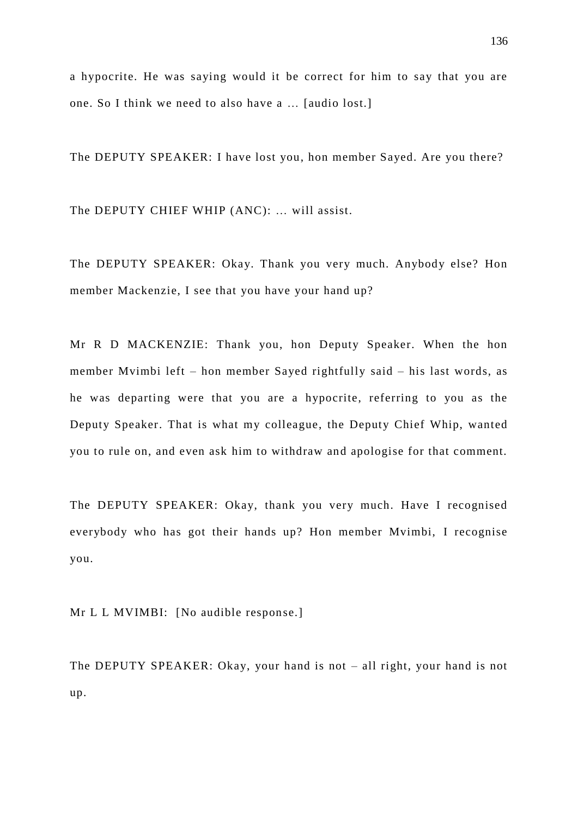a hypocrite. He was saying would it be correct for him to say that you are one. So I think we need to also have a … [audio lost.]

The DEPUTY SPEAKER: I have lost you, hon member Sayed. Are you there?

The DEPUTY CHIEF WHIP (ANC): … will assist.

The DEPUTY SPEAKER: Okay. Thank you very much. Anybody else? Hon member Mackenzie, I see that you have your hand up?

Mr R D MACKENZIE: Thank you, hon Deputy Speaker. When the hon member Mvimbi left – hon member Sayed rightfully said – his last words, as he was departing were that you are a hypocrite, referring to you as the Deputy Speaker. That is what my colleague, the Deputy Chief Whip, wanted you to rule on, and even ask him to withdraw and apologise for that comment.

The DEPUTY SPEAKER: Okay, thank you very much. Have I recognised everybody who has got their hands up? Hon member Mvimbi, I recognise you.

Mr L L MVIMBI: [No audible response.]

The DEPUTY SPEAKER: Okay, your hand is not – all right, your hand is not up.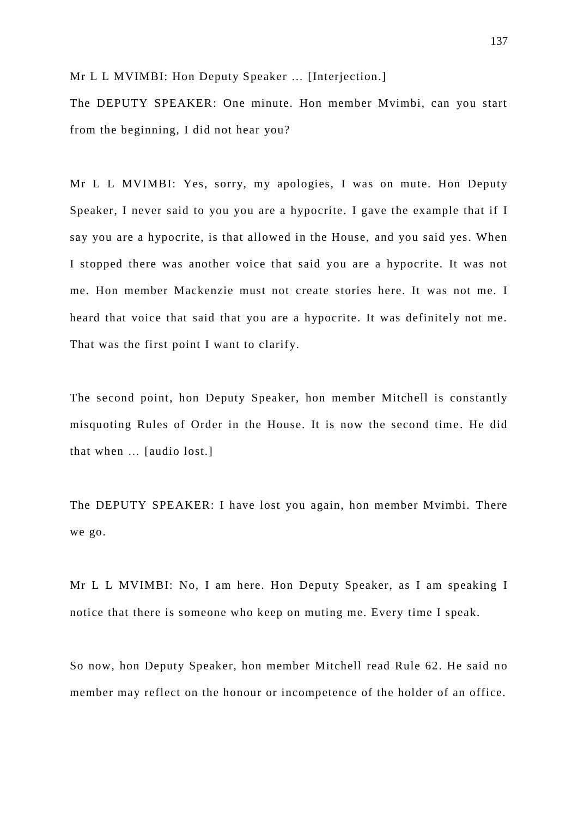Mr L L MVIMBI: Hon Deputy Speaker ... [Interjection.]

The DEPUTY SPEAKER: One minute. Hon member Mvimbi, can you start from the beginning, I did not hear you?

Mr L L MVIMBI: Yes, sorry, my apologies, I was on mute. Hon Deputy Speaker, I never said to you you are a hypocrite. I gave the example that if I say you are a hypocrite, is that allowed in the House, and you said yes. When I stopped there was another voice that said you are a hypocrite. It was not me. Hon member Mackenzie must not create stories here. It was not me. I heard that voice that said that you are a hypocrite. It was definitely not me. That was the first point I want to clarify.

The second point, hon Deputy Speaker, hon member Mitchell is constantly misquoting Rules of Order in the House. It is now the second time . He did that when … [audio lost.]

The DEPUTY SPEAKER: I have lost you again, hon member Mvimbi. There we go.

Mr L L MVIMBI: No, I am here. Hon Deputy Speaker, as I am speaking I notice that there is someone who keep on muting me. Every time I speak.

So now, hon Deputy Speaker, hon member Mitchell read Rule 62. He said no member may reflect on the honour or incompetence of the holder of an office.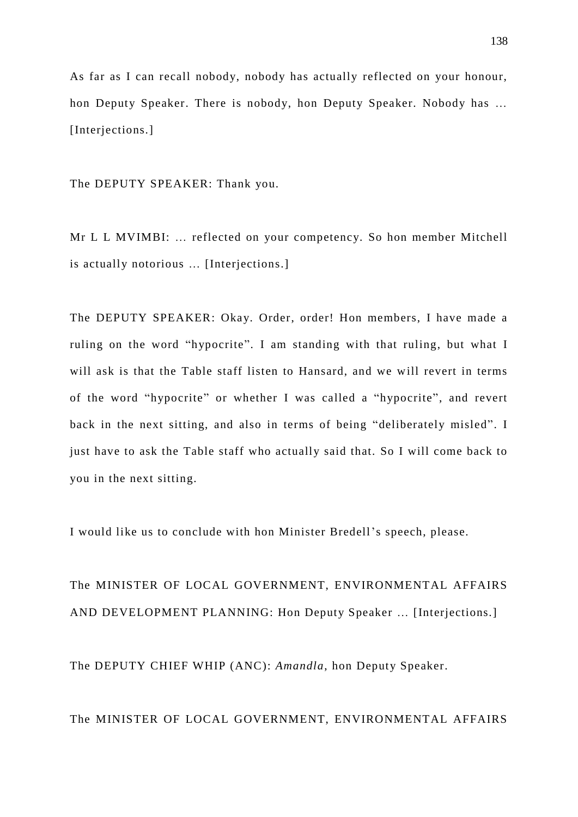As far as I can recall nobody, nobody has actually reflected on your honour, hon Deputy Speaker. There is nobody, hon Deputy Speaker. Nobody has … [Interjections.]

The DEPUTY SPEAKER: Thank you.

Mr L L MVIMBI: … reflected on your competency. So hon member Mitchell is actually notorious … [Interjections.]

The DEPUTY SPEAKER: Okay. Order, order! Hon members, I have made a ruling on the word "hypocrite". I am standing with that ruling, but what I will ask is that the Table staff listen to Hansard, and we will revert in terms of the word "hypocrite" or whether I was called a "hypocrite", and revert back in the next sitting, and also in terms of being "deliberately misled". I just have to ask the Table staff who actually said that. So I will come back to you in the next sitting.

I would like us to conclude with hon Minister Bredell's speech, please.

The MINISTER OF LOCAL GOVERNMENT, ENVIRONMENTAL AFFAIRS AND DEVELOPMENT PLANNING: Hon Deputy Speaker … [Interjections.]

The DEPUTY CHIEF WHIP (ANC): *Amandla*, hon Deputy Speaker.

The MINISTER OF LOCAL GOVERNMENT, ENVIRONMENTAL AFFAIRS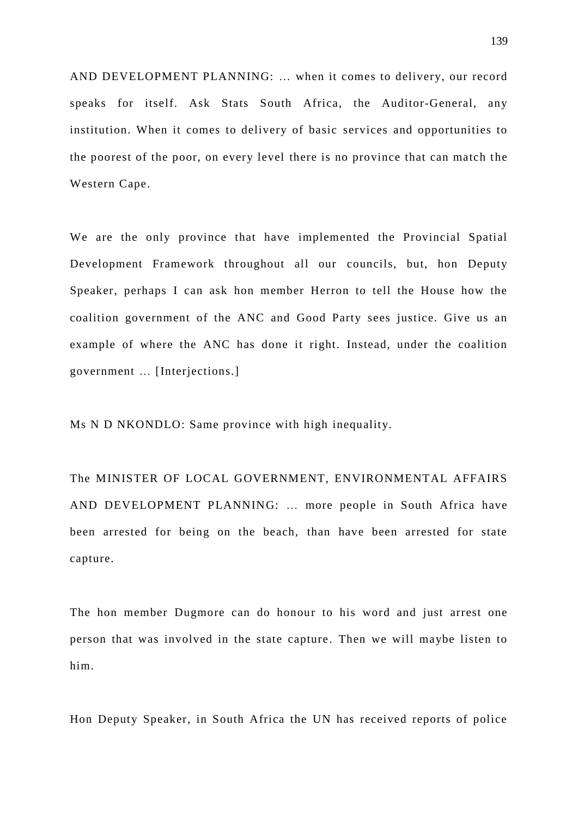AND DEVELOPMENT PLANNING: … when it comes to delivery, our record speaks for itself. Ask Stats South Africa, the Auditor-General, any institution. When it comes to delivery of basic services and opportunities to the poorest of the poor, on every level there is no province that can match the Western Cape.

We are the only province that have implemented the Provincial Spatial Development Framework throughout all our councils, but, hon Deputy Speaker, perhaps I can ask hon member Herron to tell the House how the coalition government of the ANC and Good Party sees justice. Give us an example of where the ANC has done it right. Instead, under the coalition government … [Interjections.]

Ms N D NKONDLO: Same province with high inequality.

The MINISTER OF LOCAL GOVERNMENT, ENVIRONMENTAL AFFAIRS AND DEVELOPMENT PLANNING: … more people in South Africa have been arrested for being on the beach, than have been arrested for state capture.

The hon member Dugmore can do honour to his word and just arrest one person that was involved in the state capture . Then we will maybe listen to him.

Hon Deputy Speaker, in South Africa the UN has received reports of police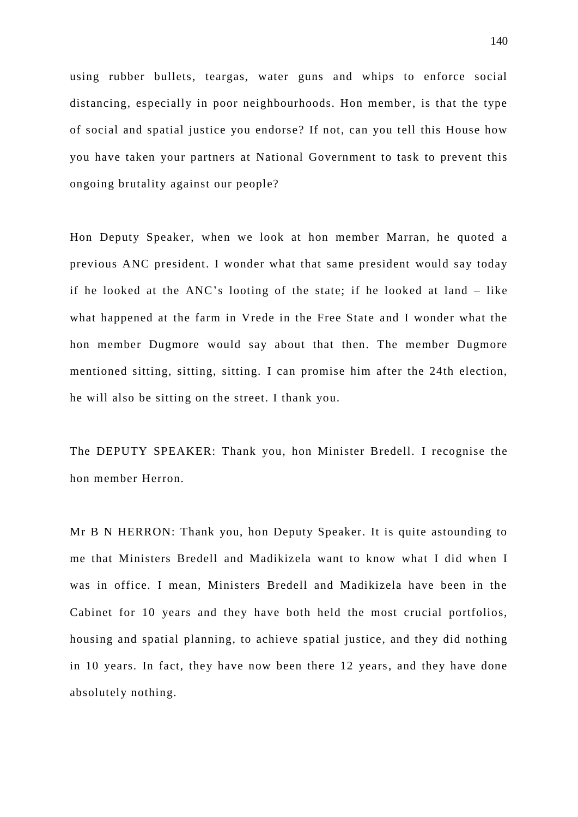using rubber bullets, teargas, water guns and whips to enforce social distancing, especially in poor neighbourhoods. Hon member, is that the type of social and spatial justice you endorse? If not, can you tell this House how you have taken your partners at National Government to task to prevent this ongoing brutality against our people?

Hon Deputy Speaker, when we look at hon member Marran, he quoted a previous ANC president. I wonder what that same president would say today if he looked at the ANC's looting of the state; if he looked at land – like what happened at the farm in Vrede in the Free State and I wonder what the hon member Dugmore would say about that then. The member Dugmore mentioned sitting, sitting, sitting. I can promise him after the 24th election, he will also be sitting on the street. I thank you.

The DEPUTY SPEAKER: Thank you, hon Minister Bredell. I recognise the hon member Herron.

Mr B N HERRON: Thank you, hon Deputy Speaker. It is quite astounding to me that Ministers Bredell and Madikizela want to know what I did when I was in office. I mean, Ministers Bredell and Madikizela have been in the Cabinet for 10 years and they have both held the most crucial portfolios, housing and spatial planning, to achieve spatial justice, and they did nothing in 10 years. In fact, they have now been there 12 years, and they have done absolutely nothing.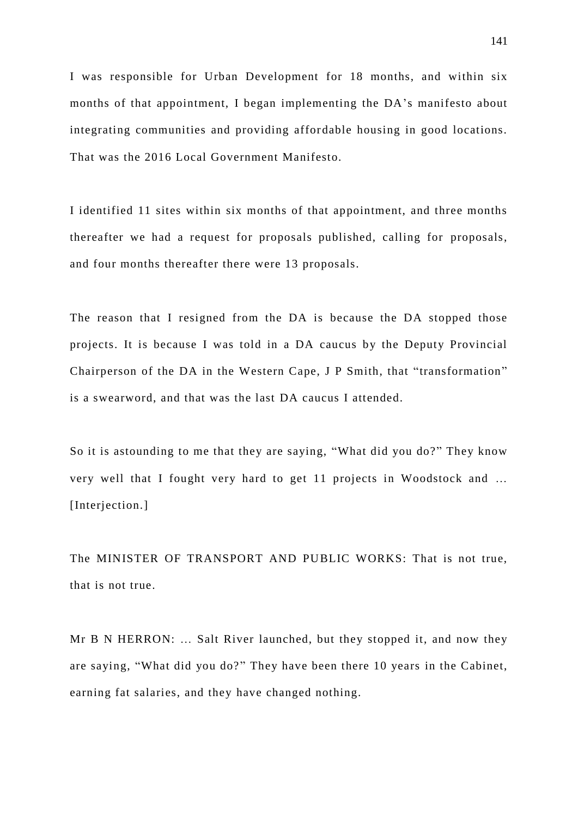I was responsible for Urban Development for 18 months, and within six months of that appointment, I began implementing the DA's manifesto about integrating communities and providing affordable housing in good locations. That was the 2016 Local Government Manifesto.

I identified 11 sites within six months of that appointment, and three months thereafter we had a request for proposals published, calling for proposals, and four months thereafter there were 13 proposals.

The reason that I resigned from the DA is because the DA stopped those projects. It is because I was told in a DA caucus by the Deputy Provincial Chairperson of the DA in the Western Cape, J P Smith, that "transformation" is a swearword, and that was the last DA caucus I attended.

So it is astounding to me that they are saying, "What did you do?" They know very well that I fought very hard to get 11 projects in Woodstock and … [Interjection.]

The MINISTER OF TRANSPORT AND PUBLIC WORKS: That is not true, that is not true.

Mr B N HERRON: … Salt River launched, but they stopped it, and now they are saying, "What did you do?" They have been there 10 years in the Cabinet, earning fat salaries, and they have changed nothing.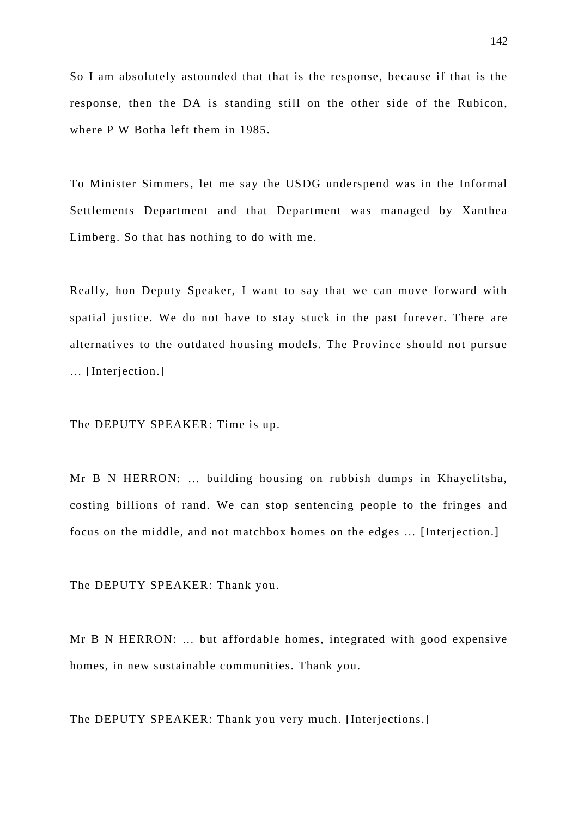So I am absolutely astounded that that is the response, because if that is the response, then the DA is standing still on the other side of the Rubicon, where P W Botha left them in 1985.

To Minister Simmers, let me say the USDG underspend was in the Informal Settlements Department and that Department was managed by Xanthea Limberg. So that has nothing to do with me.

Really, hon Deputy Speaker, I want to say that we can move forward with spatial justice. We do not have to stay stuck in the past forever. There are alternatives to the outdated housing models. The Province should not pursue … [Interjection.]

The DEPUTY SPEAKER: Time is up.

Mr B N HERRON: … building housing on rubbish dumps in Khayelitsha, costing billions of rand. We can stop sentencing people to the fringes and focus on the middle, and not matchbox homes on the edges … [Interjection.]

The DEPUTY SPEAKER: Thank you.

Mr B N HERRON: … but affordable homes, integrated with good expensive homes, in new sustainable communities. Thank you.

The DEPUTY SPEAKER: Thank you very much. [Interjections.]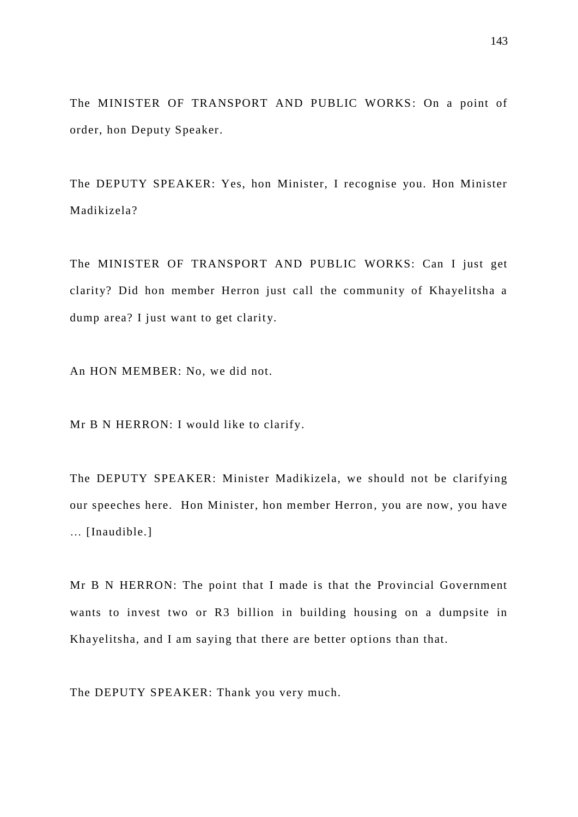The MINISTER OF TRANSPORT AND PUBLIC WORKS: On a point of order, hon Deputy Speaker.

The DEPUTY SPEAKER: Yes, hon Minister, I recognise you. Hon Minister Madikizela?

The MINISTER OF TRANSPORT AND PUBLIC WORKS: Can I just get clarity? Did hon member Herron just call the community of Khayelitsha a dump area? I just want to get clarity.

An HON MEMBER: No, we did not.

Mr B N HERRON: I would like to clarify.

The DEPUTY SPEAKER: Minister Madikizela, we should not be clarifying our speeches here. Hon Minister, hon member Herron, you are now, you have … [Inaudible.]

Mr B N HERRON: The point that I made is that the Provincial Government wants to invest two or R3 billion in building housing on a dumpsite in Khayelitsha, and I am saying that there are better options than that.

The DEPUTY SPEAKER: Thank you very much.